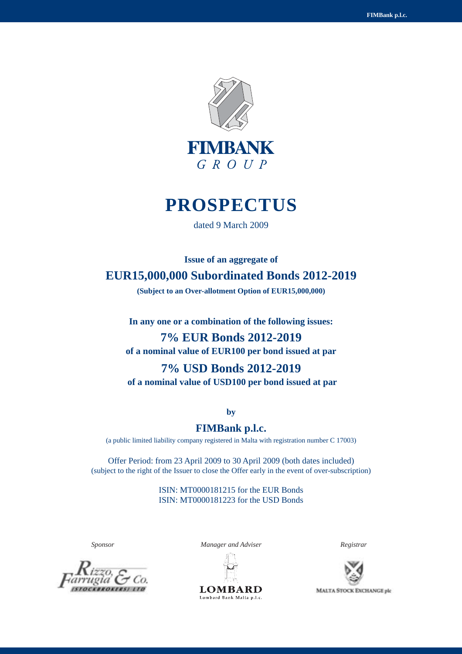

# **PROSPECTUS**

dated 9 March 2009

**Issue of an aggregate of EUR15,000,000 Subordinated Bonds 2012-2019**

**(Subject to an Over-allotment Option of EUR15,000,000)**

**In any one or a combination of the following issues:**

# **7% EUR Bonds 2012-2019 of a nominal value of EUR100 per bond issued at par**

# **7% USD Bonds 2012-2019**

 **of a nominal value of USD100 per bond issued at par**

**by**

## **FIMBank p.l.c.**

(a public limited liability company registered in Malta with registration number C 17003)

Offer Period: from 23 April 2009 to 30 April 2009 (both dates included) (subject to the right of the Issuer to close the Offer early in the event of over-subscription)

> ISIN: MT0000181215 for the EUR Bonds ISIN: MT0000181223 for the USD Bonds



*Sponsor Manager and Adviser Registrar*



**LOMBARD** Lombard Bank Malta p.l.c.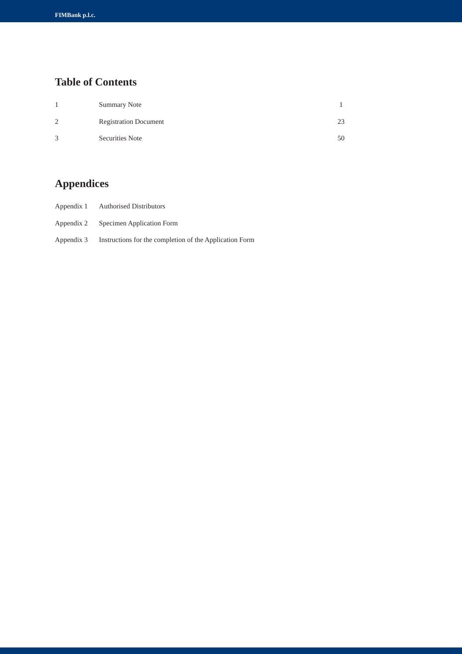# **Table of Contents**

|                | <b>Summary Note</b>          |    |
|----------------|------------------------------|----|
| $\overline{2}$ | <b>Registration Document</b> | 23 |
| 3              | Securities Note              | 50 |

# **Appendices**

- Appendix 1 Authorised Distributors
- Appendix 2 Specimen Application Form
- Appendix 3 Instructions for the completion of the Application Form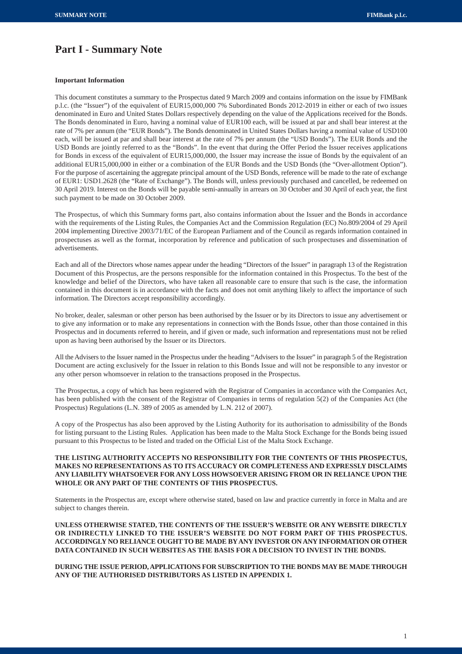## **Part I - Summary Note**

## **Important Information**

This document constitutes a summary to the Prospectus dated 9 March 2009 and contains information on the issue by FIMBank p.l.c. (the "Issuer") of the equivalent of EUR15,000,000 7% Subordinated Bonds 2012-2019 in either or each of two issues denominated in Euro and United States Dollars respectively depending on the value of the Applications received for the Bonds. The Bonds denominated in Euro, having a nominal value of EUR100 each, will be issued at par and shall bear interest at the rate of 7% per annum (the "EUR Bonds"). The Bonds denominated in United States Dollars having a nominal value of USD100 each, will be issued at par and shall bear interest at the rate of 7% per annum (the "USD Bonds"). The EUR Bonds and the USD Bonds are jointly referred to as the "Bonds". In the event that during the Offer Period the Issuer receives applications for Bonds in excess of the equivalent of EUR15,000,000, the Issuer may increase the issue of Bonds by the equivalent of an additional EUR15,000,000 in either or a combination of the EUR Bonds and the USD Bonds (the "Over-allotment Option"). For the purpose of ascertaining the aggregate principal amount of the USD Bonds, reference will be made to the rate of exchange of EUR1: USD1.2628 (the "Rate of Exchange"). The Bonds will, unless previously purchased and cancelled, be redeemed on 30 April 2019. Interest on the Bonds will be payable semi-annually in arrears on 30 October and 30 April of each year, the first such payment to be made on 30 October 2009.

The Prospectus, of which this Summary forms part, also contains information about the Issuer and the Bonds in accordance with the requirements of the Listing Rules, the Companies Act and the Commission Regulation (EC) No.809/2004 of 29 April 2004 implementing Directive 2003/71/EC of the European Parliament and of the Council as regards information contained in prospectuses as well as the format, incorporation by reference and publication of such prospectuses and dissemination of advertisements.

Each and all of the Directors whose names appear under the heading "Directors of the Issuer" in paragraph 13 of the Registration Document of this Prospectus, are the persons responsible for the information contained in this Prospectus. To the best of the knowledge and belief of the Directors, who have taken all reasonable care to ensure that such is the case, the information contained in this document is in accordance with the facts and does not omit anything likely to affect the importance of such information. The Directors accept responsibility accordingly.

No broker, dealer, salesman or other person has been authorised by the Issuer or by its Directors to issue any advertisement or to give any information or to make any representations in connection with the Bonds Issue, other than those contained in this Prospectus and in documents referred to herein, and if given or made, such information and representations must not be relied upon as having been authorised by the Issuer or its Directors.

All the Advisers to the Issuer named in the Prospectus under the heading "Advisers to the Issuer" in paragraph 5 of the Registration Document are acting exclusively for the Issuer in relation to this Bonds Issue and will not be responsible to any investor or any other person whomsoever in relation to the transactions proposed in the Prospectus.

The Prospectus, a copy of which has been registered with the Registrar of Companies in accordance with the Companies Act, has been published with the consent of the Registrar of Companies in terms of regulation 5(2) of the Companies Act (the Prospectus) Regulations (L.N. 389 of 2005 as amended by L.N. 212 of 2007).

A copy of the Prospectus has also been approved by the Listing Authority for its authorisation to admissibility of the Bonds for listing pursuant to the Listing Rules. Application has been made to the Malta Stock Exchange for the Bonds being issued pursuant to this Prospectus to be listed and traded on the Official List of the Malta Stock Exchange.

## **THE LISTING AUTHORITY ACCEPTS NO RESPONSIBILITY FOR THE CONTENTS OF THIS PROSPECTUS, MAKES NO REPRESENTATIONS AS TO ITS ACCURACY OR COMPLETENESS AND EXPRESSLY DISCLAIMS ANY LIABILITY WHATSOEVER FOR ANY LOSS HOWSOEVER ARISING FROM OR IN RELIANCE UPON THE WHOLE OR ANY PART OF THE CONTENTS OF THIS PROSPECTUS.**

Statements in the Prospectus are, except where otherwise stated, based on law and practice currently in force in Malta and are subject to changes therein.

**UNLESS OTHERWISE STATED, THE CONTENTS OF THE ISSUER'S WEBSITE OR ANY WEBSITE DIRECTLY OR INDIRECTLY LINKED TO THE ISSUER'S WEBSITE DO NOT FORM PART OF THIS PROSPECTUS. ACCORDINGLY NO RELIANCE OUGHT TO BE MADE BY ANY INVESTOR ON ANY INFORMATION OR OTHER DATA CONTAINED IN SUCH WEBSITES AS THE BASIS FOR A DECISION TO INVEST IN THE BONDS.**

**DURING THE ISSUE PERIOD, APPLICATIONS FOR SUBSCRIPTION TO THE BONDS MAY BE MADE THROUGH ANY OF THE AUTHORISED DISTRIBUTORS AS LISTED IN APPENDIX 1.**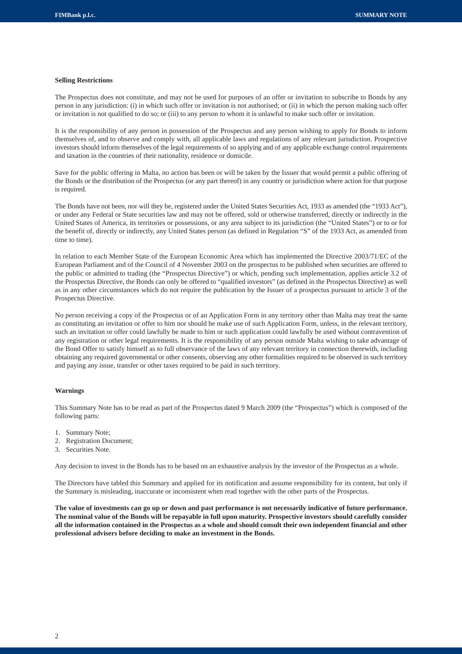## **Selling Restrictions**

The Prospectus does not constitute, and may not be used for purposes of an offer or invitation to subscribe to Bonds by any person in any jurisdiction: (i) in which such offer or invitation is not authorised; or (ii) in which the person making such offer or invitation is not qualified to do so; or (iii) to any person to whom it is unlawful to make such offer or invitation.

It is the responsibility of any person in possession of the Prospectus and any person wishing to apply for Bonds to inform themselves of, and to observe and comply with, all applicable laws and regulations of any relevant jurisdiction. Prospective investors should inform themselves of the legal requirements of so applying and of any applicable exchange control requirements and taxation in the countries of their nationality, residence or domicile.

Save for the public offering in Malta, no action has been or will be taken by the Issuer that would permit a public offering of the Bonds or the distribution of the Prospectus (or any part thereof) in any country or jurisdiction where action for that purpose is required.

The Bonds have not been, nor will they be, registered under the United States Securities Act, 1933 as amended (the "1933 Act"), or under any Federal or State securities law and may not be offered, sold or otherwise transferred, directly or indirectly in the United States of America, its territories or possessions, or any area subject to its jurisdiction (the "United States") or to or for the benefit of, directly or indirectly, any United States person (as defined in Regulation "S" of the 1933 Act, as amended from time to time).

In relation to each Member State of the European Economic Area which has implemented the Directive 2003/71/EC of the European Parliament and of the Council of 4 November 2003 on the prospectus to be published when securities are offered to the public or admitted to trading (the "Prospectus Directive") or which, pending such implementation, applies article 3.2 of the Prospectus Directive, the Bonds can only be offered to "qualified investors" (as defined in the Prospectus Directive) as well as in any other circumstances which do not require the publication by the Issuer of a prospectus pursuant to article 3 of the Prospectus Directive.

No person receiving a copy of the Prospectus or of an Application Form in any territory other than Malta may treat the same as constituting an invitation or offer to him nor should he make use of such Application Form, unless, in the relevant territory, such an invitation or offer could lawfully be made to him or such application could lawfully be used without contravention of any registration or other legal requirements. It is the responsibility of any person outside Malta wishing to take advantage of the Bond Offer to satisfy himself as to full observance of the laws of any relevant territory in connection therewith, including obtaining any required governmental or other consents, observing any other formalities required to be observed in such territory and paying any issue, transfer or other taxes required to be paid in such territory.

## **Warnings**

This Summary Note has to be read as part of the Prospectus dated 9 March 2009 (the "Prospectus") which is composed of the following parts:

- 1. Summary Note;
- 2. Registration Document;
- 3. Securities Note.

Any decision to invest in the Bonds has to be based on an exhaustive analysis by the investor of the Prospectus as a whole.

The Directors have tabled this Summary and applied for its notification and assume responsibility for its content, but only if the Summary is misleading, inaccurate or inconsistent when read together with the other parts of the Prospectus.

**The value of investments can go up or down and past performance is not necessarily indicative of future performance. The nominal value of the Bonds will be repayable in full upon maturity. Prospective investors should carefully consider all the information contained in the Prospectus as a whole and should consult their own independent financial and other professional advisers before deciding to make an investment in the Bonds.**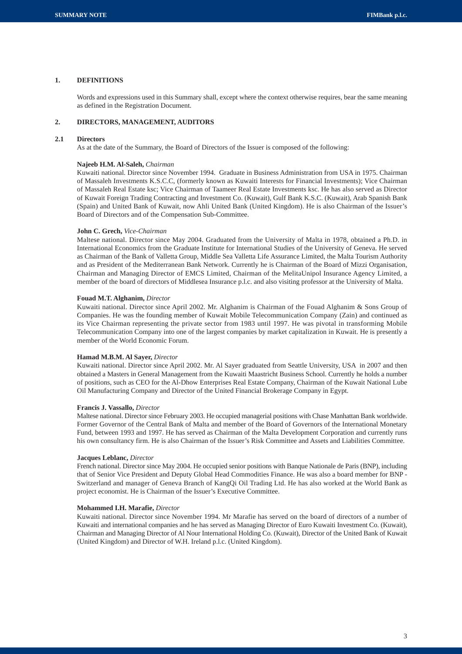## **1. DEFINITIONS**

Words and expressions used in this Summary shall, except where the context otherwise requires, bear the same meaning as defined in the Registration Document.

## **2. DIRECTORS, MANAGEMENT, AUDITORS**

## **2.1 Directors**

As at the date of the Summary, the Board of Directors of the Issuer is composed of the following:

#### **Najeeb H.M. Al-Saleh,** *Chairman*

Kuwaiti national. Director since November 1994. Graduate in Business Administration from USA in 1975. Chairman of Massaleh Investments K.S.C.C, (formerly known as Kuwaiti Interests for Financial Investments); Vice Chairman of Massaleh Real Estate ksc; Vice Chairman of Taameer Real Estate Investments ksc. He has also served as Director of Kuwait Foreign Trading Contracting and Investment Co. (Kuwait), Gulf Bank K.S.C. (Kuwait), Arab Spanish Bank (Spain) and United Bank of Kuwait, now Ahli United Bank (United Kingdom). He is also Chairman of the Issuer's Board of Directors and of the Compensation Sub-Committee.

#### **John C. Grech,** *Vice-Chairman*

Maltese national. Director since May 2004. Graduated from the University of Malta in 1978, obtained a Ph.D. in International Economics from the Graduate Institute for International Studies of the University of Geneva. He served as Chairman of the Bank of Valletta Group, Middle Sea Valletta Life Assurance Limited, the Malta Tourism Authority and as President of the Mediterranean Bank Network. Currently he is Chairman of the Board of Mizzi Organisation, Chairman and Managing Director of EMCS Limited, Chairman of the MelitaUnipol Insurance Agency Limited, a member of the board of directors of Middlesea Insurance p.l.c. and also visiting professor at the University of Malta.

#### **Fouad M.T. Alghanim,** *Director*

Kuwaiti national. Director since April 2002. Mr. Alghanim is Chairman of the Fouad Alghanim & Sons Group of Companies. He was the founding member of Kuwait Mobile Telecommunication Company (Zain) and continued as its Vice Chairman representing the private sector from 1983 until 1997. He was pivotal in transforming Mobile Telecommunication Company into one of the largest companies by market capitalization in Kuwait. He is presently a member of the World Economic Forum.

#### **Hamad M.B.M. Al Sayer,** *Director*

Kuwaiti national. Director since April 2002. Mr. Al Sayer graduated from Seattle University, USA in 2007 and then obtained a Masters in General Management from the Kuwaiti Maastricht Business School. Currently he holds a number of positions, such as CEO for the Al-Dhow Enterprises Real Estate Company, Chairman of the Kuwait National Lube Oil Manufacturing Company and Director of the United Financial Brokerage Company in Egypt.

#### **Francis J. Vassallo,** *Director*

Maltese national. Director since February 2003. He occupied managerial positions with Chase Manhattan Bank worldwide. Former Governor of the Central Bank of Malta and member of the Board of Governors of the International Monetary Fund, between 1993 and 1997. He has served as Chairman of the Malta Development Corporation and currently runs his own consultancy firm. He is also Chairman of the Issuer's Risk Committee and Assets and Liabilities Committee.

#### **Jacques Leblanc,** *Director*

French national. Director since May 2004. He occupied senior positions with Banque Nationale de Paris (BNP), including that of Senior Vice President and Deputy Global Head Commodities Finance. He was also a board member for BNP - Switzerland and manager of Geneva Branch of KangQi Oil Trading Ltd. He has also worked at the World Bank as project economist. He is Chairman of the Issuer's Executive Committee.

#### **Mohammed I.H. Marafie,** *Director*

Kuwaiti national. Director since November 1994. Mr Marafie has served on the board of directors of a number of Kuwaiti and international companies and he has served as Managing Director of Euro Kuwaiti Investment Co. (Kuwait), Chairman and Managing Director of Al Nour International Holding Co. (Kuwait), Director of the United Bank of Kuwait (United Kingdom) and Director of W.H. Ireland p.l.c. (United Kingdom).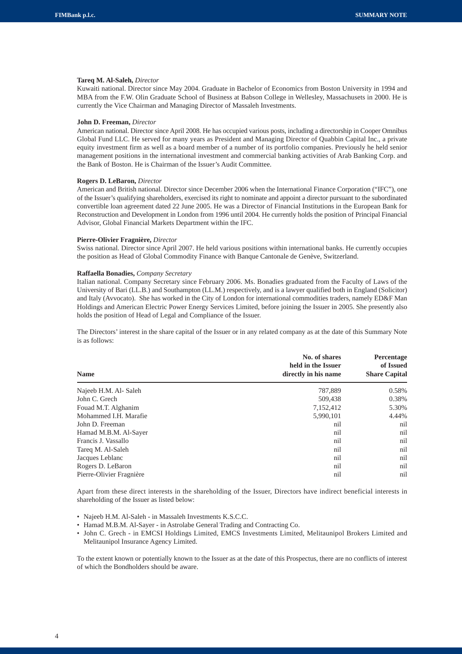## **Tareq M. Al-Saleh,** *Director*

Kuwaiti national. Director since May 2004. Graduate in Bachelor of Economics from Boston University in 1994 and MBA from the F.W. Olin Graduate School of Business at Babson College in Wellesley, Massachusets in 2000. He is currently the Vice Chairman and Managing Director of Massaleh Investments.

## **John D. Freeman,** *Director*

American national. Director since April 2008. He has occupied various posts, including a directorship in Cooper Omnibus Global Fund LLC. He served for many years as President and Managing Director of Quabbin Capital Inc., a private equity investment firm as well as a board member of a number of its portfolio companies. Previously he held senior management positions in the international investment and commercial banking activities of Arab Banking Corp. and the Bank of Boston. He is Chairman of the Issuer's Audit Committee.

#### **Rogers D. LeBaron,** *Director*

American and British national. Director since December 2006 when the International Finance Corporation ("IFC"), one of the Issuer's qualifying shareholders, exercised its right to nominate and appoint a director pursuant to the subordinated convertible loan agreement dated 22 June 2005. He was a Director of Financial Institutions in the European Bank for Reconstruction and Development in London from 1996 until 2004. He currently holds the position of Principal Financial Advisor, Global Financial Markets Department within the IFC.

#### **Pierre-Olivier Fragnière,** *Director*

Swiss national. Director since April 2007. He held various positions within international banks. He currently occupies the position as Head of Global Commodity Finance with Banque Cantonale de Genève, Switzerland.

#### **Raffaella Bonadies,** *Company Secretary*

Italian national. Company Secretary since February 2006. Ms. Bonadies graduated from the Faculty of Laws of the University of Bari (LL.B.) and Southampton (LL.M.) respectively, and is a lawyer qualified both in England (Solicitor) and Italy (Avvocato). She has worked in the City of London for international commodities traders, namely ED&F Man Holdings and American Electric Power Energy Services Limited, before joining the Issuer in 2005. She presently also holds the position of Head of Legal and Compliance of the Issuer.

The Directors' interest in the share capital of the Issuer or in any related company as at the date of this Summary Note is as follows:

| <b>Name</b>              | No. of shares<br>held in the Issuer<br>directly in his name | <b>Percentage</b><br>of Issued<br><b>Share Capital</b> |  |
|--------------------------|-------------------------------------------------------------|--------------------------------------------------------|--|
| Najeeb H.M. Al- Saleh    | 787,889                                                     | 0.58%                                                  |  |
| John C. Grech            | 509,438                                                     | 0.38%                                                  |  |
| Fouad M.T. Alghanim      | 7,152,412                                                   | 5.30%                                                  |  |
| Mohammed I.H. Marafie    | 5,990,101                                                   | 4.44%                                                  |  |
| John D. Freeman          | nil                                                         | nil                                                    |  |
| Hamad M.B.M. Al-Sayer    | nil                                                         | nil                                                    |  |
| Francis J. Vassallo      | nil                                                         | nil                                                    |  |
| Tareq M. Al-Saleh        | nil                                                         | nil                                                    |  |
| Jacques Leblanc          | nil                                                         | nil                                                    |  |
| Rogers D. LeBaron        | nil                                                         | nil                                                    |  |
| Pierre-Olivier Fragnière | nil                                                         | nil                                                    |  |

Apart from these direct interests in the shareholding of the Issuer, Directors have indirect beneficial interests in shareholding of the Issuer as listed below:

- Najeeb H.M. Al-Saleh in Massaleh Investments K.S.C.C.
- Hamad M.B.M. Al-Sayer in Astrolabe General Trading and Contracting Co.
- John C. Grech in EMCSI Holdings Limited, EMCS Investments Limited, Melitaunipol Brokers Limited and Melitaunipol Insurance Agency Limited.

To the extent known or potentially known to the Issuer as at the date of this Prospectus, there are no conflicts of interest of which the Bondholders should be aware.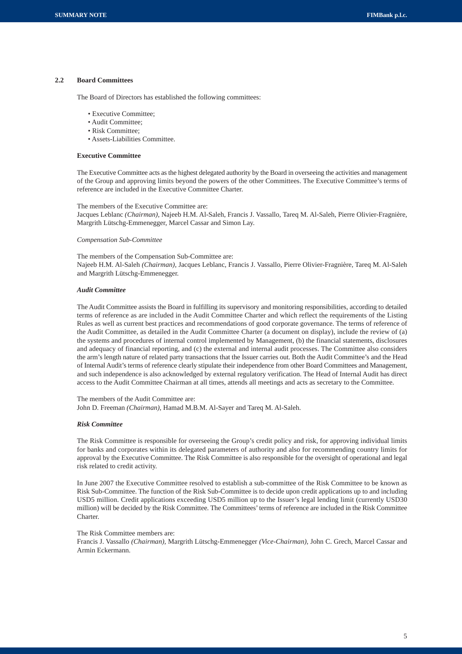## **2.2 Board Committees**

The Board of Directors has established the following committees:

- Executive Committee;
- Audit Committee;
- Risk Committee;
- Assets-Liabilities Committee.

#### **Executive Committee**

The Executive Committee acts as the highest delegated authority by the Board in overseeing the activities and management of the Group and approving limits beyond the powers of the other Committees. The Executive Committee's terms of reference are included in the Executive Committee Charter.

#### The members of the Executive Committee are:

Jacques Leblanc *(Chairman),* Najeeb H.M. Al-Saleh, Francis J. Vassallo, Tareq M. Al-Saleh, Pierre Olivier-Fragnière, Margrith Lütschg-Emmenegger, Marcel Cassar and Simon Lay.

#### *Compensation Sub-Committee*

The members of the Compensation Sub-Committee are: Najeeb H.M. Al-Saleh *(Chairman),* Jacques Leblanc, Francis J. Vassallo, Pierre Olivier-Fragnière, Tareq M. Al-Saleh and Margrith Lütschg-Emmenegger.

#### *Audit Committee*

The Audit Committee assists the Board in fulfilling its supervisory and monitoring responsibilities, according to detailed terms of reference as are included in the Audit Committee Charter and which reflect the requirements of the Listing Rules as well as current best practices and recommendations of good corporate governance. The terms of reference of the Audit Committee, as detailed in the Audit Committee Charter (a document on display), include the review of (a) the systems and procedures of internal control implemented by Management, (b) the financial statements, disclosures and adequacy of financial reporting, and (c) the external and internal audit processes. The Committee also considers the arm's length nature of related party transactions that the Issuer carries out. Both the Audit Committee's and the Head of Internal Audit's terms of reference clearly stipulate their independence from other Board Committees and Management, and such independence is also acknowledged by external regulatory verification. The Head of Internal Audit has direct access to the Audit Committee Chairman at all times, attends all meetings and acts as secretary to the Committee.

The members of the Audit Committee are: John D. Freeman *(Chairman),* Hamad M.B.M. Al-Sayer and Tareq M. Al-Saleh.

#### *Risk Committee*

The Risk Committee is responsible for overseeing the Group's credit policy and risk, for approving individual limits for banks and corporates within its delegated parameters of authority and also for recommending country limits for approval by the Executive Committee. The Risk Committee is also responsible for the oversight of operational and legal risk related to credit activity.

In June 2007 the Executive Committee resolved to establish a sub-committee of the Risk Committee to be known as Risk Sub-Committee. The function of the Risk Sub-Committee is to decide upon credit applications up to and including USD5 million. Credit applications exceeding USD5 million up to the Issuer's legal lending limit (currently USD30 million) will be decided by the Risk Committee. The Committees' terms of reference are included in the Risk Committee Charter.

#### The Risk Committee members are:

Francis J. Vassallo *(Chairman),* Margrith Lütschg-Emmenegger *(Vice-Chairman),* John C. Grech, Marcel Cassar and Armin Eckermann.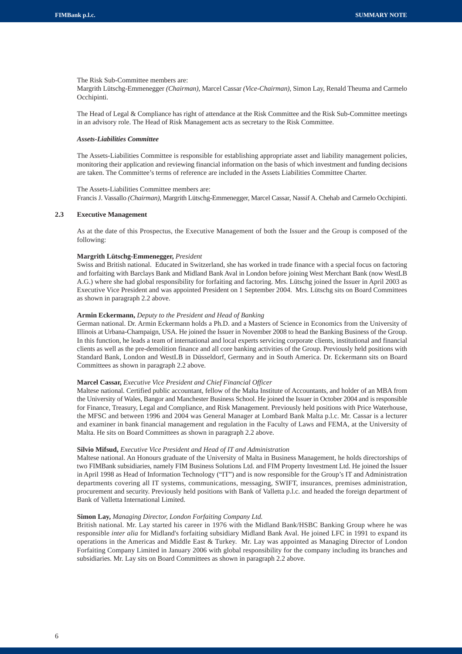The Risk Sub-Committee members are:

Margrith Lütschg-Emmenegger *(Chairman),* Marcel Cassar *(Vice-Chairman),* Simon Lay, Renald Theuma and Carmelo Occhipinti.

The Head of Legal & Compliance has right of attendance at the Risk Committee and the Risk Sub-Committee meetings in an advisory role. The Head of Risk Management acts as secretary to the Risk Committee.

## *Assets-Liabilities Committee*

The Assets-Liabilities Committee is responsible for establishing appropriate asset and liability management policies, monitoring their application and reviewing financial information on the basis of which investment and funding decisions are taken. The Committee's terms of reference are included in the Assets Liabilities Committee Charter.

The Assets-Liabilities Committee members are: Francis J. Vassallo *(Chairman),* Margrith Lütschg-Emmenegger, Marcel Cassar, Nassif A. Chehab and Carmelo Occhipinti.

## **2.3 Executive Management**

As at the date of this Prospectus, the Executive Management of both the Issuer and the Group is composed of the following:

#### **Margrith Lütschg-Emmenegger,** *President*

Swiss and British national. Educated in Switzerland, she has worked in trade finance with a special focus on factoring and forfaiting with Barclays Bank and Midland Bank Aval in London before joining West Merchant Bank (now WestLB A.G.) where she had global responsibility for forfaiting and factoring. Mrs. Lütschg joined the Issuer in April 2003 as Executive Vice President and was appointed President on 1 September 2004. Mrs. Lütschg sits on Board Committees as shown in paragraph 2.2 above.

#### **Armin Eckermann,** *Deputy to the President and Head of Banking*

German national. Dr. Armin Eckermann holds a Ph.D. and a Masters of Science in Economics from the University of Illinois at Urbana-Champaign, USA. He joined the Issuer in November 2008 to head the Banking Business of the Group. In this function, he leads a team of international and local experts servicing corporate clients, institutional and financial clients as well as the pre-demolition finance and all core banking activities of the Group. Previously held positions with Standard Bank, London and WestLB in Düsseldorf, Germany and in South America. Dr. Eckermann sits on Board Committees as shown in paragraph 2.2 above.

#### **Marcel Cassar,** *Executive Vice President and Chief Financial Officer*

Maltese national. Certified public accountant, fellow of the Malta Institute of Accountants, and holder of an MBA from the University of Wales, Bangor and Manchester Business School. He joined the Issuer in October 2004 and is responsible for Finance, Treasury, Legal and Compliance, and Risk Management. Previously held positions with Price Waterhouse, the MFSC and between 1996 and 2004 was General Manager at Lombard Bank Malta p.l.c. Mr. Cassar is a lecturer and examiner in bank financial management and regulation in the Faculty of Laws and FEMA, at the University of Malta. He sits on Board Committees as shown in paragraph 2.2 above.

#### **Silvio Mifsud,** *Executive Vice President and Head of IT and Administration*

Maltese national. An Honours graduate of the University of Malta in Business Management, he holds directorships of two FIMBank subsidiaries, namely FIM Business Solutions Ltd. and FIM Property Investment Ltd. He joined the Issuer in April 1998 as Head of Information Technology ("IT") and is now responsible for the Group's IT and Administration departments covering all IT systems, communications, messaging, SWIFT, insurances, premises administration, procurement and security. Previously held positions with Bank of Valletta p.l.c. and headed the foreign department of Bank of Valletta International Limited.

## **Simon Lay,** *Managing Director, London Forfaiting Company Ltd.*

British national. Mr. Lay started his career in 1976 with the Midland Bank/HSBC Banking Group where he was responsible *inter alia* for Midland's forfaiting subsidiary Midland Bank Aval. He joined LFC in 1991 to expand its operations in the Americas and Middle East & Turkey. Mr. Lay was appointed as Managing Director of London Forfaiting Company Limited in January 2006 with global responsibility for the company including its branches and subsidiaries. Mr. Lay sits on Board Committees as shown in paragraph 2.2 above.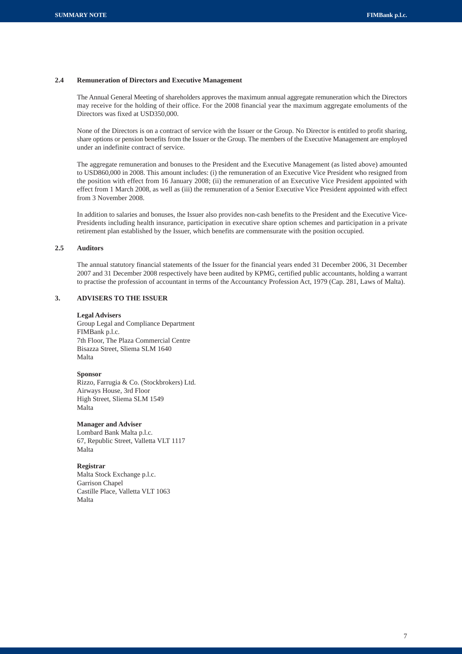## **2.4 Remuneration of Directors and Executive Management**

The Annual General Meeting of shareholders approves the maximum annual aggregate remuneration which the Directors may receive for the holding of their office. For the 2008 financial year the maximum aggregate emoluments of the Directors was fixed at USD350,000.

None of the Directors is on a contract of service with the Issuer or the Group. No Director is entitled to profit sharing, share options or pension benefits from the Issuer or the Group. The members of the Executive Management are employed under an indefinite contract of service.

The aggregate remuneration and bonuses to the President and the Executive Management (as listed above) amounted to USD860,000 in 2008. This amount includes: (i) the remuneration of an Executive Vice President who resigned from the position with effect from 16 January 2008; (ii) the remuneration of an Executive Vice President appointed with effect from 1 March 2008, as well as (iii) the remuneration of a Senior Executive Vice President appointed with effect from 3 November 2008.

In addition to salaries and bonuses, the Issuer also provides non-cash benefits to the President and the Executive Vice-Presidents including health insurance, participation in executive share option schemes and participation in a private retirement plan established by the Issuer, which benefits are commensurate with the position occupied.

## **2.5 Auditors**

The annual statutory financial statements of the Issuer for the financial years ended 31 December 2006, 31 December 2007 and 31 December 2008 respectively have been audited by KPMG, certified public accountants, holding a warrant to practise the profession of accountant in terms of the Accountancy Profession Act, 1979 (Cap. 281, Laws of Malta).

## **3. ADVISERS TO THE ISSUER**

#### **Legal Advisers**

Group Legal and Compliance Department FIMBank p.l.c. 7th Floor, The Plaza Commercial Centre Bisazza Street, Sliema SLM 1640 Malta

#### **Sponsor**

Rizzo, Farrugia & Co. (Stockbrokers) Ltd. Airways House, 3rd Floor High Street, Sliema SLM 1549 Malta

### **Manager and Adviser**

Lombard Bank Malta p.l.c. 67, Republic Street, Valletta VLT 1117 Malta

## **Registrar**

Malta Stock Exchange p.l.c. Garrison Chapel Castille Place, Valletta VLT 1063 Malta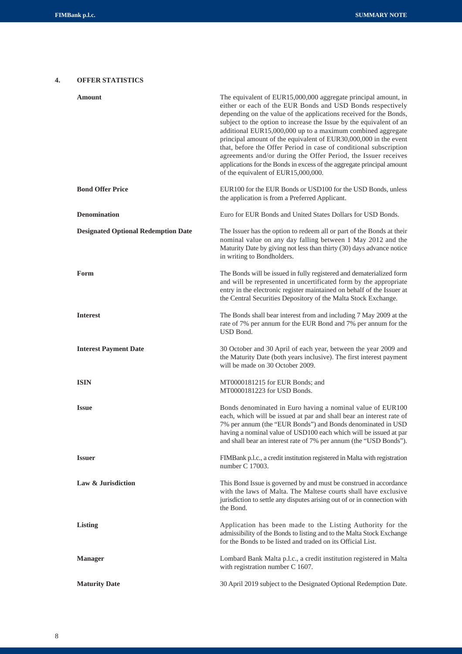## **4. OFFER STATISTICS**

| Amount                                     | The equivalent of EUR15,000,000 aggregate principal amount, in<br>either or each of the EUR Bonds and USD Bonds respectively<br>depending on the value of the applications received for the Bonds,<br>subject to the option to increase the Issue by the equivalent of an<br>additional EUR15,000,000 up to a maximum combined aggregate<br>principal amount of the equivalent of EUR30,000,000 in the event<br>that, before the Offer Period in case of conditional subscription<br>agreements and/or during the Offer Period, the Issuer receives<br>applications for the Bonds in excess of the aggregate principal amount<br>of the equivalent of EUR15,000,000. |
|--------------------------------------------|----------------------------------------------------------------------------------------------------------------------------------------------------------------------------------------------------------------------------------------------------------------------------------------------------------------------------------------------------------------------------------------------------------------------------------------------------------------------------------------------------------------------------------------------------------------------------------------------------------------------------------------------------------------------|
| <b>Bond Offer Price</b>                    | EUR100 for the EUR Bonds or USD100 for the USD Bonds, unless<br>the application is from a Preferred Applicant.                                                                                                                                                                                                                                                                                                                                                                                                                                                                                                                                                       |
| <b>Denomination</b>                        | Euro for EUR Bonds and United States Dollars for USD Bonds.                                                                                                                                                                                                                                                                                                                                                                                                                                                                                                                                                                                                          |
| <b>Designated Optional Redemption Date</b> | The Issuer has the option to redeem all or part of the Bonds at their<br>nominal value on any day falling between 1 May 2012 and the<br>Maturity Date by giving not less than thirty (30) days advance notice<br>in writing to Bondholders.                                                                                                                                                                                                                                                                                                                                                                                                                          |
| Form                                       | The Bonds will be issued in fully registered and dematerialized form<br>and will be represented in uncertificated form by the appropriate<br>entry in the electronic register maintained on behalf of the Issuer at<br>the Central Securities Depository of the Malta Stock Exchange.                                                                                                                                                                                                                                                                                                                                                                                |
| <b>Interest</b>                            | The Bonds shall bear interest from and including 7 May 2009 at the<br>rate of 7% per annum for the EUR Bond and 7% per annum for the<br>USD Bond.                                                                                                                                                                                                                                                                                                                                                                                                                                                                                                                    |
| <b>Interest Payment Date</b>               | 30 October and 30 April of each year, between the year 2009 and<br>the Maturity Date (both years inclusive). The first interest payment<br>will be made on 30 October 2009.                                                                                                                                                                                                                                                                                                                                                                                                                                                                                          |
| <b>ISIN</b>                                | MT0000181215 for EUR Bonds; and<br>MT0000181223 for USD Bonds.                                                                                                                                                                                                                                                                                                                                                                                                                                                                                                                                                                                                       |
| <b>Issue</b>                               | Bonds denominated in Euro having a nominal value of EUR100<br>each, which will be issued at par and shall bear an interest rate of<br>7% per annum (the "EUR Bonds") and Bonds denominated in USD<br>having a nominal value of USD100 each which will be issued at par<br>and shall bear an interest rate of 7% per annum (the "USD Bonds").                                                                                                                                                                                                                                                                                                                         |
| <b>Issuer</b>                              | FIMBank p.l.c., a credit institution registered in Malta with registration<br>number C 17003.                                                                                                                                                                                                                                                                                                                                                                                                                                                                                                                                                                        |
| Law & Jurisdiction                         | This Bond Issue is governed by and must be construed in accordance<br>with the laws of Malta. The Maltese courts shall have exclusive<br>jurisdiction to settle any disputes arising out of or in connection with<br>the Bond.                                                                                                                                                                                                                                                                                                                                                                                                                                       |
| <b>Listing</b>                             | Application has been made to the Listing Authority for the<br>admissibility of the Bonds to listing and to the Malta Stock Exchange<br>for the Bonds to be listed and traded on its Official List.                                                                                                                                                                                                                                                                                                                                                                                                                                                                   |
| <b>Manager</b>                             | Lombard Bank Malta p.l.c., a credit institution registered in Malta<br>with registration number C 1607.                                                                                                                                                                                                                                                                                                                                                                                                                                                                                                                                                              |
| <b>Maturity Date</b>                       | 30 April 2019 subject to the Designated Optional Redemption Date.                                                                                                                                                                                                                                                                                                                                                                                                                                                                                                                                                                                                    |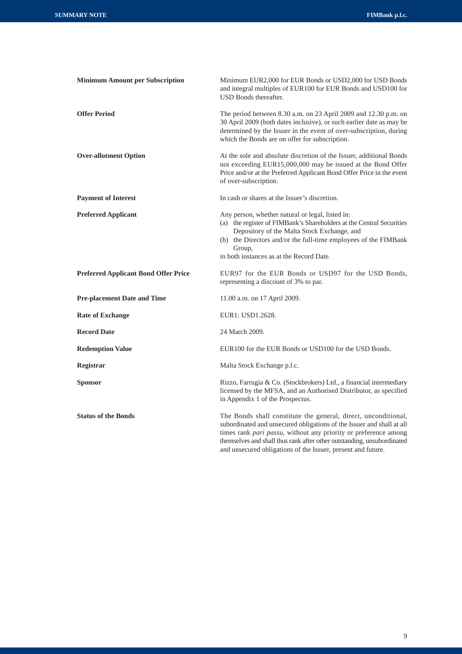| <b>Minimum Amount per Subscription</b>      | Minimum EUR2,000 for EUR Bonds or USD2,000 for USD Bonds<br>and integral multiples of EUR100 for EUR Bonds and USD100 for<br>USD Bonds thereafter.                                                                                                                                                                                                   |
|---------------------------------------------|------------------------------------------------------------------------------------------------------------------------------------------------------------------------------------------------------------------------------------------------------------------------------------------------------------------------------------------------------|
| <b>Offer Period</b>                         | The period between 8.30 a.m. on 23 April 2009 and 12.30 p.m. on<br>30 April 2009 (both dates inclusive), or such earlier date as may be<br>determined by the Issuer in the event of over-subscription, during<br>which the Bonds are on offer for subscription.                                                                                      |
| <b>Over-allotment Option</b>                | At the sole and absolute discretion of the Issuer, additional Bonds<br>not exceeding EUR15,000,000 may be issued at the Bond Offer<br>Price and/or at the Preferred Applicant Bond Offer Price in the event<br>of over-subscription.                                                                                                                 |
| <b>Payment of Interest</b>                  | In cash or shares at the Issuer's discretion.                                                                                                                                                                                                                                                                                                        |
| <b>Preferred Applicant</b>                  | Any person, whether natural or legal, listed in:<br>(a) the register of FIMBank's Shareholders at the Central Securities<br>Depository of the Malta Stock Exchange, and<br>(b) the Directors and/or the full-time employees of the FIMBank<br>Group,<br>in both instances as at the Record Date.                                                     |
| <b>Preferred Applicant Bond Offer Price</b> | EUR97 for the EUR Bonds or USD97 for the USD Bonds,<br>representing a discount of 3% to par.                                                                                                                                                                                                                                                         |
| <b>Pre-placement Date and Time</b>          | 11.00 a.m. on 17 April 2009.                                                                                                                                                                                                                                                                                                                         |
| <b>Rate of Exchange</b>                     | EUR1: USD1.2628.                                                                                                                                                                                                                                                                                                                                     |
| <b>Record Date</b>                          | 24 March 2009.                                                                                                                                                                                                                                                                                                                                       |
| <b>Redemption Value</b>                     | EUR100 for the EUR Bonds or USD100 for the USD Bonds.                                                                                                                                                                                                                                                                                                |
| <b>Registrar</b>                            | Malta Stock Exchange p.l.c.                                                                                                                                                                                                                                                                                                                          |
| Sponsor                                     | Rizzo, Farrugia & Co. (Stockbrokers) Ltd., a financial intermediary<br>licensed by the MFSA, and an Authorised Distributor, as specified<br>in Appendix 1 of the Prospectus.                                                                                                                                                                         |
| <b>Status of the Bonds</b>                  | The Bonds shall constitute the general, direct, unconditional,<br>subordinated and unsecured obligations of the Issuer and shall at all<br>times rank pari passu, without any priority or preference among<br>themselves and shall thus rank after other outstanding, unsubordinated<br>and unsecured obligations of the Issuer, present and future. |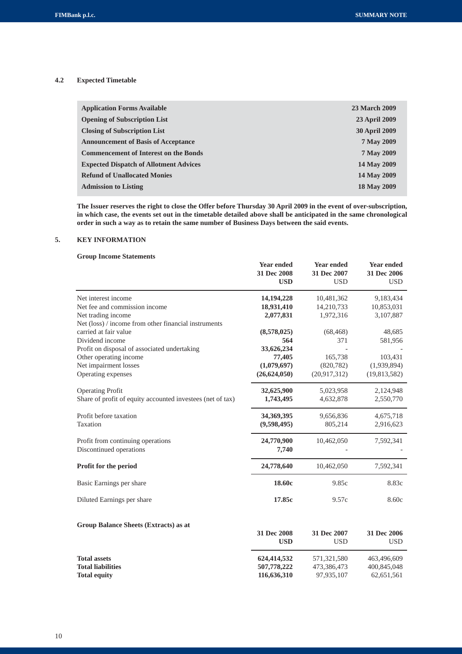## **4.2 Expected Timetable**

| <b>Application Forms Available</b>            | <b>23 March 2009</b> |
|-----------------------------------------------|----------------------|
| <b>Opening of Subscription List</b>           | <b>23 April 2009</b> |
| <b>Closing of Subscription List</b>           | <b>30 April 2009</b> |
| <b>Announcement of Basis of Acceptance</b>    | 7 May 2009           |
| <b>Commencement of Interest on the Bonds</b>  | 7 May 2009           |
| <b>Expected Dispatch of Allotment Advices</b> | 14 May 2009          |
| <b>Refund of Unallocated Monies</b>           | 14 May 2009          |
| <b>Admission to Listing</b>                   | 18 May 2009          |

**The Issuer reserves the right to close the Offer before Thursday 30 April 2009 in the event of over-subscription, in which case, the events set out in the timetable detailed above shall be anticipated in the same chronological order in such a way as to retain the same number of Business Days between the said events.**

## **5. KEY INFORMATION**

## **Group Income Statements**

|                                                            | <b>Year ended</b><br>31 Dec 2008<br><b>USD</b> | <b>Year ended</b><br>31 Dec 2007<br><b>USD</b> | <b>Year ended</b><br>31 Dec 2006<br><b>USD</b> |
|------------------------------------------------------------|------------------------------------------------|------------------------------------------------|------------------------------------------------|
| Net interest income                                        | 14, 194, 228                                   | 10,481,362                                     | 9,183,434                                      |
| Net fee and commission income                              | 18,931,410                                     | 14,210,733                                     | 10,853,031                                     |
| Net trading income                                         | 2,077,831                                      | 1,972,316                                      | 3,107,887                                      |
| Net (loss) / income from other financial instruments       |                                                |                                                |                                                |
| carried at fair value                                      | (8,578,025)                                    | (68, 468)                                      | 48,685                                         |
| Dividend income                                            | 564                                            | 371                                            | 581,956                                        |
| Profit on disposal of associated undertaking               | 33,626,234                                     |                                                |                                                |
| Other operating income                                     | 77,405                                         | 165,738                                        | 103,431                                        |
| Net impairment losses                                      | (1,079,697)                                    | (820, 782)                                     | (1,939,894)                                    |
| Operating expenses                                         | (26, 624, 050)                                 | (20,917,312)                                   | (19,813,582)                                   |
| <b>Operating Profit</b>                                    | 32,625,900                                     | 5,023,958                                      | 2,124,948                                      |
| Share of profit of equity accounted investees (net of tax) | 1,743,495                                      | 4,632,878                                      | 2,550,770                                      |
| Profit before taxation                                     | 34,369,395                                     | 9,656,836                                      | 4,675,718                                      |
| Taxation                                                   | (9,598,495)                                    | 805,214                                        | 2,916,623                                      |
| Profit from continuing operations                          | 24,770,900                                     | 10,462,050                                     | 7,592,341                                      |
| Discontinued operations                                    | 7,740                                          |                                                |                                                |
| Profit for the period                                      | 24,778,640                                     | 10,462,050                                     | 7,592,341                                      |
| Basic Earnings per share                                   | 18.60c                                         | 9.85c                                          | 8.83c                                          |
| Diluted Earnings per share                                 | 17.85c                                         | 9.57c                                          | 8.60c                                          |
| Group Balance Sheets (Extracts) as at                      |                                                |                                                |                                                |
|                                                            | 31 Dec 2008<br><b>USD</b>                      | 31 Dec 2007<br><b>USD</b>                      | 31 Dec 2006<br><b>USD</b>                      |
| <b>Total assets</b>                                        | 624,414,532                                    | 571,321,580                                    | 463,496,609                                    |
| <b>Total liabilities</b>                                   | 507,778,222                                    | 473,386,473                                    | 400,845,048                                    |
| <b>Total equity</b>                                        | 116,636,310                                    | 97,935,107                                     | 62,651,561                                     |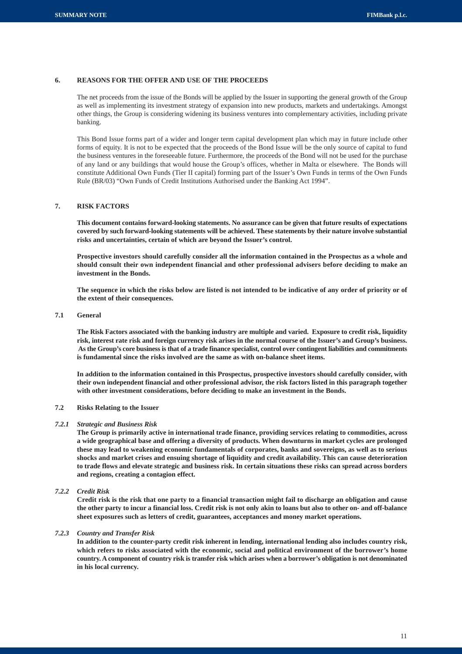## **6. REASONS FOR THE OFFER AND USE OF THE PROCEEDS**

The net proceeds from the issue of the Bonds will be applied by the Issuer in supporting the general growth of the Group as well as implementing its investment strategy of expansion into new products, markets and undertakings. Amongst other things, the Group is considering widening its business ventures into complementary activities, including private banking.

This Bond Issue forms part of a wider and longer term capital development plan which may in future include other forms of equity. It is not to be expected that the proceeds of the Bond Issue will be the only source of capital to fund the business ventures in the foreseeable future. Furthermore, the proceeds of the Bond will not be used for the purchase of any land or any buildings that would house the Group's offices, whether in Malta or elsewhere. The Bonds will constitute Additional Own Funds (Tier II capital) forming part of the Issuer's Own Funds in terms of the Own Funds Rule (BR/03) "Own Funds of Credit Institutions Authorised under the Banking Act 1994".

## **7. RISK FACTORS**

**This document contains forward-looking statements. No assurance can be given that future results of expectations covered by such forward-looking statements will be achieved. These statements by their nature involve substantial risks and uncertainties, certain of which are beyond the Issuer's control.**

**Prospective investors should carefully consider all the information contained in the Prospectus as a whole and should consult their own independent financial and other professional advisers before deciding to make an investment in the Bonds.**

**The sequence in which the risks below are listed is not intended to be indicative of any order of priority or of the extent of their consequences.**

## **7.1 General**

**The Risk Factors associated with the banking industry are multiple and varied. Exposure to credit risk, liquidity risk, interest rate risk and foreign currency risk arises in the normal course of the Issuer's and Group's business. As the Group's core business is that of a trade finance specialist, control over contingent liabilities and commitments is fundamental since the risks involved are the same as with on-balance sheet items.**

**In addition to the information contained in this Prospectus, prospective investors should carefully consider, with their own independent financial and other professional advisor, the risk factors listed in this paragraph together with other investment considerations, before deciding to make an investment in the Bonds.**

## **7.2 Risks Relating to the Issuer**

#### *7.2.1 Strategic and Business Risk*

**The Group is primarily active in international trade finance, providing services relating to commodities, across a wide geographical base and offering a diversity of products. When downturns in market cycles are prolonged these may lead to weakening economic fundamentals of corporates, banks and sovereigns, as well as to serious shocks and market crises and ensuing shortage of liquidity and credit availability. This can cause deterioration to trade flows and elevate strategic and business risk. In certain situations these risks can spread across borders and regions, creating a contagion effect.**

## *7.2.2 Credit Risk*

**Credit risk is the risk that one party to a financial transaction might fail to discharge an obligation and cause the other party to incur a financial loss. Credit risk is not only akin to loans but also to other on- and off-balance sheet exposures such as letters of credit, guarantees, acceptances and money market operations.**

#### *7.2.3 Country and Transfer Risk*

**In addition to the counter-party credit risk inherent in lending, international lending also includes country risk, which refers to risks associated with the economic, social and political environment of the borrower's home country. A component of country risk is transfer risk which arises when a borrower's obligation is not denominated in his local currency.**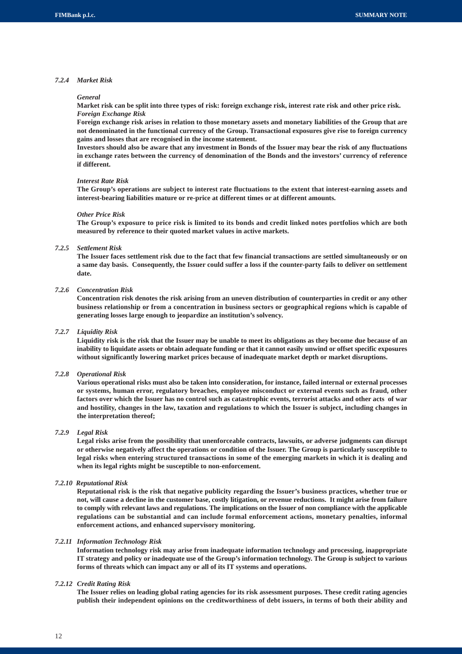## *7.2.4 Market Risk*

#### *General*

**Market risk can be split into three types of risk: foreign exchange risk, interest rate risk and other price risk.** *Foreign Exchange Risk*

**Foreign exchange risk arises in relation to those monetary assets and monetary liabilities of the Group that are not denominated in the functional currency of the Group. Transactional exposures give rise to foreign currency gains and losses that are recognised in the income statement.**

**Investors should also be aware that any investment in Bonds of the Issuer may bear the risk of any fluctuations in exchange rates between the currency of denomination of the Bonds and the investors' currency of reference if different.**

#### *Interest Rate Risk*

**The Group's operations are subject to interest rate fluctuations to the extent that interest-earning assets and interest-bearing liabilities mature or re-price at different times or at different amounts.**

#### *Other Price Risk*

**The Group's exposure to price risk is limited to its bonds and credit linked notes portfolios which are both measured by reference to their quoted market values in active markets.**

## *7.2.5 Settlement Risk*

**The Issuer faces settlement risk due to the fact that few financial transactions are settled simultaneously or on a same day basis. Consequently, the Issuer could suffer a loss if the counter-party fails to deliver on settlement date.**

#### *7.2.6 Concentration Risk*

**Concentration risk denotes the risk arising from an uneven distribution of counterparties in credit or any other business relationship or from a concentration in business sectors or geographical regions which is capable of generating losses large enough to jeopardize an institution's solvency.**

## *7.2.7 Liquidity Risk*

**Liquidity risk is the risk that the Issuer may be unable to meet its obligations as they become due because of an inability to liquidate assets or obtain adequate funding or that it cannot easily unwind or offset specific exposures without significantly lowering market prices because of inadequate market depth or market disruptions.**

#### *7.2.8 Operational Risk*

**Various operational risks must also be taken into consideration, for instance, failed internal or external processes or systems, human error, regulatory breaches, employee misconduct or external events such as fraud, other factors over which the Issuer has no control such as catastrophic events, terrorist attacks and other acts of war and hostility, changes in the law, taxation and regulations to which the Issuer is subject, including changes in the interpretation thereof;**

## *7.2.9 Legal Risk*

**Legal risks arise from the possibility that unenforceable contracts, lawsuits, or adverse judgments can disrupt or otherwise negatively affect the operations or condition of the Issuer. The Group is particularly susceptible to legal risks when entering structured transactions in some of the emerging markets in which it is dealing and when its legal rights might be susceptible to non-enforcement.**

#### *7.2.10 Reputational Risk*

**Reputational risk is the risk that negative publicity regarding the Issuer's business practices, whether true or not, will cause a decline in the customer base, costly litigation, or revenue reductions. It might arise from failure to comply with relevant laws and regulations. The implications on the Issuer of non compliance with the applicable regulations can be substantial and can include formal enforcement actions, monetary penalties, informal enforcement actions, and enhanced supervisory monitoring.**

#### *7.2.11 Information Technology Risk*

**Information technology risk may arise from inadequate information technology and processing, inappropriate IT strategy and policy or inadequate use of the Group's information technology. The Group is subject to various forms of threats which can impact any or all of its IT systems and operations.**

#### *7.2.12 Credit Rating Risk*

**The Issuer relies on leading global rating agencies for its risk assessment purposes. These credit rating agencies publish their independent opinions on the creditworthiness of debt issuers, in terms of both their ability and**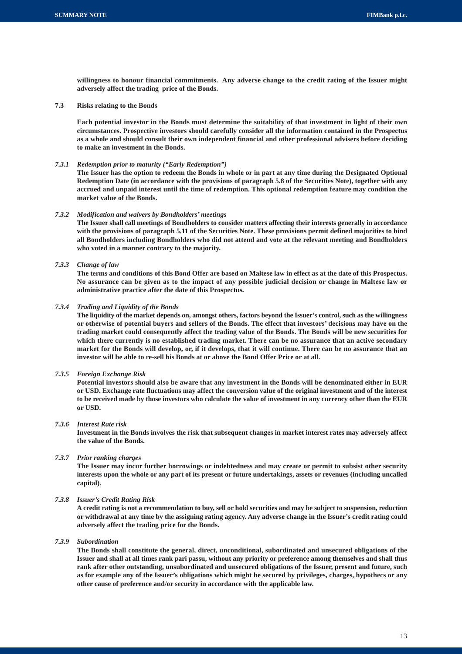**willingness to honour financial commitments. Any adverse change to the credit rating of the Issuer might adversely affect the trading price of the Bonds.**

**7.3 Risks relating to the Bonds**

**Each potential investor in the Bonds must determine the suitability of that investment in light of their own circumstances. Prospective investors should carefully consider all the information contained in the Prospectus as a whole and should consult their own independent financial and other professional advisers before deciding to make an investment in the Bonds.**

#### *7.3.1 Redemption prior to maturity ("Early Redemption")*

**The Issuer has the option to redeem the Bonds in whole or in part at any time during the Designated Optional Redemption Date (in accordance with the provisions of paragraph 5.8 of the Securities Note), together with any accrued and unpaid interest until the time of redemption. This optional redemption feature may condition the market value of the Bonds.**

#### *7.3.2 Modification and waivers by Bondholders' meetings*

**The Issuer shall call meetings of Bondholders to consider matters affecting their interests generally in accordance with the provisions of paragraph 5.11 of the Securities Note. These provisions permit defined majorities to bind all Bondholders including Bondholders who did not attend and vote at the relevant meeting and Bondholders who voted in a manner contrary to the majority.**

## *7.3.3 Change of law*

**The terms and conditions of this Bond Offer are based on Maltese law in effect as at the date of this Prospectus. No assurance can be given as to the impact of any possible judicial decision or change in Maltese law or administrative practice after the date of this Prospectus.**

#### *7.3.4 Trading and Liquidity of the Bonds*

**The liquidity of the market depends on, amongst others, factors beyond the Issuer's control, such as the willingness or otherwise of potential buyers and sellers of the Bonds. The effect that investors' decisions may have on the trading market could consequently affect the trading value of the Bonds. The Bonds will be new securities for which there currently is no established trading market. There can be no assurance that an active secondary market for the Bonds will develop, or, if it develops, that it will continue. There can be no assurance that an investor will be able to re-sell his Bonds at or above the Bond Offer Price or at all.**

## *7.3.5 Foreign Exchange Risk*

**Potential investors should also be aware that any investment in the Bonds will be denominated either in EUR or USD. Exchange rate fluctuations may affect the conversion value of the original investment and of the interest to be received made by those investors who calculate the value of investment in any currency other than the EUR or USD.**

### *7.3.6 Interest Rate risk*

**Investment in the Bonds involves the risk that subsequent changes in market interest rates may adversely affect the value of the Bonds.**

## *7.3.7 Prior ranking charges*

**The Issuer may incur further borrowings or indebtedness and may create or permit to subsist other security interests upon the whole or any part of its present or future undertakings, assets or revenues (including uncalled capital).**

## *7.3.8 Issuer's Credit Rating Risk*

**A credit rating is not a recommendation to buy, sell or hold securities and may be subject to suspension, reduction or withdrawal at any time by the assigning rating agency. Any adverse change in the Issuer's credit rating could adversely affect the trading price for the Bonds.**

*7.3.9 Subordination*

**The Bonds shall constitute the general, direct, unconditional, subordinated and unsecured obligations of the Issuer and shall at all times rank pari passu, without any priority or preference among themselves and shall thus rank after other outstanding, unsubordinated and unsecured obligations of the Issuer, present and future, such as for example any of the Issuer's obligations which might be secured by privileges, charges, hypothecs or any other cause of preference and/or security in accordance with the applicable law.**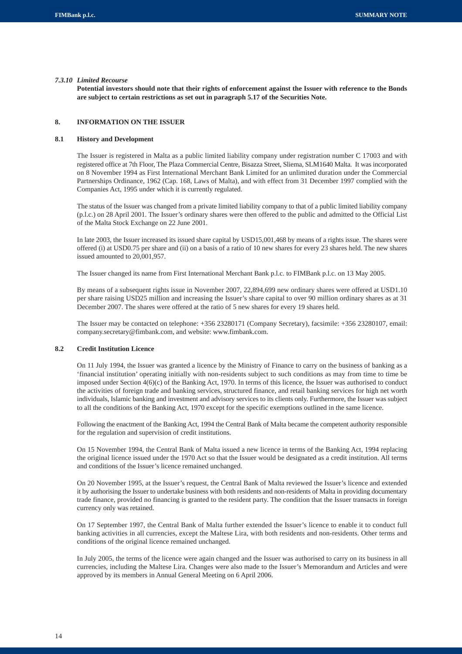#### *7.3.10 Limited Recourse*

**Potential investors should note that their rights of enforcement against the Issuer with reference to the Bonds are subject to certain restrictions as set out in paragraph 5.17 of the Securities Note.**

### **8. INFORMATION ON THE ISSUER**

## **8.1 History and Development**

The Issuer is registered in Malta as a public limited liability company under registration number C 17003 and with registered office at 7th Floor, The Plaza Commercial Centre, Bisazza Street, Sliema, SLM1640 Malta. It was incorporated on 8 November 1994 as First International Merchant Bank Limited for an unlimited duration under the Commercial Partnerships Ordinance, 1962 (Cap. 168, Laws of Malta), and with effect from 31 December 1997 complied with the Companies Act, 1995 under which it is currently regulated.

The status of the Issuer was changed from a private limited liability company to that of a public limited liability company (p.l.c.) on 28 April 2001. The Issuer's ordinary shares were then offered to the public and admitted to the Official List of the Malta Stock Exchange on 22 June 2001.

In late 2003, the Issuer increased its issued share capital by USD15,001,468 by means of a rights issue. The shares were offered (i) at USD0.75 per share and (ii) on a basis of a ratio of 10 new shares for every 23 shares held. The new shares issued amounted to 20,001,957.

The Issuer changed its name from First International Merchant Bank p.l.c. to FIMBank p.l.c. on 13 May 2005.

By means of a subsequent rights issue in November 2007, 22,894,699 new ordinary shares were offered at USD1.10 per share raising USD25 million and increasing the Issuer's share capital to over 90 million ordinary shares as at 31 December 2007. The shares were offered at the ratio of 5 new shares for every 19 shares held.

The Issuer may be contacted on telephone: +356 23280171 (Company Secretary), facsimile: +356 23280107, email: company.secretary@fimbank.com, and website: www.fimbank.com.

## **8.2 Credit Institution Licence**

On 11 July 1994, the Issuer was granted a licence by the Ministry of Finance to carry on the business of banking as a 'financial institution' operating initially with non-residents subject to such conditions as may from time to time be imposed under Section 4(6)(c) of the Banking Act, 1970. In terms of this licence, the Issuer was authorised to conduct the activities of foreign trade and banking services, structured finance, and retail banking services for high net worth individuals, Islamic banking and investment and advisory services to its clients only. Furthermore, the Issuer was subject to all the conditions of the Banking Act, 1970 except for the specific exemptions outlined in the same licence.

Following the enactment of the Banking Act, 1994 the Central Bank of Malta became the competent authority responsible for the regulation and supervision of credit institutions.

On 15 November 1994, the Central Bank of Malta issued a new licence in terms of the Banking Act, 1994 replacing the original licence issued under the 1970 Act so that the Issuer would be designated as a credit institution. All terms and conditions of the Issuer's licence remained unchanged.

On 20 November 1995, at the Issuer's request, the Central Bank of Malta reviewed the Issuer's licence and extended it by authorising the Issuer to undertake business with both residents and non-residents of Malta in providing documentary trade finance, provided no financing is granted to the resident party. The condition that the Issuer transacts in foreign currency only was retained.

On 17 September 1997, the Central Bank of Malta further extended the Issuer's licence to enable it to conduct full banking activities in all currencies, except the Maltese Lira, with both residents and non-residents. Other terms and conditions of the original licence remained unchanged.

In July 2005, the terms of the licence were again changed and the Issuer was authorised to carry on its business in all currencies, including the Maltese Lira. Changes were also made to the Issuer's Memorandum and Articles and were approved by its members in Annual General Meeting on 6 April 2006.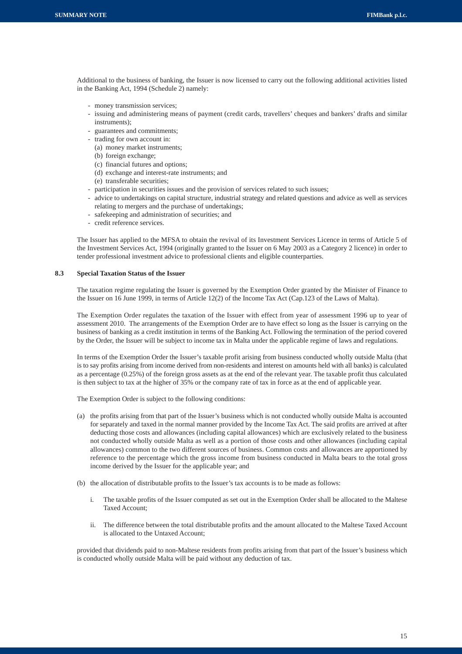Additional to the business of banking, the Issuer is now licensed to carry out the following additional activities listed in the Banking Act, 1994 (Schedule 2) namely:

- money transmission services;
- issuing and administering means of payment (credit cards, travellers' cheques and bankers' drafts and similar instruments);
- guarantees and commitments;
- trading for own account in:
- (a) money market instruments;
- (b) foreign exchange;
- (c) financial futures and options;
- (d) exchange and interest-rate instruments; and
- (e) transferable securities;
- participation in securities issues and the provision of services related to such issues;
- advice to undertakings on capital structure, industrial strategy and related questions and advice as well as services relating to mergers and the purchase of undertakings;
- safekeeping and administration of securities; and
- credit reference services.

The Issuer has applied to the MFSA to obtain the revival of its Investment Services Licence in terms of Article 5 of the Investment Services Act, 1994 (originally granted to the Issuer on 6 May 2003 as a Category 2 licence) in order to tender professional investment advice to professional clients and eligible counterparties.

## **8.3 Special Taxation Status of the Issuer**

The taxation regime regulating the Issuer is governed by the Exemption Order granted by the Minister of Finance to the Issuer on 16 June 1999, in terms of Article 12(2) of the Income Tax Act (Cap.123 of the Laws of Malta).

The Exemption Order regulates the taxation of the Issuer with effect from year of assessment 1996 up to year of assessment 2010. The arrangements of the Exemption Order are to have effect so long as the Issuer is carrying on the business of banking as a credit institution in terms of the Banking Act. Following the termination of the period covered by the Order, the Issuer will be subject to income tax in Malta under the applicable regime of laws and regulations.

In terms of the Exemption Order the Issuer's taxable profit arising from business conducted wholly outside Malta (that is to say profits arising from income derived from non-residents and interest on amounts held with all banks) is calculated as a percentage (0.25%) of the foreign gross assets as at the end of the relevant year. The taxable profit thus calculated is then subject to tax at the higher of 35% or the company rate of tax in force as at the end of applicable year.

The Exemption Order is subject to the following conditions:

- (a) the profits arising from that part of the Issuer's business which is not conducted wholly outside Malta is accounted for separately and taxed in the normal manner provided by the Income Tax Act. The said profits are arrived at after deducting those costs and allowances (including capital allowances) which are exclusively related to the business not conducted wholly outside Malta as well as a portion of those costs and other allowances (including capital allowances) common to the two different sources of business. Common costs and allowances are apportioned by reference to the percentage which the gross income from business conducted in Malta bears to the total gross income derived by the Issuer for the applicable year; and
- (b) the allocation of distributable profits to the Issuer's tax accounts is to be made as follows:
	- i. The taxable profits of the Issuer computed as set out in the Exemption Order shall be allocated to the Maltese Taxed Account;
	- ii. The difference between the total distributable profits and the amount allocated to the Maltese Taxed Account is allocated to the Untaxed Account;

provided that dividends paid to non-Maltese residents from profits arising from that part of the Issuer's business which is conducted wholly outside Malta will be paid without any deduction of tax.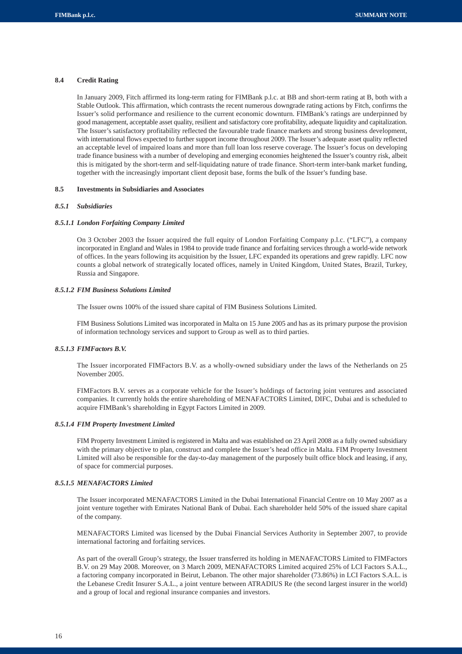## **8.4 Credit Rating**

In January 2009, Fitch affirmed its long-term rating for FIMBank p.l.c. at BB and short-term rating at B, both with a Stable Outlook. This affirmation, which contrasts the recent numerous downgrade rating actions by Fitch, confirms the Issuer's solid performance and resilience to the current economic downturn. FIMBank's ratings are underpinned by good management, acceptable asset quality, resilient and satisfactory core profitability, adequate liquidity and capitalization. The Issuer's satisfactory profitability reflected the favourable trade finance markets and strong business development, with international flows expected to further support income throughout 2009. The Issuer's adequate asset quality reflected an acceptable level of impaired loans and more than full loan loss reserve coverage. The Issuer's focus on developing trade finance business with a number of developing and emerging economies heightened the Issuer's country risk, albeit this is mitigated by the short-term and self-liquidating nature of trade finance. Short-term inter-bank market funding, together with the increasingly important client deposit base, forms the bulk of the Issuer's funding base.

#### **8.5 Investments in Subsidiaries and Associates**

#### *8.5.1 Subsidiaries*

## *8.5.1.1 London Forfaiting Company Limited*

On 3 October 2003 the Issuer acquired the full equity of London Forfaiting Company p.l.c. ("LFC"), a company incorporated in England and Wales in 1984 to provide trade finance and forfaiting services through a world-wide network of offices. In the years following its acquisition by the Issuer, LFC expanded its operations and grew rapidly. LFC now counts a global network of strategically located offices, namely in United Kingdom, United States, Brazil, Turkey, Russia and Singapore.

#### *8.5.1.2 FIM Business Solutions Limited*

The Issuer owns 100% of the issued share capital of FIM Business Solutions Limited.

FIM Business Solutions Limited was incorporated in Malta on 15 June 2005 and has as its primary purpose the provision of information technology services and support to Group as well as to third parties.

## *8.5.1.3 FIMFactors B.V.*

The Issuer incorporated FIMFactors B.V. as a wholly-owned subsidiary under the laws of the Netherlands on 25 November 2005.

FIMFactors B.V. serves as a corporate vehicle for the Issuer's holdings of factoring joint ventures and associated companies. It currently holds the entire shareholding of MENAFACTORS Limited, DIFC, Dubai and is scheduled to acquire FIMBank's shareholding in Egypt Factors Limited in 2009.

## *8.5.1.4 FIM Property Investment Limited*

FIM Property Investment Limited is registered in Malta and was established on 23 April 2008 as a fully owned subsidiary with the primary objective to plan, construct and complete the Issuer's head office in Malta. FIM Property Investment Limited will also be responsible for the day-to-day management of the purposely built office block and leasing, if any, of space for commercial purposes.

## *8.5.1.5 MENAFACTORS Limited*

The Issuer incorporated MENAFACTORS Limited in the Dubai International Financial Centre on 10 May 2007 as a joint venture together with Emirates National Bank of Dubai. Each shareholder held 50% of the issued share capital of the company.

MENAFACTORS Limited was licensed by the Dubai Financial Services Authority in September 2007, to provide international factoring and forfaiting services.

As part of the overall Group's strategy, the Issuer transferred its holding in MENAFACTORS Limited to FIMFactors B.V. on 29 May 2008. Moreover, on 3 March 2009, MENAFACTORS Limited acquired 25% of LCI Factors S.A.L., a factoring company incorporated in Beirut, Lebanon. The other major shareholder (73.86%) in LCI Factors S.A.L. is the Lebanese Credit Insurer S.A.L., a joint venture between ATRADIUS Re (the second largest insurer in the world) and a group of local and regional insurance companies and investors.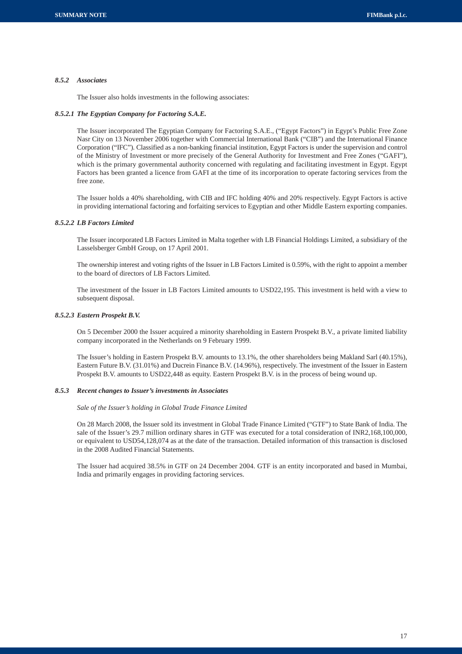#### *8.5.2 Associates*

The Issuer also holds investments in the following associates:

## *8.5.2.1 The Egyptian Company for Factoring S.A.E.*

The Issuer incorporated The Egyptian Company for Factoring S.A.E., ("Egypt Factors") in Egypt's Public Free Zone Nasr City on 13 November 2006 together with Commercial International Bank ("CIB") and the International Finance Corporation ("IFC"). Classified as a non-banking financial institution, Egypt Factors is under the supervision and control of the Ministry of Investment or more precisely of the General Authority for Investment and Free Zones ("GAFI"), which is the primary governmental authority concerned with regulating and facilitating investment in Egypt. Egypt Factors has been granted a licence from GAFI at the time of its incorporation to operate factoring services from the free zone.

The Issuer holds a 40% shareholding, with CIB and IFC holding 40% and 20% respectively. Egypt Factors is active in providing international factoring and forfaiting services to Egyptian and other Middle Eastern exporting companies.

## *8.5.2.2 LB Factors Limited*

The Issuer incorporated LB Factors Limited in Malta together with LB Financial Holdings Limited, a subsidiary of the Lasselsberger GmbH Group, on 17 April 2001.

The ownership interest and voting rights of the Issuer in LB Factors Limited is 0.59%, with the right to appoint a member to the board of directors of LB Factors Limited.

The investment of the Issuer in LB Factors Limited amounts to USD22,195. This investment is held with a view to subsequent disposal.

#### *8.5.2.3 Eastern Prospekt B.V.*

On 5 December 2000 the Issuer acquired a minority shareholding in Eastern Prospekt B.V., a private limited liability company incorporated in the Netherlands on 9 February 1999.

The Issuer's holding in Eastern Prospekt B.V. amounts to 13.1%, the other shareholders being Makland Sarl (40.15%), Eastern Future B.V. (31.01%) and Ducrein Finance B.V. (14.96%), respectively. The investment of the Issuer in Eastern Prospekt B.V. amounts to USD22,448 as equity. Eastern Prospekt B.V. is in the process of being wound up.

## *8.5.3 Recent changes to Issuer's investments in Associates*

*Sale of the Issuer's holding in Global Trade Finance Limited*

On 28 March 2008, the Issuer sold its investment in Global Trade Finance Limited ("GTF") to State Bank of India. The sale of the Issuer's 29.7 million ordinary shares in GTF was executed for a total consideration of INR2,168,100,000, or equivalent to USD54,128,074 as at the date of the transaction. Detailed information of this transaction is disclosed in the 2008 Audited Financial Statements.

The Issuer had acquired 38.5% in GTF on 24 December 2004. GTF is an entity incorporated and based in Mumbai, India and primarily engages in providing factoring services.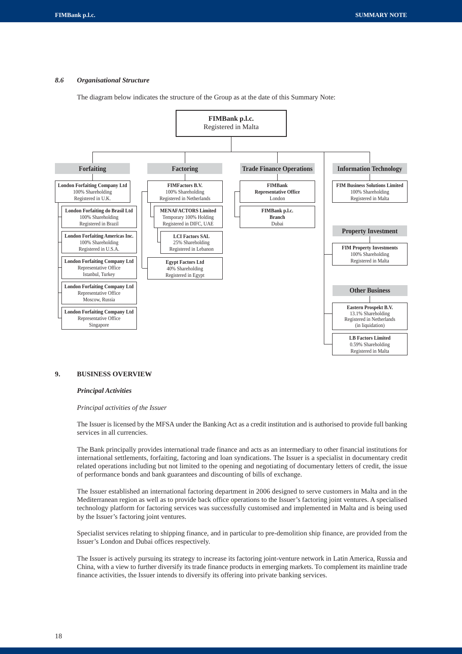## *8.6 Organisational Structure*

The diagram below indicates the structure of the Group as at the date of this Summary Note:



## **9. BUSINESS OVERVIEW**

#### *Principal Activities*

#### *Principal activities of the Issuer*

The Issuer is licensed by the MFSA under the Banking Act as a credit institution and is authorised to provide full banking services in all currencies.

The Bank principally provides international trade finance and acts as an intermediary to other financial institutions for international settlements, forfaiting, factoring and loan syndications. The Issuer is a specialist in documentary credit related operations including but not limited to the opening and negotiating of documentary letters of credit, the issue of performance bonds and bank guarantees and discounting of bills of exchange.

The Issuer established an international factoring department in 2006 designed to serve customers in Malta and in the Mediterranean region as well as to provide back office operations to the Issuer's factoring joint ventures. A specialised technology platform for factoring services was successfully customised and implemented in Malta and is being used by the Issuer's factoring joint ventures.

Specialist services relating to shipping finance, and in particular to pre-demolition ship finance, are provided from the Issuer's London and Dubai offices respectively.

The Issuer is actively pursuing its strategy to increase its factoring joint-venture network in Latin America, Russia and China, with a view to further diversify its trade finance products in emerging markets. To complement its mainline trade finance activities, the Issuer intends to diversify its offering into private banking services.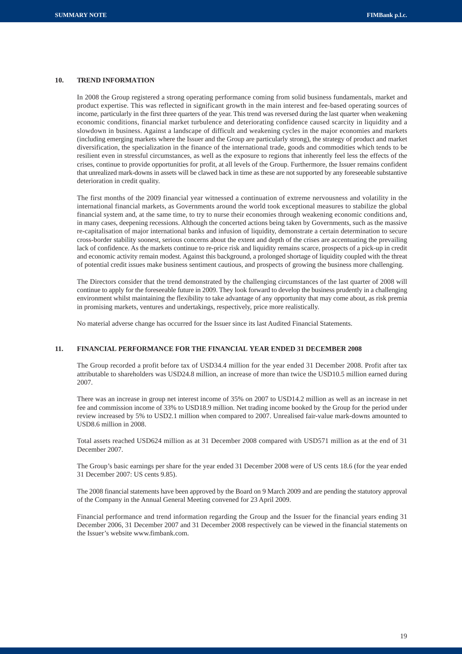## **10. TREND INFORMATION**

In 2008 the Group registered a strong operating performance coming from solid business fundamentals, market and product expertise. This was reflected in significant growth in the main interest and fee-based operating sources of income, particularly in the first three quarters of the year. This trend was reversed during the last quarter when weakening economic conditions, financial market turbulence and deteriorating confidence caused scarcity in liquidity and a slowdown in business. Against a landscape of difficult and weakening cycles in the major economies and markets (including emerging markets where the Issuer and the Group are particularly strong), the strategy of product and market diversification, the specialization in the finance of the international trade, goods and commodities which tends to be resilient even in stressful circumstances, as well as the exposure to regions that inherently feel less the effects of the crises, continue to provide opportunities for profit, at all levels of the Group. Furthermore, the Issuer remains confident that unrealized mark-downs in assets will be clawed back in time as these are not supported by any foreseeable substantive deterioration in credit quality.

The first months of the 2009 financial year witnessed a continuation of extreme nervousness and volatility in the international financial markets, as Governments around the world took exceptional measures to stabilize the global financial system and, at the same time, to try to nurse their economies through weakening economic conditions and, in many cases, deepening recessions. Although the concerted actions being taken by Governments, such as the massive re-capitalisation of major international banks and infusion of liquidity, demonstrate a certain determination to secure cross-border stability soonest, serious concerns about the extent and depth of the crises are accentuating the prevailing lack of confidence. As the markets continue to re-price risk and liquidity remains scarce, prospects of a pick-up in credit and economic activity remain modest. Against this background, a prolonged shortage of liquidity coupled with the threat of potential credit issues make business sentiment cautious, and prospects of growing the business more challenging.

The Directors consider that the trend demonstrated by the challenging circumstances of the last quarter of 2008 will continue to apply for the foreseeable future in 2009. They look forward to develop the business prudently in a challenging environment whilst maintaining the flexibility to take advantage of any opportunity that may come about, as risk premia in promising markets, ventures and undertakings, respectively, price more realistically.

No material adverse change has occurred for the Issuer since its last Audited Financial Statements.

#### **11. FINANCIAL PERFORMANCE FOR THE FINANCIAL YEAR ENDED 31 DECEMBER 2008**

The Group recorded a profit before tax of USD34.4 million for the year ended 31 December 2008. Profit after tax attributable to shareholders was USD24.8 million, an increase of more than twice the USD10.5 million earned during 2007.

There was an increase in group net interest income of 35% on 2007 to USD14.2 million as well as an increase in net fee and commission income of 33% to USD18.9 million. Net trading income booked by the Group for the period under review increased by 5% to USD2.1 million when compared to 2007. Unrealised fair-value mark-downs amounted to USD8.6 million in 2008.

Total assets reached USD624 million as at 31 December 2008 compared with USD571 million as at the end of 31 December 2007.

The Group's basic earnings per share for the year ended 31 December 2008 were of US cents 18.6 (for the year ended 31 December 2007: US cents 9.85).

The 2008 financial statements have been approved by the Board on 9 March 2009 and are pending the statutory approval of the Company in the Annual General Meeting convened for 23 April 2009.

Financial performance and trend information regarding the Group and the Issuer for the financial years ending 31 December 2006, 31 December 2007 and 31 December 2008 respectively can be viewed in the financial statements on the Issuer's website www.fimbank.com.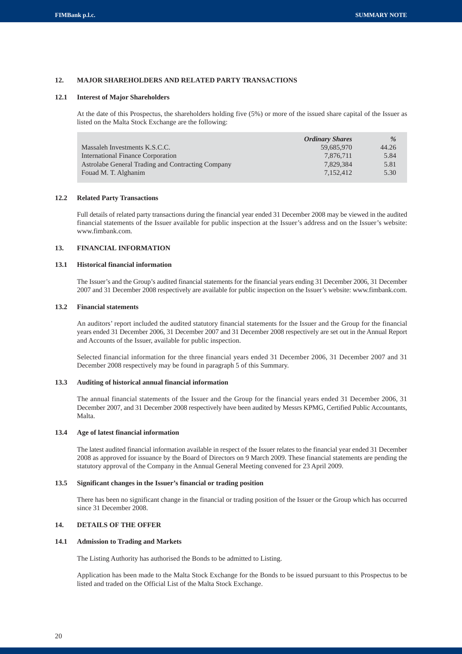## **12. MAJOR SHAREHOLDERS AND RELATED PARTY TRANSACTIONS**

#### **12.1 Interest of Major Shareholders**

At the date of this Prospectus, the shareholders holding five (5%) or more of the issued share capital of the Issuer as listed on the Malta Stock Exchange are the following:

|                                                   | <b>Ordinary Shares</b> | $\%$  |
|---------------------------------------------------|------------------------|-------|
| Massaleh Investments K.S.C.C.                     | 59.685.970             | 44.26 |
| International Finance Corporation                 | 7.876.711              | 5.84  |
| Astrolabe General Trading and Contracting Company | 7.829.384              | 5.81  |
| Fouad M. T. Alghanim                              | 7.152.412              | 5.30  |

#### **12.2 Related Party Transactions**

Full details of related party transactions during the financial year ended 31 December 2008 may be viewed in the audited financial statements of the Issuer available for public inspection at the Issuer's address and on the Issuer's website: www.fimbank.com.

#### **13. FINANCIAL INFORMATION**

## **13.1 Historical financial information**

The Issuer's and the Group's audited financial statements for the financial years ending 31 December 2006, 31 December 2007 and 31 December 2008 respectively are available for public inspection on the Issuer's website: www.fimbank.com.

#### **13.2 Financial statements**

An auditors' report included the audited statutory financial statements for the Issuer and the Group for the financial years ended 31 December 2006, 31 December 2007 and 31 December 2008 respectively are set out in the Annual Report and Accounts of the Issuer, available for public inspection.

Selected financial information for the three financial years ended 31 December 2006, 31 December 2007 and 31 December 2008 respectively may be found in paragraph 5 of this Summary.

#### **13.3 Auditing of historical annual financial information**

The annual financial statements of the Issuer and the Group for the financial years ended 31 December 2006, 31 December 2007, and 31 December 2008 respectively have been audited by Messrs KPMG, Certified Public Accountants, Malta.

## **13.4 Age of latest financial information**

The latest audited financial information available in respect of the Issuer relates to the financial year ended 31 December 2008 as approved for issuance by the Board of Directors on 9 March 2009. These financial statements are pending the statutory approval of the Company in the Annual General Meeting convened for 23 April 2009.

## **13.5 Significant changes in the Issuer's financial or trading position**

There has been no significant change in the financial or trading position of the Issuer or the Group which has occurred since 31 December 2008.

## **14. DETAILS OF THE OFFER**

## **14.1 Admission to Trading and Markets**

The Listing Authority has authorised the Bonds to be admitted to Listing.

Application has been made to the Malta Stock Exchange for the Bonds to be issued pursuant to this Prospectus to be listed and traded on the Official List of the Malta Stock Exchange.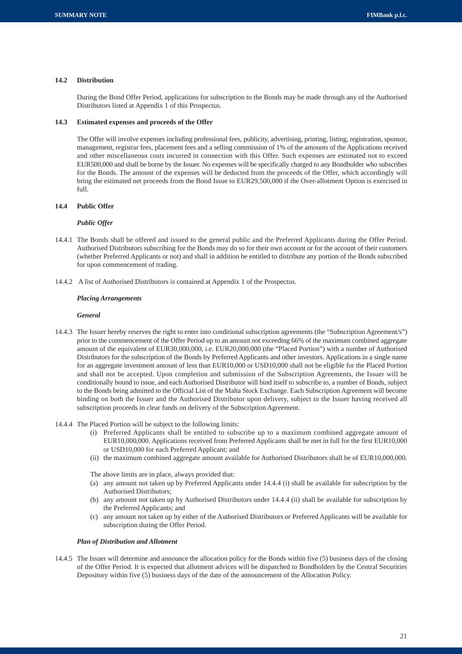## **14.2 Distribution**

During the Bond Offer Period, applications for subscription to the Bonds may be made through any of the Authorised Distributors listed at Appendix 1 of this Prospectus.

## **14.3 Estimated expenses and proceeds of the Offer**

The Offer will involve expenses including professional fees, publicity, advertising, printing, listing, registration, sponsor, management, registrar fees, placement fees and a selling commission of 1% of the amounts of the Applications received and other miscellaneous costs incurred in connection with this Offer. Such expenses are estimated not to exceed EUR500,000 and shall be borne by the Issuer. No expenses will be specifically charged to any Bondholder who subscribes for the Bonds. The amount of the expenses will be deducted from the proceeds of the Offer, which accordingly will bring the estimated net proceeds from the Bond Issue to EUR29,500,000 if the Over-allotment Option is exercised in full.

## **14.4 Public Offer**

#### *Public Offer*

- 14.4.1 The Bonds shall be offered and issued to the general public and the Preferred Applicants during the Offer Period. Authorised Distributors subscribing for the Bonds may do so for their own account or for the account of their customers (whether Preferred Applicants or not) and shall in addition be entitled to distribute any portion of the Bonds subscribed for upon commencement of trading.
- 14.4.2 A list of Authorised Distributors is contained at Appendix 1 of the Prospectus.

#### *Placing Arrangements*

#### *General*

- 14.4.3 The Issuer hereby reserves the right to enter into conditional subscription agreements (the "Subscription Agreement/s") prior to the commencement of the Offer Period up to an amount not exceeding 66% of the maximum combined aggregate amount of the equivalent of EUR30,000,000, i.e. EUR20,000,000 (the "Placed Portion") with a number of Authorised Distributors for the subscription of the Bonds by Preferred Applicants and other investors. Applications in a single name for an aggregate investment amount of less than EUR10,000 or USD10,000 shall not be eligible for the Placed Portion and shall not be accepted. Upon completion and submission of the Subscription Agreements, the Issuer will be conditionally bound to issue, and each Authorised Distributor will bind itself to subscribe to, a number of Bonds, subject to the Bonds being admitted to the Official List of the Malta Stock Exchange. Each Subscription Agreement will become binding on both the Issuer and the Authorised Distributor upon delivery, subject to the Issuer having received all subscription proceeds in clear funds on delivery of the Subscription Agreement.
- 14.4.4 The Placed Portion will be subject to the following limits:
	- (i) Preferred Applicants shall be entitled to subscribe up to a maximum combined aggregate amount of EUR10,000,000. Applications received from Preferred Applicants shall be met in full for the first EUR10,000 or USD10,000 for each Preferred Applicant; and
	- (ii) the maximum combined aggregate amount available for Authorised Distributors shall be of EUR10,000,000.

The above limits are in place, always provided that:

- (a) any amount not taken up by Preferred Applicants under 14.4.4 (i) shall be available for subscription by the Authorised Distributors;
- (b) any amount not taken up by Authorised Distributors under 14.4.4 (ii) shall be available for subscription by the Preferred Applicants; and
- (c) any amount not taken up by either of the Authorised Distributors or Preferred Applicants will be available for subscription during the Offer Period.

## *Plan of Distribution and Allotment*

14.4.5 The Issuer will determine and announce the allocation policy for the Bonds within five (5) business days of the closing of the Offer Period. It is expected that allotment advices will be dispatched to Bondholders by the Central Securities Depository within five (5) business days of the date of the announcement of the Allocation Policy.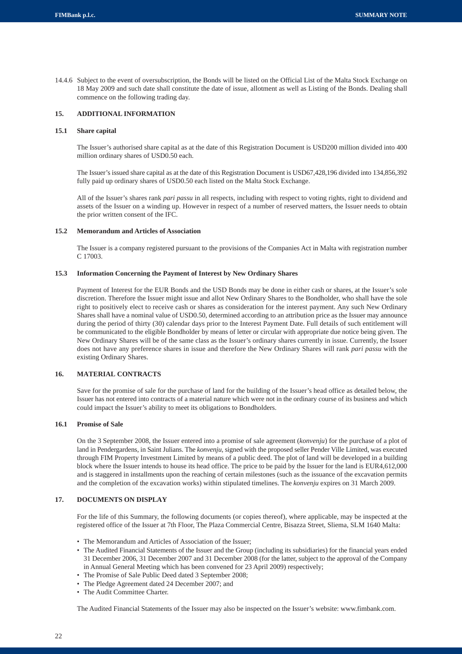14.4.6 Subject to the event of oversubscription, the Bonds will be listed on the Official List of the Malta Stock Exchange on 18 May 2009 and such date shall constitute the date of issue, allotment as well as Listing of the Bonds. Dealing shall commence on the following trading day.

## **15. ADDITIONAL INFORMATION**

## **15.1 Share capital**

The Issuer's authorised share capital as at the date of this Registration Document is USD200 million divided into 400 million ordinary shares of USD0.50 each.

The Issuer's issued share capital as at the date of this Registration Document is USD67,428,196 divided into 134,856,392 fully paid up ordinary shares of USD0.50 each listed on the Malta Stock Exchange.

All of the Issuer's shares rank *pari passu* in all respects, including with respect to voting rights, right to dividend and assets of the Issuer on a winding up. However in respect of a number of reserved matters, the Issuer needs to obtain the prior written consent of the IFC.

## **15.2 Memorandum and Articles of Association**

The Issuer is a company registered pursuant to the provisions of the Companies Act in Malta with registration number  $C$  17003.

## **15.3 Information Concerning the Payment of Interest by New Ordinary Shares**

Payment of Interest for the EUR Bonds and the USD Bonds may be done in either cash or shares, at the Issuer's sole discretion. Therefore the Issuer might issue and allot New Ordinary Shares to the Bondholder, who shall have the sole right to positively elect to receive cash or shares as consideration for the interest payment. Any such New Ordinary Shares shall have a nominal value of USD0.50, determined according to an attribution price as the Issuer may announce during the period of thirty (30) calendar days prior to the Interest Payment Date. Full details of such entitlement will be communicated to the eligible Bondholder by means of letter or circular with appropriate due notice being given. The New Ordinary Shares will be of the same class as the Issuer's ordinary shares currently in issue. Currently, the Issuer does not have any preference shares in issue and therefore the New Ordinary Shares will rank *pari passu* with the existing Ordinary Shares.

## **16. MATERIAL CONTRACTS**

Save for the promise of sale for the purchase of land for the building of the Issuer's head office as detailed below, the Issuer has not entered into contracts of a material nature which were not in the ordinary course of its business and which could impact the Issuer's ability to meet its obligations to Bondholders.

## **16.1 Promise of Sale**

On the 3 September 2008, the Issuer entered into a promise of sale agreement (*konvenju*) for the purchase of a plot of land in Pendergardens, in Saint Julians. The *konvenju*, signed with the proposed seller Pender Ville Limited, was executed through FIM Property Investment Limited by means of a public deed. The plot of land will be developed in a building block where the Issuer intends to house its head office. The price to be paid by the Issuer for the land is EUR4,612,000 and is staggered in installments upon the reaching of certain milestones (such as the issuance of the excavation permits and the completion of the excavation works) within stipulated timelines. The *konvenju* expires on 31 March 2009.

## **17. DOCUMENTS ON DISPLAY**

For the life of this Summary, the following documents (or copies thereof), where applicable, may be inspected at the registered office of the Issuer at 7th Floor, The Plaza Commercial Centre, Bisazza Street, Sliema, SLM 1640 Malta:

- The Memorandum and Articles of Association of the Issuer;
- The Audited Financial Statements of the Issuer and the Group (including its subsidiaries) for the financial years ended 31 December 2006, 31 December 2007 and 31 December 2008 (for the latter, subject to the approval of the Company in Annual General Meeting which has been convened for 23 April 2009) respectively;
- The Promise of Sale Public Deed dated 3 September 2008;
- The Pledge Agreement dated 24 December 2007; and
- The Audit Committee Charter.

The Audited Financial Statements of the Issuer may also be inspected on the Issuer's website: www.fimbank.com.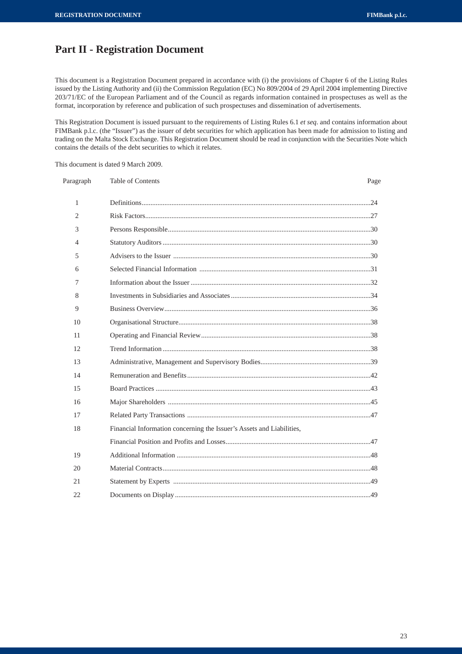# **Part II - Registration Document**

This document is a Registration Document prepared in accordance with (i) the provisions of Chapter 6 of the Listing Rules issued by the Listing Authority and (ii) the Commission Regulation (EC) No 809/2004 of 29 April 2004 implementing Directive 203/71/EC of the European Parliament and of the Council as regards information contained in prospectuses as well as the format, incorporation by reference and publication of such prospectuses and dissemination of advertisements.

This Registration Document is issued pursuant to the requirements of Listing Rules 6.1 *et seq*. and contains information about FIMBank p.l.c. (the "Issuer") as the issuer of debt securities for which application has been made for admission to listing and trading on the Malta Stock Exchange. This Registration Document should be read in conjunction with the Securities Note which contains the details of the debt securities to which it relates.

This document is dated 9 March 2009.

| Paragraph      | Table of Contents                                                     | Page |
|----------------|-----------------------------------------------------------------------|------|
| 1              |                                                                       |      |
| $\overline{2}$ |                                                                       |      |
| 3              |                                                                       |      |
| 4              |                                                                       |      |
| 5              |                                                                       |      |
| 6              |                                                                       |      |
| 7              |                                                                       |      |
| 8              |                                                                       |      |
| 9              |                                                                       |      |
| 10             |                                                                       |      |
| 11             |                                                                       |      |
| 12             |                                                                       |      |
| 13             |                                                                       |      |
| 14             |                                                                       |      |
| 15             |                                                                       |      |
| 16             |                                                                       |      |
| 17             |                                                                       |      |
| 18             | Financial Information concerning the Issuer's Assets and Liabilities, |      |
|                |                                                                       |      |
| 19             |                                                                       |      |
| 20             |                                                                       |      |
| 21             |                                                                       |      |
| 22             |                                                                       |      |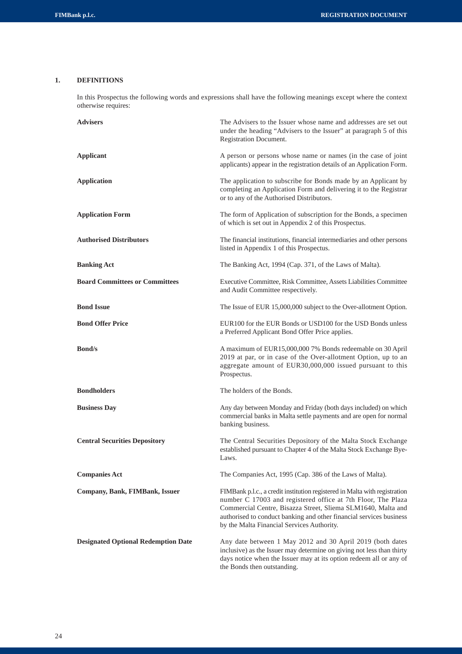## **1. DEFINITIONS**

In this Prospectus the following words and expressions shall have the following meanings except where the context otherwise requires:

| <b>Advisers</b>                            | The Advisers to the Issuer whose name and addresses are set out<br>under the heading "Advisers to the Issuer" at paragraph 5 of this<br>Registration Document.                                                                                                                                                                  |
|--------------------------------------------|---------------------------------------------------------------------------------------------------------------------------------------------------------------------------------------------------------------------------------------------------------------------------------------------------------------------------------|
| <b>Applicant</b>                           | A person or persons whose name or names (in the case of joint<br>applicants) appear in the registration details of an Application Form.                                                                                                                                                                                         |
| <b>Application</b>                         | The application to subscribe for Bonds made by an Applicant by<br>completing an Application Form and delivering it to the Registrar<br>or to any of the Authorised Distributors.                                                                                                                                                |
| <b>Application Form</b>                    | The form of Application of subscription for the Bonds, a specimen<br>of which is set out in Appendix 2 of this Prospectus.                                                                                                                                                                                                      |
| <b>Authorised Distributors</b>             | The financial institutions, financial intermediaries and other persons<br>listed in Appendix 1 of this Prospectus.                                                                                                                                                                                                              |
| <b>Banking Act</b>                         | The Banking Act, 1994 (Cap. 371, of the Laws of Malta).                                                                                                                                                                                                                                                                         |
| <b>Board Committees or Committees</b>      | Executive Committee, Risk Committee, Assets Liabilities Committee<br>and Audit Committee respectively.                                                                                                                                                                                                                          |
| <b>Bond Issue</b>                          | The Issue of EUR 15,000,000 subject to the Over-allotment Option.                                                                                                                                                                                                                                                               |
| <b>Bond Offer Price</b>                    | EUR100 for the EUR Bonds or USD100 for the USD Bonds unless<br>a Preferred Applicant Bond Offer Price applies.                                                                                                                                                                                                                  |
| <b>Bond/s</b>                              | A maximum of EUR15,000,000 7% Bonds redeemable on 30 April<br>2019 at par, or in case of the Over-allotment Option, up to an<br>aggregate amount of EUR30,000,000 issued pursuant to this<br>Prospectus.                                                                                                                        |
| <b>Bondholders</b>                         | The holders of the Bonds.                                                                                                                                                                                                                                                                                                       |
| <b>Business Day</b>                        | Any day between Monday and Friday (both days included) on which<br>commercial banks in Malta settle payments and are open for normal<br>banking business.                                                                                                                                                                       |
| <b>Central Securities Depository</b>       | The Central Securities Depository of the Malta Stock Exchange<br>established pursuant to Chapter 4 of the Malta Stock Exchange Bye-<br>Laws.                                                                                                                                                                                    |
| <b>Companies Act</b>                       | The Companies Act, 1995 (Cap. 386 of the Laws of Malta).                                                                                                                                                                                                                                                                        |
| Company, Bank, FIMBank, Issuer             | FIMBank p.l.c., a credit institution registered in Malta with registration<br>number C 17003 and registered office at 7th Floor, The Plaza<br>Commercial Centre, Bisazza Street, Sliema SLM1640, Malta and<br>authorised to conduct banking and other financial services business<br>by the Malta Financial Services Authority. |
| <b>Designated Optional Redemption Date</b> | Any date between 1 May 2012 and 30 April 2019 (both dates<br>inclusive) as the Issuer may determine on giving not less than thirty<br>days notice when the Issuer may at its option redeem all or any of<br>the Bonds then outstanding.                                                                                         |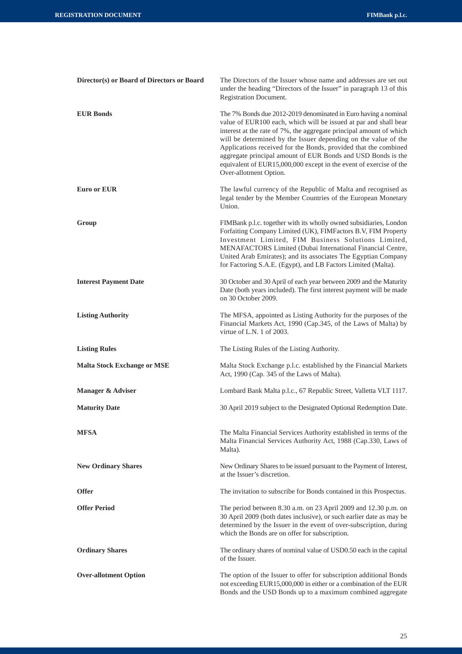| Director(s) or Board of Directors or Board | The Directors of the Issuer whose name and addresses are set out<br>under the heading "Directors of the Issuer" in paragraph 13 of this<br>Registration Document.                                                                                                                                                                                                                                                                                                                                               |  |  |
|--------------------------------------------|-----------------------------------------------------------------------------------------------------------------------------------------------------------------------------------------------------------------------------------------------------------------------------------------------------------------------------------------------------------------------------------------------------------------------------------------------------------------------------------------------------------------|--|--|
| <b>EUR Bonds</b>                           | The 7% Bonds due 2012-2019 denominated in Euro having a nominal<br>value of EUR100 each, which will be issued at par and shall bear<br>interest at the rate of 7%, the aggregate principal amount of which<br>will be determined by the Issuer depending on the value of the<br>Applications received for the Bonds, provided that the combined<br>aggregate principal amount of EUR Bonds and USD Bonds is the<br>equivalent of EUR15,000,000 except in the event of exercise of the<br>Over-allotment Option. |  |  |
| <b>Euro or EUR</b>                         | The lawful currency of the Republic of Malta and recognised as<br>legal tender by the Member Countries of the European Monetary<br>Union.                                                                                                                                                                                                                                                                                                                                                                       |  |  |
| Group                                      | FIMBank p.l.c. together with its wholly owned subsidiaries, London<br>Forfaiting Company Limited (UK), FIMFactors B.V, FIM Property<br>Investment Limited, FIM Business Solutions Limited,<br>MENAFACTORS Limited (Dubai International Financial Centre,<br>United Arab Emirates); and its associates The Egyptian Company<br>for Factoring S.A.E. (Egypt), and LB Factors Limited (Malta).                                                                                                                     |  |  |
| <b>Interest Payment Date</b>               | 30 October and 30 April of each year between 2009 and the Maturity<br>Date (both years included). The first interest payment will be made<br>on 30 October 2009.                                                                                                                                                                                                                                                                                                                                                |  |  |
| <b>Listing Authority</b>                   | The MFSA, appointed as Listing Authority for the purposes of the<br>Financial Markets Act, 1990 (Cap.345, of the Laws of Malta) by<br>virtue of L.N. $1$ of 2003.                                                                                                                                                                                                                                                                                                                                               |  |  |
| <b>Listing Rules</b>                       | The Listing Rules of the Listing Authority.                                                                                                                                                                                                                                                                                                                                                                                                                                                                     |  |  |
| <b>Malta Stock Exchange or MSE</b>         | Malta Stock Exchange p.l.c. established by the Financial Markets<br>Act, 1990 (Cap. 345 of the Laws of Malta).                                                                                                                                                                                                                                                                                                                                                                                                  |  |  |
| Manager & Adviser                          | Lombard Bank Malta p.l.c., 67 Republic Street, Valletta VLT 1117.                                                                                                                                                                                                                                                                                                                                                                                                                                               |  |  |
| <b>Maturity Date</b>                       | 30 April 2019 subject to the Designated Optional Redemption Date.                                                                                                                                                                                                                                                                                                                                                                                                                                               |  |  |
| <b>MFSA</b>                                | The Malta Financial Services Authority established in terms of the<br>Malta Financial Services Authority Act, 1988 (Cap.330, Laws of<br>Malta).                                                                                                                                                                                                                                                                                                                                                                 |  |  |
| <b>New Ordinary Shares</b>                 | New Ordinary Shares to be issued pursuant to the Payment of Interest,<br>at the Issuer's discretion.                                                                                                                                                                                                                                                                                                                                                                                                            |  |  |
| <b>Offer</b>                               | The invitation to subscribe for Bonds contained in this Prospectus.                                                                                                                                                                                                                                                                                                                                                                                                                                             |  |  |
| <b>Offer Period</b>                        | The period between 8.30 a.m. on 23 April 2009 and 12.30 p.m. on<br>30 April 2009 (both dates inclusive), or such earlier date as may be<br>determined by the Issuer in the event of over-subscription, during<br>which the Bonds are on offer for subscription.                                                                                                                                                                                                                                                 |  |  |
| <b>Ordinary Shares</b>                     | The ordinary shares of nominal value of USD0.50 each in the capital<br>of the Issuer.                                                                                                                                                                                                                                                                                                                                                                                                                           |  |  |
| <b>Over-allotment Option</b>               | The option of the Issuer to offer for subscription additional Bonds<br>not exceeding EUR15,000,000 in either or a combination of the EUR<br>Bonds and the USD Bonds up to a maximum combined aggregate                                                                                                                                                                                                                                                                                                          |  |  |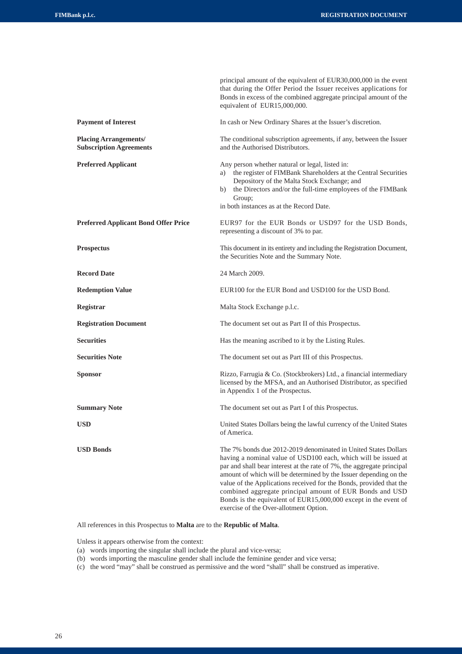|                                                                | principal amount of the equivalent of EUR30,000,000 in the event<br>that during the Offer Period the Issuer receives applications for<br>Bonds in excess of the combined aggregate principal amount of the<br>equivalent of EUR15,000,000.                                                                                                                                                                                                                                                                                       |
|----------------------------------------------------------------|----------------------------------------------------------------------------------------------------------------------------------------------------------------------------------------------------------------------------------------------------------------------------------------------------------------------------------------------------------------------------------------------------------------------------------------------------------------------------------------------------------------------------------|
| <b>Payment of Interest</b>                                     | In cash or New Ordinary Shares at the Issuer's discretion.                                                                                                                                                                                                                                                                                                                                                                                                                                                                       |
| <b>Placing Arrangements/</b><br><b>Subscription Agreements</b> | The conditional subscription agreements, if any, between the Issuer<br>and the Authorised Distributors.                                                                                                                                                                                                                                                                                                                                                                                                                          |
| <b>Preferred Applicant</b>                                     | Any person whether natural or legal, listed in:<br>a) the register of FIMBank Shareholders at the Central Securities<br>Depository of the Malta Stock Exchange; and<br>b) the Directors and/or the full-time employees of the FIMBank<br>Group;<br>in both instances as at the Record Date.                                                                                                                                                                                                                                      |
| <b>Preferred Applicant Bond Offer Price</b>                    | EUR97 for the EUR Bonds or USD97 for the USD Bonds,<br>representing a discount of 3% to par.                                                                                                                                                                                                                                                                                                                                                                                                                                     |
| <b>Prospectus</b>                                              | This document in its entirety and including the Registration Document,<br>the Securities Note and the Summary Note.                                                                                                                                                                                                                                                                                                                                                                                                              |
| <b>Record Date</b>                                             | 24 March 2009.                                                                                                                                                                                                                                                                                                                                                                                                                                                                                                                   |
| <b>Redemption Value</b>                                        | EUR100 for the EUR Bond and USD100 for the USD Bond.                                                                                                                                                                                                                                                                                                                                                                                                                                                                             |
| Registrar                                                      | Malta Stock Exchange p.l.c.                                                                                                                                                                                                                                                                                                                                                                                                                                                                                                      |
| <b>Registration Document</b>                                   | The document set out as Part II of this Prospectus.                                                                                                                                                                                                                                                                                                                                                                                                                                                                              |
| <b>Securities</b>                                              | Has the meaning ascribed to it by the Listing Rules.                                                                                                                                                                                                                                                                                                                                                                                                                                                                             |
| <b>Securities Note</b>                                         | The document set out as Part III of this Prospectus.                                                                                                                                                                                                                                                                                                                                                                                                                                                                             |
| <b>Sponsor</b>                                                 | Rizzo, Farrugia & Co. (Stockbrokers) Ltd., a financial intermediary<br>licensed by the MFSA, and an Authorised Distributor, as specified<br>in Appendix 1 of the Prospectus.                                                                                                                                                                                                                                                                                                                                                     |
| <b>Summary Note</b>                                            | The document set out as Part I of this Prospectus.                                                                                                                                                                                                                                                                                                                                                                                                                                                                               |
| <b>USD</b>                                                     | United States Dollars being the lawful currency of the United States<br>of America.                                                                                                                                                                                                                                                                                                                                                                                                                                              |
| <b>USD Bonds</b>                                               | The 7% bonds due 2012-2019 denominated in United States Dollars<br>having a nominal value of USD100 each, which will be issued at<br>par and shall bear interest at the rate of 7%, the aggregate principal<br>amount of which will be determined by the Issuer depending on the<br>value of the Applications received for the Bonds, provided that the<br>combined aggregate principal amount of EUR Bonds and USD<br>Bonds is the equivalent of EUR15,000,000 except in the event of<br>exercise of the Over-allotment Option. |

All references in this Prospectus to **Malta** are to the **Republic of Malta**.

Unless it appears otherwise from the context:

- (a) words importing the singular shall include the plural and vice-versa;
- (b) words importing the masculine gender shall include the feminine gender and vice versa;
- (c) the word "may" shall be construed as permissive and the word "shall" shall be construed as imperative.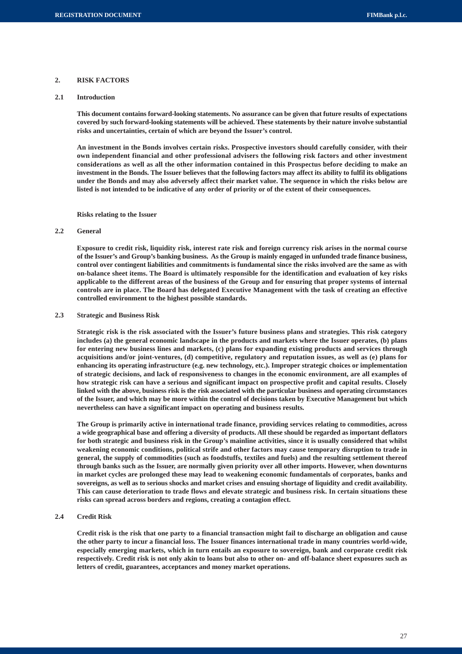#### **2. RISK FACTORS**

## **2.1 Introduction**

**This document contains forward-looking statements. No assurance can be given that future results of expectations covered by such forward-looking statements will be achieved. These statements by their nature involve substantial risks and uncertainties, certain of which are beyond the Issuer's control.**

**An investment in the Bonds involves certain risks. Prospective investors should carefully consider, with their own independent financial and other professional advisers the following risk factors and other investment considerations as well as all the other information contained in this Prospectus before deciding to make an investment in the Bonds. The Issuer believes that the following factors may affect its ability to fulfil its obligations under the Bonds and may also adversely affect their market value. The sequence in which the risks below are listed is not intended to be indicative of any order of priority or of the extent of their consequences.**

**Risks relating to the Issuer**

#### **2.2 General**

**Exposure to credit risk, liquidity risk, interest rate risk and foreign currency risk arises in the normal course of the Issuer's and Group's banking business. As the Group is mainly engaged in unfunded trade finance business, control over contingent liabilities and commitments is fundamental since the risks involved are the same as with on-balance sheet items. The Board is ultimately responsible for the identification and evaluation of key risks applicable to the different areas of the business of the Group and for ensuring that proper systems of internal controls are in place. The Board has delegated Executive Management with the task of creating an effective controlled environment to the highest possible standards.**

#### **2.3 Strategic and Business Risk**

**Strategic risk is the risk associated with the Issuer's future business plans and strategies. This risk category includes (a) the general economic landscape in the products and markets where the Issuer operates, (b) plans for entering new business lines and markets, (c) plans for expanding existing products and services through acquisitions and/or joint-ventures, (d) competitive, regulatory and reputation issues, as well as (e) plans for enhancing its operating infrastructure (e.g. new technology, etc.). Improper strategic choices or implementation of strategic decisions, and lack of responsiveness to changes in the economic environment, are all examples of how strategic risk can have a serious and significant impact on prospective profit and capital results. Closely linked with the above, business risk is the risk associated with the particular business and operating circumstances of the Issuer, and which may be more within the control of decisions taken by Executive Management but which nevertheless can have a significant impact on operating and business results.**

**The Group is primarily active in international trade finance, providing services relating to commodities, across a wide geographical base and offering a diversity of products. All these should be regarded as important deflators for both strategic and business risk in the Group's mainline activities, since it is usually considered that whilst weakening economic conditions, political strife and other factors may cause temporary disruption to trade in general, the supply of commodities (such as foodstuffs, textiles and fuels) and the resulting settlement thereof through banks such as the Issuer, are normally given priority over all other imports. However, when downturns in market cycles are prolonged these may lead to weakening economic fundamentals of corporates, banks and sovereigns, as well as to serious shocks and market crises and ensuing shortage of liquidity and credit availability. This can cause deterioration to trade flows and elevate strategic and business risk. In certain situations these risks can spread across borders and regions, creating a contagion effect.**

## **2.4 Credit Risk**

**Credit risk is the risk that one party to a financial transaction might fail to discharge an obligation and cause the other party to incur a financial loss. The Issuer finances international trade in many countries world-wide, especially emerging markets, which in turn entails an exposure to sovereign, bank and corporate credit risk respectively. Credit risk is not only akin to loans but also to other on- and off-balance sheet exposures such as letters of credit, guarantees, acceptances and money market operations.**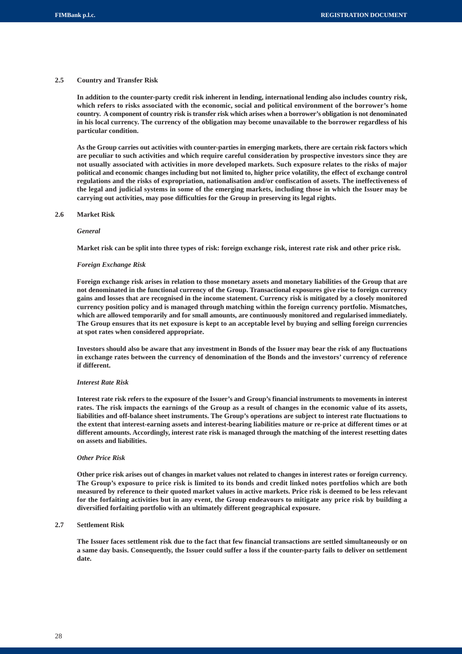## **2.5 Country and Transfer Risk**

**In addition to the counter-party credit risk inherent in lending, international lending also includes country risk, which refers to risks associated with the economic, social and political environment of the borrower's home country. A component of country risk is transfer risk which arises when a borrower's obligation is not denominated in his local currency. The currency of the obligation may become unavailable to the borrower regardless of his particular condition.**

**As the Group carries out activities with counter-parties in emerging markets, there are certain risk factors which are peculiar to such activities and which require careful consideration by prospective investors since they are not usually associated with activities in more developed markets. Such exposure relates to the risks of major political and economic changes including but not limited to, higher price volatility, the effect of exchange control regulations and the risks of expropriation, nationalisation and/or confiscation of assets. The ineffectiveness of the legal and judicial systems in some of the emerging markets, including those in which the Issuer may be carrying out activities, may pose difficulties for the Group in preserving its legal rights.**

#### **2.6 Market Risk**

#### *General*

**Market risk can be split into three types of risk: foreign exchange risk, interest rate risk and other price risk.**

#### *Foreign Exchange Risk*

**Foreign exchange risk arises in relation to those monetary assets and monetary liabilities of the Group that are not denominated in the functional currency of the Group. Transactional exposures give rise to foreign currency gains and losses that are recognised in the income statement. Currency risk is mitigated by a closely monitored currency position policy and is managed through matching within the foreign currency portfolio. Mismatches, which are allowed temporarily and for small amounts, are continuously monitored and regularised immediately. The Group ensures that its net exposure is kept to an acceptable level by buying and selling foreign currencies at spot rates when considered appropriate.**

**Investors should also be aware that any investment in Bonds of the Issuer may bear the risk of any fluctuations in exchange rates between the currency of denomination of the Bonds and the investors' currency of reference if different.**

#### *Interest Rate Risk*

**Interest rate risk refers to the exposure of the Issuer's and Group's financial instruments to movements in interest rates. The risk impacts the earnings of the Group as a result of changes in the economic value of its assets, liabilities and off-balance sheet instruments. The Group's operations are subject to interest rate fluctuations to the extent that interest-earning assets and interest-bearing liabilities mature or re-price at different times or at different amounts. Accordingly, interest rate risk is managed through the matching of the interest resetting dates on assets and liabilities.**

#### *Other Price Risk*

**Other price risk arises out of changes in market values not related to changes in interest rates or foreign currency. The Group's exposure to price risk is limited to its bonds and credit linked notes portfolios which are both measured by reference to their quoted market values in active markets. Price risk is deemed to be less relevant for the forfaiting activities but in any event, the Group endeavours to mitigate any price risk by building a diversified forfaiting portfolio with an ultimately different geographical exposure.**

## **2.7 Settlement Risk**

**The Issuer faces settlement risk due to the fact that few financial transactions are settled simultaneously or on a same day basis. Consequently, the Issuer could suffer a loss if the counter-party fails to deliver on settlement date.**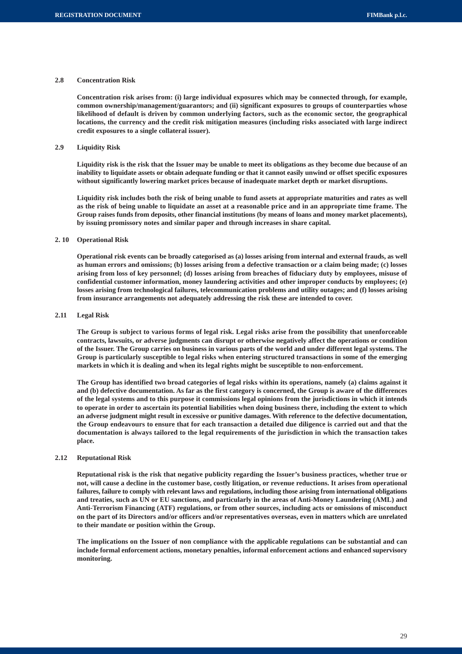#### **2.8 Concentration Risk**

**Concentration risk arises from: (i) large individual exposures which may be connected through, for example, common ownership/management/guarantors; and (ii) significant exposures to groups of counterparties whose likelihood of default is driven by common underlying factors, such as the economic sector, the geographical locations, the currency and the credit risk mitigation measures (including risks associated with large indirect credit exposures to a single collateral issuer).**

## **2.9 Liquidity Risk**

**Liquidity risk is the risk that the Issuer may be unable to meet its obligations as they become due because of an inability to liquidate assets or obtain adequate funding or that it cannot easily unwind or offset specific exposures without significantly lowering market prices because of inadequate market depth or market disruptions.**

**Liquidity risk includes both the risk of being unable to fund assets at appropriate maturities and rates as well as the risk of being unable to liquidate an asset at a reasonable price and in an appropriate time frame. The Group raises funds from deposits, other financial institutions (by means of loans and money market placements), by issuing promissory notes and similar paper and through increases in share capital.**

#### **2. 10 Operational Risk**

**Operational risk events can be broadly categorised as (a) losses arising from internal and external frauds, as well as human errors and omissions; (b) losses arising from a defective transaction or a claim being made; (c) losses arising from loss of key personnel; (d) losses arising from breaches of fiduciary duty by employees, misuse of confidential customer information, money laundering activities and other improper conducts by employees; (e) losses arising from technological failures, telecommunication problems and utility outages; and (f) losses arising from insurance arrangements not adequately addressing the risk these are intended to cover.**

#### **2.11 Legal Risk**

**The Group is subject to various forms of legal risk. Legal risks arise from the possibility that unenforceable contracts, lawsuits, or adverse judgments can disrupt or otherwise negatively affect the operations or condition of the Issuer. The Group carries on business in various parts of the world and under different legal systems. The Group is particularly susceptible to legal risks when entering structured transactions in some of the emerging markets in which it is dealing and when its legal rights might be susceptible to non-enforcement.**

**The Group has identified two broad categories of legal risks within its operations, namely (a) claims against it and (b) defective documentation. As far as the first category is concerned, the Group is aware of the differences of the legal systems and to this purpose it commissions legal opinions from the jurisdictions in which it intends to operate in order to ascertain its potential liabilities when doing business there, including the extent to which an adverse judgment might result in excessive or punitive damages. With reference to the defective documentation, the Group endeavours to ensure that for each transaction a detailed due diligence is carried out and that the documentation is always tailored to the legal requirements of the jurisdiction in which the transaction takes place.**

#### **2.12 Reputational Risk**

**Reputational risk is the risk that negative publicity regarding the Issuer's business practices, whether true or not, will cause a decline in the customer base, costly litigation, or revenue reductions. It arises from operational failures, failure to comply with relevant laws and regulations, including those arising from international obligations and treaties, such as UN or EU sanctions, and particularly in the areas of Anti-Money Laundering (AML) and Anti-Terrorism Financing (ATF) regulations, or from other sources, including acts or omissions of misconduct on the part of its Directors and/or officers and/or representatives overseas, even in matters which are unrelated to their mandate or position within the Group.**

**The implications on the Issuer of non compliance with the applicable regulations can be substantial and can include formal enforcement actions, monetary penalties, informal enforcement actions and enhanced supervisory monitoring.**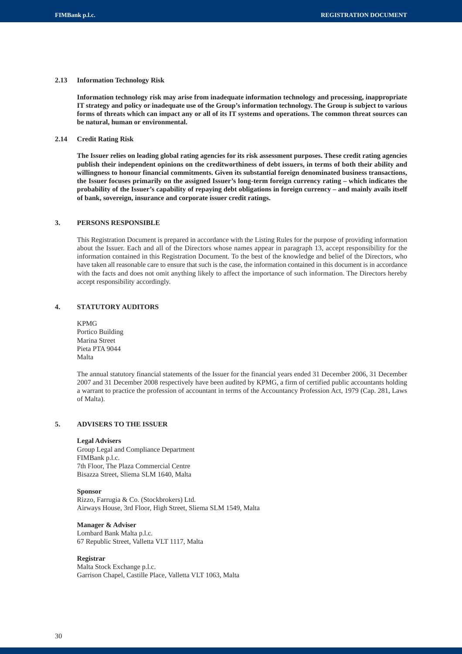## **2.13 Information Technology Risk**

**Information technology risk may arise from inadequate information technology and processing, inappropriate IT strategy and policy or inadequate use of the Group's information technology. The Group is subject to various forms of threats which can impact any or all of its IT systems and operations. The common threat sources can be natural, human or environmental.**

## **2.14 Credit Rating Risk**

**The Issuer relies on leading global rating agencies for its risk assessment purposes. These credit rating agencies publish their independent opinions on the creditworthiness of debt issuers, in terms of both their ability and willingness to honour financial commitments. Given its substantial foreign denominated business transactions, the Issuer focuses primarily on the assigned Issuer's long-term foreign currency rating – which indicates the probability of the Issuer's capability of repaying debt obligations in foreign currency – and mainly avails itself of bank, sovereign, insurance and corporate issuer credit ratings.**

## **3. PERSONS RESPONSIBLE**

This Registration Document is prepared in accordance with the Listing Rules for the purpose of providing information about the Issuer. Each and all of the Directors whose names appear in paragraph 13, accept responsibility for the information contained in this Registration Document. To the best of the knowledge and belief of the Directors, who have taken all reasonable care to ensure that such is the case, the information contained in this document is in accordance with the facts and does not omit anything likely to affect the importance of such information. The Directors hereby accept responsibility accordingly.

## **4. STATUTORY AUDITORS**

KPMG Portico Building Marina Street Pieta PTA 9044 Malta

The annual statutory financial statements of the Issuer for the financial years ended 31 December 2006, 31 December 2007 and 31 December 2008 respectively have been audited by KPMG, a firm of certified public accountants holding a warrant to practice the profession of accountant in terms of the Accountancy Profession Act, 1979 (Cap. 281, Laws of Malta).

## **5. ADVISERS TO THE ISSUER**

## **Legal Advisers**

Group Legal and Compliance Department FIMBank p.l.c. 7th Floor, The Plaza Commercial Centre Bisazza Street, Sliema SLM 1640, Malta

## **Sponsor**

Rizzo, Farrugia & Co. (Stockbrokers) Ltd. Airways House, 3rd Floor, High Street, Sliema SLM 1549, Malta

## **Manager & Adviser**

Lombard Bank Malta p.l.c. 67 Republic Street, Valletta VLT 1117, Malta

## **Registrar**

Malta Stock Exchange p.l.c. Garrison Chapel, Castille Place, Valletta VLT 1063, Malta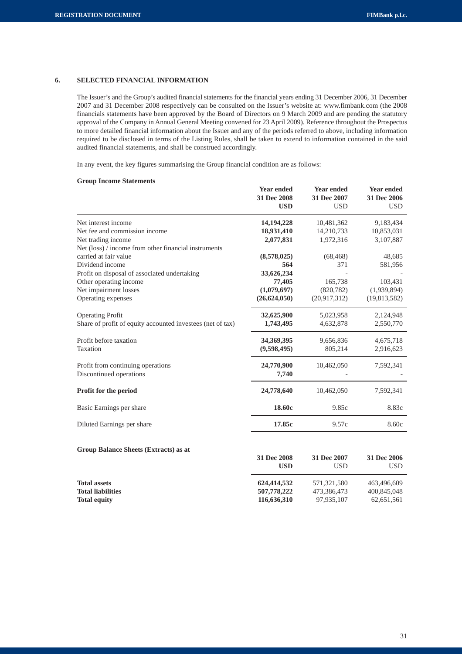## **6. SELECTED FINANCIAL INFORMATION**

The Issuer's and the Group's audited financial statements for the financial years ending 31 December 2006, 31 December 2007 and 31 December 2008 respectively can be consulted on the Issuer's website at: www.fimbank.com (the 2008 financials statements have been approved by the Board of Directors on 9 March 2009 and are pending the statutory approval of the Company in Annual General Meeting convened for 23 April 2009). Reference throughout the Prospectus to more detailed financial information about the Issuer and any of the periods referred to above, including information required to be disclosed in terms of the Listing Rules, shall be taken to extend to information contained in the said audited financial statements, and shall be construed accordingly.

In any event, the key figures summarising the Group financial condition are as follows:

## **Group Income Statements**

**Group Balance Sheets (Extracts) as at**

|                                                            | Year ended<br>31 Dec 2008<br><b>USD</b> | <b>Year ended</b><br>31 Dec 2007<br><b>USD</b> | <b>Year ended</b><br>31 Dec 2006<br><b>USD</b> |
|------------------------------------------------------------|-----------------------------------------|------------------------------------------------|------------------------------------------------|
| Net interest income                                        | 14, 194, 228                            | 10,481,362                                     | 9,183,434                                      |
| Net fee and commission income                              | 18,931,410                              | 14,210,733                                     | 10,853,031                                     |
| Net trading income                                         | 2,077,831                               | 1,972,316                                      | 3,107,887                                      |
| Net (loss) / income from other financial instruments       |                                         |                                                |                                                |
| carried at fair value                                      | (8,578,025)                             | (68, 468)                                      | 48,685                                         |
| Dividend income                                            | 564                                     | 371                                            | 581,956                                        |
| Profit on disposal of associated undertaking               | 33,626,234                              |                                                |                                                |
| Other operating income                                     | 77,405                                  | 165,738                                        | 103,431                                        |
| Net impairment losses                                      | (1,079,697)                             | (820, 782)                                     | (1,939,894)                                    |
| Operating expenses                                         | (26, 624, 050)                          | (20,917,312)                                   | (19,813,582)                                   |
| <b>Operating Profit</b>                                    | 32,625,900                              | 5,023,958                                      | 2,124,948                                      |
| Share of profit of equity accounted investees (net of tax) | 1,743,495                               | 4,632,878                                      | 2,550,770                                      |
| Profit before taxation                                     | 34,369,395                              | 9,656,836                                      | 4,675,718                                      |
| Taxation                                                   | (9,598,495)                             | 805,214                                        | 2,916,623                                      |
| Profit from continuing operations                          | 24,770,900                              | 10,462,050                                     | 7,592,341                                      |
| Discontinued operations                                    | 7,740                                   |                                                |                                                |
| <b>Profit for the period</b>                               | 24,778,640                              | 10,462,050                                     | 7,592,341                                      |
| Basic Earnings per share                                   | 18.60c                                  | 9.85c                                          | 8.83c                                          |
| Diluted Earnings per share                                 | 17.85c                                  | 9.57c                                          | 8.60c                                          |

|                          | 31 Dec 2008 | 31 Dec 2007 | 31 Dec 2006 |
|--------------------------|-------------|-------------|-------------|
|                          | USD         | USD         | USD         |
| <b>Total assets</b>      | 624.414.532 | 571.321.580 | 463,496,609 |
| <b>Total liabilities</b> | 507,778,222 | 473.386.473 | 400,845,048 |
| <b>Total equity</b>      | 116,636,310 | 97,935,107  | 62,651,561  |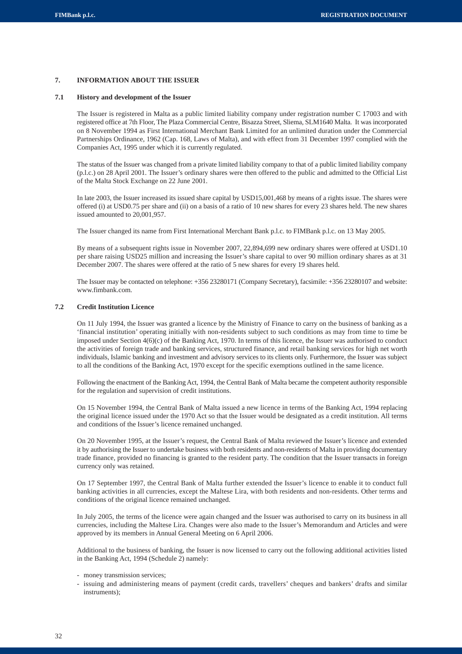## **7. INFORMATION ABOUT THE ISSUER**

## **7.1 History and development of the Issuer**

The Issuer is registered in Malta as a public limited liability company under registration number C 17003 and with registered office at 7th Floor, The Plaza Commercial Centre, Bisazza Street, Sliema, SLM1640 Malta. It was incorporated on 8 November 1994 as First International Merchant Bank Limited for an unlimited duration under the Commercial Partnerships Ordinance, 1962 (Cap. 168, Laws of Malta), and with effect from 31 December 1997 complied with the Companies Act, 1995 under which it is currently regulated.

The status of the Issuer was changed from a private limited liability company to that of a public limited liability company (p.l.c.) on 28 April 2001. The Issuer's ordinary shares were then offered to the public and admitted to the Official List of the Malta Stock Exchange on 22 June 2001.

In late 2003, the Issuer increased its issued share capital by USD15,001,468 by means of a rights issue. The shares were offered (i) at USD0.75 per share and (ii) on a basis of a ratio of 10 new shares for every 23 shares held. The new shares issued amounted to 20,001,957.

The Issuer changed its name from First International Merchant Bank p.l.c. to FIMBank p.l.c. on 13 May 2005.

By means of a subsequent rights issue in November 2007, 22,894,699 new ordinary shares were offered at USD1.10 per share raising USD25 million and increasing the Issuer's share capital to over 90 million ordinary shares as at 31 December 2007. The shares were offered at the ratio of 5 new shares for every 19 shares held.

The Issuer may be contacted on telephone: +356 23280171 (Company Secretary), facsimile: +356 23280107 and website: www.fimbank.com.

#### **7.2 Credit Institution Licence**

On 11 July 1994, the Issuer was granted a licence by the Ministry of Finance to carry on the business of banking as a 'financial institution' operating initially with non-residents subject to such conditions as may from time to time be imposed under Section 4(6)(c) of the Banking Act, 1970. In terms of this licence, the Issuer was authorised to conduct the activities of foreign trade and banking services, structured finance, and retail banking services for high net worth individuals, Islamic banking and investment and advisory services to its clients only. Furthermore, the Issuer was subject to all the conditions of the Banking Act, 1970 except for the specific exemptions outlined in the same licence.

Following the enactment of the Banking Act, 1994, the Central Bank of Malta became the competent authority responsible for the regulation and supervision of credit institutions.

On 15 November 1994, the Central Bank of Malta issued a new licence in terms of the Banking Act, 1994 replacing the original licence issued under the 1970 Act so that the Issuer would be designated as a credit institution. All terms and conditions of the Issuer's licence remained unchanged.

On 20 November 1995, at the Issuer's request, the Central Bank of Malta reviewed the Issuer's licence and extended it by authorising the Issuer to undertake business with both residents and non-residents of Malta in providing documentary trade finance, provided no financing is granted to the resident party. The condition that the Issuer transacts in foreign currency only was retained.

On 17 September 1997, the Central Bank of Malta further extended the Issuer's licence to enable it to conduct full banking activities in all currencies, except the Maltese Lira, with both residents and non-residents. Other terms and conditions of the original licence remained unchanged.

In July 2005, the terms of the licence were again changed and the Issuer was authorised to carry on its business in all currencies, including the Maltese Lira. Changes were also made to the Issuer's Memorandum and Articles and were approved by its members in Annual General Meeting on 6 April 2006.

Additional to the business of banking, the Issuer is now licensed to carry out the following additional activities listed in the Banking Act, 1994 (Schedule 2) namely:

- money transmission services;
- issuing and administering means of payment (credit cards, travellers' cheques and bankers' drafts and similar instruments);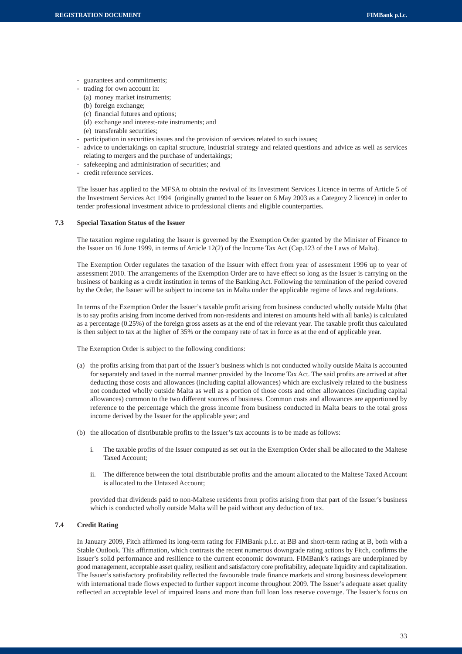- guarantees and commitments;
- trading for own account in:
	- (a) money market instruments;
- (b) foreign exchange;
- (c) financial futures and options;
- (d) exchange and interest-rate instruments; and
- (e) transferable securities;
- participation in securities issues and the provision of services related to such issues;
- advice to undertakings on capital structure, industrial strategy and related questions and advice as well as services relating to mergers and the purchase of undertakings;
- safekeeping and administration of securities; and
- credit reference services.

The Issuer has applied to the MFSA to obtain the revival of its Investment Services Licence in terms of Article 5 of the Investment Services Act 1994 (originally granted to the Issuer on 6 May 2003 as a Category 2 licence) in order to tender professional investment advice to professional clients and eligible counterparties.

## **7.3 Special Taxation Status of the Issuer**

The taxation regime regulating the Issuer is governed by the Exemption Order granted by the Minister of Finance to the Issuer on 16 June 1999, in terms of Article 12(2) of the Income Tax Act (Cap.123 of the Laws of Malta).

The Exemption Order regulates the taxation of the Issuer with effect from year of assessment 1996 up to year of assessment 2010. The arrangements of the Exemption Order are to have effect so long as the Issuer is carrying on the business of banking as a credit institution in terms of the Banking Act. Following the termination of the period covered by the Order, the Issuer will be subject to income tax in Malta under the applicable regime of laws and regulations.

In terms of the Exemption Order the Issuer's taxable profit arising from business conducted wholly outside Malta (that is to say profits arising from income derived from non-residents and interest on amounts held with all banks) is calculated as a percentage (0.25%) of the foreign gross assets as at the end of the relevant year. The taxable profit thus calculated is then subject to tax at the higher of 35% or the company rate of tax in force as at the end of applicable year.

The Exemption Order is subject to the following conditions:

- (a) the profits arising from that part of the Issuer's business which is not conducted wholly outside Malta is accounted for separately and taxed in the normal manner provided by the Income Tax Act. The said profits are arrived at after deducting those costs and allowances (including capital allowances) which are exclusively related to the business not conducted wholly outside Malta as well as a portion of those costs and other allowances (including capital allowances) common to the two different sources of business. Common costs and allowances are apportioned by reference to the percentage which the gross income from business conducted in Malta bears to the total gross income derived by the Issuer for the applicable year; and
- (b) the allocation of distributable profits to the Issuer's tax accounts is to be made as follows:
	- i. The taxable profits of the Issuer computed as set out in the Exemption Order shall be allocated to the Maltese Taxed Account;
	- ii. The difference between the total distributable profits and the amount allocated to the Maltese Taxed Account is allocated to the Untaxed Account;

provided that dividends paid to non-Maltese residents from profits arising from that part of the Issuer's business which is conducted wholly outside Malta will be paid without any deduction of tax.

## **7.4 Credit Rating**

In January 2009, Fitch affirmed its long-term rating for FIMBank p.l.c. at BB and short-term rating at B, both with a Stable Outlook. This affirmation, which contrasts the recent numerous downgrade rating actions by Fitch, confirms the Issuer's solid performance and resilience to the current economic downturn. FIMBank's ratings are underpinned by good management, acceptable asset quality, resilient and satisfactory core profitability, adequate liquidity and capitalization. The Issuer's satisfactory profitability reflected the favourable trade finance markets and strong business development with international trade flows expected to further support income throughout 2009. The Issuer's adequate asset quality reflected an acceptable level of impaired loans and more than full loan loss reserve coverage. The Issuer's focus on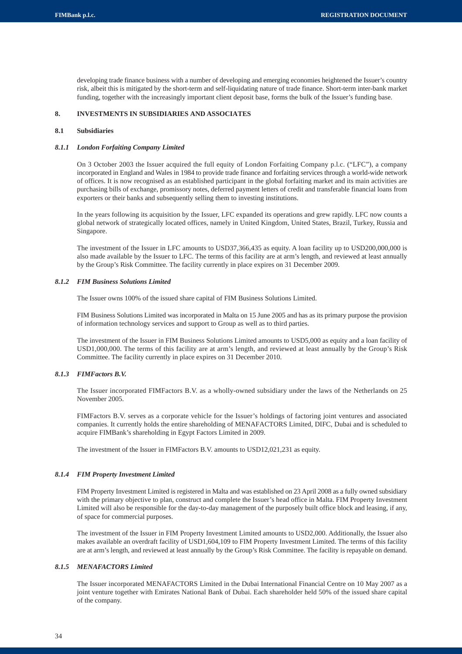developing trade finance business with a number of developing and emerging economies heightened the Issuer's country risk, albeit this is mitigated by the short-term and self-liquidating nature of trade finance. Short-term inter-bank market funding, together with the increasingly important client deposit base, forms the bulk of the Issuer's funding base.

## **8. INVESTMENTS IN SUBSIDIARIES AND ASSOCIATES**

## **8.1 Subsidiaries**

## *8.1.1 London Forfaiting Company Limited*

On 3 October 2003 the Issuer acquired the full equity of London Forfaiting Company p.l.c. ("LFC"), a company incorporated in England and Wales in 1984 to provide trade finance and forfaiting services through a world-wide network of offices. It is now recognised as an established participant in the global forfaiting market and its main activities are purchasing bills of exchange, promissory notes, deferred payment letters of credit and transferable financial loans from exporters or their banks and subsequently selling them to investing institutions.

In the years following its acquisition by the Issuer, LFC expanded its operations and grew rapidly. LFC now counts a global network of strategically located offices, namely in United Kingdom, United States, Brazil, Turkey, Russia and Singapore.

The investment of the Issuer in LFC amounts to USD37,366,435 as equity. A loan facility up to USD200,000,000 is also made available by the Issuer to LFC. The terms of this facility are at arm's length, and reviewed at least annually by the Group's Risk Committee. The facility currently in place expires on 31 December 2009.

## *8.1.2 FIM Business Solutions Limited*

The Issuer owns 100% of the issued share capital of FIM Business Solutions Limited.

FIM Business Solutions Limited was incorporated in Malta on 15 June 2005 and has as its primary purpose the provision of information technology services and support to Group as well as to third parties.

The investment of the Issuer in FIM Business Solutions Limited amounts to USD5,000 as equity and a loan facility of USD1,000,000. The terms of this facility are at arm's length, and reviewed at least annually by the Group's Risk Committee. The facility currently in place expires on 31 December 2010.

## *8.1.3 FIMFactors B.V.*

The Issuer incorporated FIMFactors B.V. as a wholly-owned subsidiary under the laws of the Netherlands on 25 November 2005.

FIMFactors B.V. serves as a corporate vehicle for the Issuer's holdings of factoring joint ventures and associated companies. It currently holds the entire shareholding of MENAFACTORS Limited, DIFC, Dubai and is scheduled to acquire FIMBank's shareholding in Egypt Factors Limited in 2009.

The investment of the Issuer in FIMFactors B.V. amounts to USD12,021,231 as equity.

## *8.1.4 FIM Property Investment Limited*

FIM Property Investment Limited is registered in Malta and was established on 23 April 2008 as a fully owned subsidiary with the primary objective to plan, construct and complete the Issuer's head office in Malta. FIM Property Investment Limited will also be responsible for the day-to-day management of the purposely built office block and leasing, if any, of space for commercial purposes.

The investment of the Issuer in FIM Property Investment Limited amounts to USD2,000. Additionally, the Issuer also makes available an overdraft facility of USD1,604,109 to FIM Property Investment Limited. The terms of this facility are at arm's length, and reviewed at least annually by the Group's Risk Committee. The facility is repayable on demand.

## *8.1.5 MENAFACTORS Limited*

The Issuer incorporated MENAFACTORS Limited in the Dubai International Financial Centre on 10 May 2007 as a joint venture together with Emirates National Bank of Dubai. Each shareholder held 50% of the issued share capital of the company.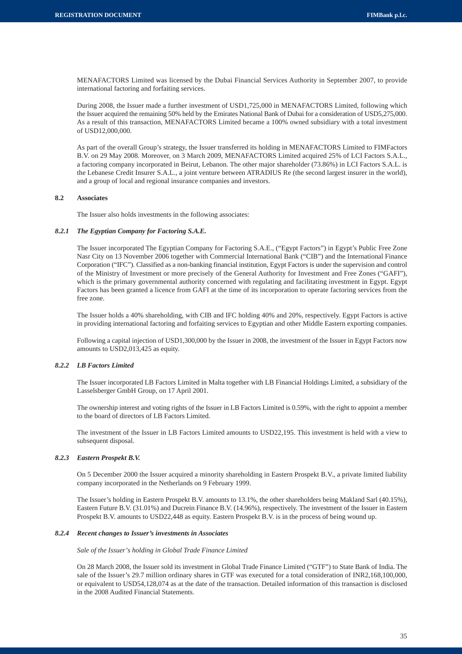MENAFACTORS Limited was licensed by the Dubai Financial Services Authority in September 2007, to provide international factoring and forfaiting services.

During 2008, the Issuer made a further investment of USD1,725,000 in MENAFACTORS Limited, following which the Issuer acquired the remaining 50% held by the Emirates National Bank of Dubai for a consideration of USD5,275,000. As a result of this transaction, MENAFACTORS Limited became a 100% owned subsidiary with a total investment of USD12,000,000.

As part of the overall Group's strategy, the Issuer transferred its holding in MENAFACTORS Limited to FIMFactors B.V. on 29 May 2008. Moreover, on 3 March 2009, MENAFACTORS Limited acquired 25% of LCI Factors S.A.L., a factoring company incorporated in Beirut, Lebanon. The other major shareholder (73.86%) in LCI Factors S.A.L. is the Lebanese Credit Insurer S.A.L., a joint venture between ATRADIUS Re (the second largest insurer in the world), and a group of local and regional insurance companies and investors.

#### **8.2 Associates**

The Issuer also holds investments in the following associates:

#### *8.2.1 The Egyptian Company for Factoring S.A.E.*

The Issuer incorporated The Egyptian Company for Factoring S.A.E., ("Egypt Factors") in Egypt's Public Free Zone Nasr City on 13 November 2006 together with Commercial International Bank ("CIB") and the International Finance Corporation ("IFC"). Classified as a non-banking financial institution, Egypt Factors is under the supervision and control of the Ministry of Investment or more precisely of the General Authority for Investment and Free Zones ("GAFI"), which is the primary governmental authority concerned with regulating and facilitating investment in Egypt. Egypt Factors has been granted a licence from GAFI at the time of its incorporation to operate factoring services from the free zone.

The Issuer holds a 40% shareholding, with CIB and IFC holding 40% and 20%, respectively. Egypt Factors is active in providing international factoring and forfaiting services to Egyptian and other Middle Eastern exporting companies.

Following a capital injection of USD1,300,000 by the Issuer in 2008, the investment of the Issuer in Egypt Factors now amounts to USD2,013,425 as equity.

# *8.2.2 LB Factors Limited*

The Issuer incorporated LB Factors Limited in Malta together with LB Financial Holdings Limited, a subsidiary of the Lasselsberger GmbH Group, on 17 April 2001.

The ownership interest and voting rights of the Issuer in LB Factors Limited is 0.59%, with the right to appoint a member to the board of directors of LB Factors Limited.

The investment of the Issuer in LB Factors Limited amounts to USD22,195. This investment is held with a view to subsequent disposal.

# *8.2.3 Eastern Prospekt B.V.*

On 5 December 2000 the Issuer acquired a minority shareholding in Eastern Prospekt B.V., a private limited liability company incorporated in the Netherlands on 9 February 1999.

The Issuer's holding in Eastern Prospekt B.V. amounts to 13.1%, the other shareholders being Makland Sarl (40.15%), Eastern Future B.V. (31.01%) and Ducrein Finance B.V. (14.96%), respectively. The investment of the Issuer in Eastern Prospekt B.V. amounts to USD22,448 as equity. Eastern Prospekt B.V. is in the process of being wound up.

#### *8.2.4 Recent changes to Issuer's investments in Associates*

*Sale of the Issuer's holding in Global Trade Finance Limited*

On 28 March 2008, the Issuer sold its investment in Global Trade Finance Limited ("GTF") to State Bank of India. The sale of the Issuer's 29.7 million ordinary shares in GTF was executed for a total consideration of INR2,168,100,000, or equivalent to USD54,128,074 as at the date of the transaction. Detailed information of this transaction is disclosed in the 2008 Audited Financial Statements.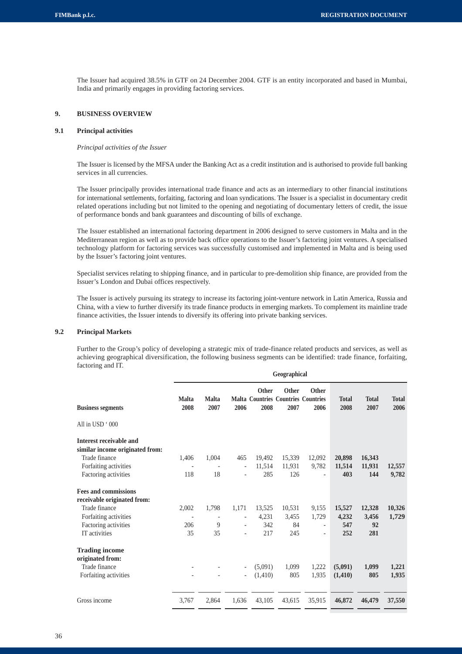The Issuer had acquired 38.5% in GTF on 24 December 2004. GTF is an entity incorporated and based in Mumbai, India and primarily engages in providing factoring services.

# **9. BUSINESS OVERVIEW**

# **9.1 Principal activities**

#### *Principal activities of the Issuer*

The Issuer is licensed by the MFSA under the Banking Act as a credit institution and is authorised to provide full banking services in all currencies.

The Issuer principally provides international trade finance and acts as an intermediary to other financial institutions for international settlements, forfaiting, factoring and loan syndications. The Issuer is a specialist in documentary credit related operations including but not limited to the opening and negotiating of documentary letters of credit, the issue of performance bonds and bank guarantees and discounting of bills of exchange.

The Issuer established an international factoring department in 2006 designed to serve customers in Malta and in the Mediterranean region as well as to provide back office operations to the Issuer's factoring joint ventures. A specialised technology platform for factoring services was successfully customised and implemented in Malta and is being used by the Issuer's factoring joint ventures.

Specialist services relating to shipping finance, and in particular to pre-demolition ship finance, are provided from the Issuer's London and Dubai offices respectively.

The Issuer is actively pursuing its strategy to increase its factoring joint-venture network in Latin America, Russia and China, with a view to further diversify its trade finance products in emerging markets. To complement its mainline trade finance activities, the Issuer intends to diversify its offering into private banking services.

# **9.2 Principal Markets**

Further to the Group's policy of developing a strategic mix of trade-finance related products and services, as well as achieving geographical diversification, the following business segments can be identified: trade finance, forfaiting, factoring and IT.

|                                 | Geographical         |                      |                          |                      |                                                                    |                          |                      |                      |                      |
|---------------------------------|----------------------|----------------------|--------------------------|----------------------|--------------------------------------------------------------------|--------------------------|----------------------|----------------------|----------------------|
| <b>Business segments</b>        | <b>Malta</b><br>2008 | <b>Malta</b><br>2007 | 2006                     | <b>Other</b><br>2008 | <b>Other</b><br><b>Malta Countries Countries Countries</b><br>2007 | <b>Other</b><br>2006     | <b>Total</b><br>2008 | <b>Total</b><br>2007 | <b>Total</b><br>2006 |
| All in USD '000                 |                      |                      |                          |                      |                                                                    |                          |                      |                      |                      |
| Interest receivable and         |                      |                      |                          |                      |                                                                    |                          |                      |                      |                      |
| similar income originated from: |                      |                      |                          |                      |                                                                    |                          |                      |                      |                      |
| Trade finance                   | 1,406                | 1,004                | 465                      | 19,492               | 15,339                                                             | 12,092                   | 20,898               | 16,343               |                      |
| Forfaiting activities           | $\overline{a}$       |                      | $\overline{\phantom{a}}$ | 11,514               | 11,931                                                             | 9,782                    | 11,514               | 11,931               | 12,557               |
| Factoring activities            | 118                  | 18                   | $\overline{\phantom{a}}$ | 285                  | 126                                                                | ٠                        | 403                  | 144                  | 9,782                |
| <b>Fees and commissions</b>     |                      |                      |                          |                      |                                                                    |                          |                      |                      |                      |
| receivable originated from:     |                      |                      |                          |                      |                                                                    |                          |                      |                      |                      |
| Trade finance                   | 2,002                | 1,798                | 1,171                    | 13,525               | 10,531                                                             | 9,155                    | 15,527               | 12,328               | 10,326               |
| Forfaiting activities           | $\overline{a}$       |                      | $\overline{\phantom{a}}$ | 4,231                | 3,455                                                              | 1,729                    | 4,232                | 3,456                | 1,729                |
| Factoring activities            | 206                  | 9                    | $\overline{\phantom{a}}$ | 342                  | 84                                                                 | $\overline{\phantom{a}}$ | 547                  | 92                   |                      |
| IT activities                   | 35                   | 35                   | $\overline{\phantom{a}}$ | 217                  | 245                                                                | $\overline{\phantom{a}}$ | 252                  | 281                  |                      |
| <b>Trading income</b>           |                      |                      |                          |                      |                                                                    |                          |                      |                      |                      |
| originated from:                |                      |                      |                          |                      |                                                                    |                          |                      |                      |                      |
| Trade finance                   |                      |                      | $\overline{\phantom{0}}$ | (5,091)              | 1.099                                                              | 1,222                    | (5,091)              | 1,099                | 1,221                |
| Forfaiting activities           |                      |                      |                          | (1,410)              | 805                                                                | 1,935                    | (1, 410)             | 805                  | 1,935                |
|                                 |                      |                      |                          |                      |                                                                    |                          |                      |                      |                      |
| Gross income                    | 3,767                | 2,864                | 1,636                    | 43,105               | 43,615                                                             | 35,915                   | 46,872               | 46,479               | 37,550               |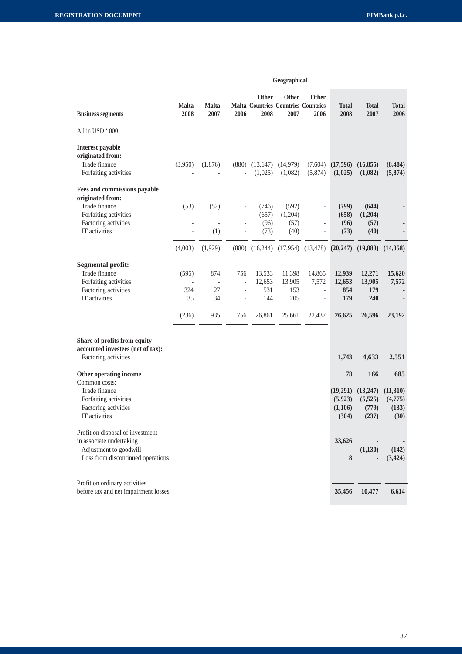|                                                                                                                             | Geographical             |                                   |                                                                    |                                |                                                                    |                                                               |                                               |                                              |                                             |
|-----------------------------------------------------------------------------------------------------------------------------|--------------------------|-----------------------------------|--------------------------------------------------------------------|--------------------------------|--------------------------------------------------------------------|---------------------------------------------------------------|-----------------------------------------------|----------------------------------------------|---------------------------------------------|
| <b>Business segments</b>                                                                                                    | <b>Malta</b><br>2008     | <b>Malta</b><br>2007              | 2006                                                               | <b>Other</b><br>2008           | <b>Other</b><br><b>Malta Countries Countries Countries</b><br>2007 | <b>Other</b><br>2006                                          | <b>Total</b><br>2008                          | <b>Total</b><br>2007                         | <b>Total</b><br>2006                        |
| All in USD '000                                                                                                             |                          |                                   |                                                                    |                                |                                                                    |                                                               |                                               |                                              |                                             |
| Interest payable<br>originated from:<br>Trade finance<br>Forfaiting activities                                              | (3,950)                  | (1,876)                           | (880)                                                              | (13, 647)<br>(1,025)           | (14, 979)<br>(1,082)                                               | (7,604)<br>(5,874)                                            | (17,596)<br>(1,025)                           | (16, 855)<br>(1,082)                         | (8, 484)<br>(5,874)                         |
| Fees and commissions payable<br>originated from:<br>Trade finance<br>Forfaiting activities                                  | (53)                     | (52)<br>$\overline{a}$            | $\overline{a}$                                                     | (746)<br>(657)                 | (592)<br>(1,204)                                                   | $\overline{\phantom{0}}$<br>$\overline{\phantom{a}}$          | (799)<br>(658)                                | (644)<br>(1,204)                             |                                             |
| Factoring activities<br>IT activities                                                                                       | L,                       | (1)                               | $\overline{\phantom{a}}$                                           | (96)<br>(73)                   | (57)<br>(40)                                                       | $\overline{\phantom{a}}$<br>$\blacksquare$                    | (96)<br>(73)                                  | (57)<br>(40)                                 |                                             |
|                                                                                                                             | (4,003)                  | (1,929)                           | (880)                                                              |                                | $(16,244)$ $(17,954)$ $(13,478)$                                   |                                                               | (20, 247)                                     | (19,883)                                     | (14,358)                                    |
| <b>Segmental profit:</b><br>Trade finance<br>Forfaiting activities<br>Factoring activities<br>IT activities                 | (595)<br>÷,<br>324<br>35 | 874<br>$\overline{a}$<br>27<br>34 | 756<br>$\frac{1}{2}$<br>$\overline{\phantom{a}}$<br>$\overline{a}$ | 13,533<br>12,653<br>531<br>144 | 11,398<br>13,905<br>153<br>205                                     | 14,865<br>7,572<br>$\blacksquare$<br>$\overline{\phantom{a}}$ | 12,939<br>12,653<br>854<br>179                | 12,271<br>13,905<br>179<br>240               | 15,620<br>7,572                             |
|                                                                                                                             | (236)                    | 935                               | 756                                                                | 26,861                         | 25,661                                                             | 22,437                                                        | 26,625                                        | 26,596                                       | 23,192                                      |
| Share of profits from equity<br>accounted investees (net of tax):<br>Factoring activities                                   |                          |                                   |                                                                    |                                |                                                                    |                                                               | 1,743                                         | 4,633                                        | 2,551                                       |
| Other operating income<br>Common costs:<br>Trade finance<br>Forfaiting activities<br>Factoring activities<br>IT activities  |                          |                                   |                                                                    |                                |                                                                    |                                                               | 78<br>(19,291)<br>(5,923)<br>(1,106)<br>(304) | 166<br>(13,247)<br>(5,525)<br>(779)<br>(237) | 685<br>(11,310)<br>(4,775)<br>(133)<br>(30) |
| Profit on disposal of investment<br>in associate undertaking<br>Adjustment to goodwill<br>Loss from discontinued operations |                          |                                   |                                                                    |                                |                                                                    |                                                               | 33,626<br>8                                   | (1,130)                                      | (142)<br>(3, 424)                           |
| Profit on ordinary activities<br>before tax and net impairment losses                                                       |                          |                                   |                                                                    |                                |                                                                    |                                                               | 35,456                                        | 10,477                                       | 6,614                                       |
|                                                                                                                             |                          |                                   |                                                                    |                                |                                                                    |                                                               |                                               |                                              |                                             |

| <b>Feographical</b> |  |
|---------------------|--|
|                     |  |
|                     |  |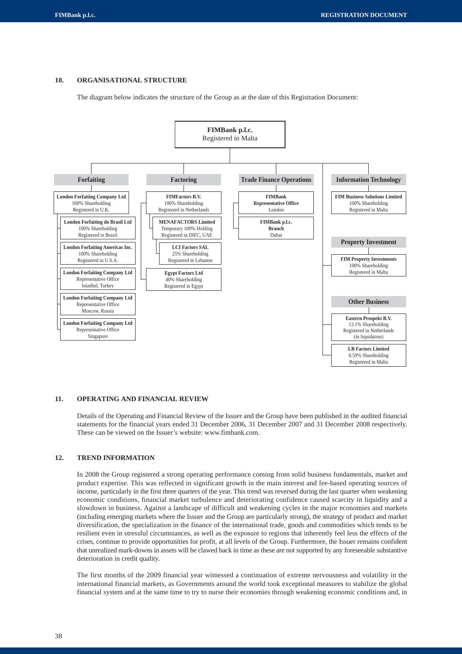# **10. ORGANISATIONAL STRUCTURE**

The diagram below indicates the structure of the Group as at the date of this Registration Document:



#### **11. OPERATING AND FINANCIAL REVIEW**

Details of the Operating and Financial Review of the Issuer and the Group have been published in the audited financial statements for the financial years ended 31 December 2006, 31 December 2007 and 31 December 2008 respectively. These can be viewed on the Issuer's website: www.fimbank.com.

# **12. TREND INFORMATION**

In 2008 the Group registered a strong operating performance coming from solid business fundamentals, market and product expertise. This was reflected in significant growth in the main interest and fee-based operating sources of income, particularly in the first three quarters of the year. This trend was reversed during the last quarter when weakening economic conditions, financial market turbulence and deteriorating confidence caused scarcity in liquidity and a slowdown in business. Against a landscape of difficult and weakening cycles in the major economies and markets (including emerging markets where the Issuer and the Group are particularly strong), the strategy of product and market diversification, the specialization in the finance of the international trade, goods and commodities which tends to be resilient even in stressful circumstances, as well as the exposure to regions that inherently feel less the effects of the crises, continue to provide opportunities for profit, at all levels of the Group. Furthermore, the Issuer remains confident that unrealized mark-downs in assets will be clawed back in time as these are not supported by any foreseeable substantive deterioration in credit quality.

The first months of the 2009 financial year witnessed a continuation of extreme nervousness and volatility in the international financial markets, as Governments around the world took exceptional measures to stabilize the global financial system and at the same time to try to nurse their economies through weakening economic conditions and, in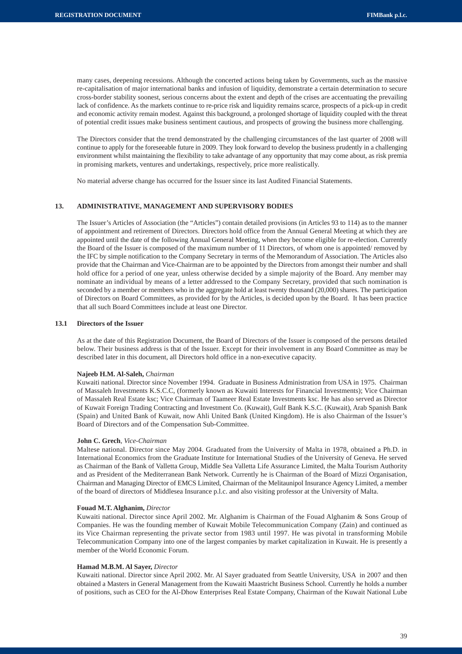many cases, deepening recessions. Although the concerted actions being taken by Governments, such as the massive re-capitalisation of major international banks and infusion of liquidity, demonstrate a certain determination to secure cross-border stability soonest, serious concerns about the extent and depth of the crises are accentuating the prevailing lack of confidence. As the markets continue to re-price risk and liquidity remains scarce, prospects of a pick-up in credit and economic activity remain modest. Against this background, a prolonged shortage of liquidity coupled with the threat of potential credit issues make business sentiment cautious, and prospects of growing the business more challenging.

The Directors consider that the trend demonstrated by the challenging circumstances of the last quarter of 2008 will continue to apply for the foreseeable future in 2009. They look forward to develop the business prudently in a challenging environment whilst maintaining the flexibility to take advantage of any opportunity that may come about, as risk premia in promising markets, ventures and undertakings, respectively, price more realistically.

No material adverse change has occurred for the Issuer since its last Audited Financial Statements.

# **13. ADMINISTRATIVE, MANAGEMENT AND SUPERVISORY BODIES**

The Issuer's Articles of Association (the "Articles") contain detailed provisions (in Articles 93 to 114) as to the manner of appointment and retirement of Directors. Directors hold office from the Annual General Meeting at which they are appointed until the date of the following Annual General Meeting, when they become eligible for re-election. Currently the Board of the Issuer is composed of the maximum number of 11 Directors, of whom one is appointed/ removed by the IFC by simple notification to the Company Secretary in terms of the Memorandum of Association. The Articles also provide that the Chairman and Vice-Chairman are to be appointed by the Directors from amongst their number and shall hold office for a period of one year, unless otherwise decided by a simple majority of the Board. Any member may nominate an individual by means of a letter addressed to the Company Secretary, provided that such nomination is seconded by a member or members who in the aggregate hold at least twenty thousand (20,000) shares. The participation of Directors on Board Committees, as provided for by the Articles, is decided upon by the Board. It has been practice that all such Board Committees include at least one Director.

# **13.1 Directors of the Issuer**

As at the date of this Registration Document, the Board of Directors of the Issuer is composed of the persons detailed below. Their business address is that of the Issuer. Except for their involvement in any Board Committee as may be described later in this document, all Directors hold office in a non-executive capacity.

#### **Najeeb H.M. Al-Saleh,** *Chairman*

Kuwaiti national. Director since November 1994. Graduate in Business Administration from USA in 1975. Chairman of Massaleh Investments K.S.C.C, (formerly known as Kuwaiti Interests for Financial Investments); Vice Chairman of Massaleh Real Estate ksc; Vice Chairman of Taameer Real Estate Investments ksc. He has also served as Director of Kuwait Foreign Trading Contracting and Investment Co. (Kuwait), Gulf Bank K.S.C. (Kuwait), Arab Spanish Bank (Spain) and United Bank of Kuwait, now Ahli United Bank (United Kingdom). He is also Chairman of the Issuer's Board of Directors and of the Compensation Sub-Committee.

# **John C. Grech**, *Vice-Chairman*

Maltese national. Director since May 2004. Graduated from the University of Malta in 1978, obtained a Ph.D. in International Economics from the Graduate Institute for International Studies of the University of Geneva. He served as Chairman of the Bank of Valletta Group, Middle Sea Valletta Life Assurance Limited, the Malta Tourism Authority and as President of the Mediterranean Bank Network. Currently he is Chairman of the Board of Mizzi Organisation, Chairman and Managing Director of EMCS Limited, Chairman of the Melitaunipol Insurance Agency Limited, a member of the board of directors of Middlesea Insurance p.l.c. and also visiting professor at the University of Malta.

# **Fouad M.T. Alghanim,** *Director*

Kuwaiti national. Director since April 2002. Mr. Alghanim is Chairman of the Fouad Alghanim & Sons Group of Companies. He was the founding member of Kuwait Mobile Telecommunication Company (Zain) and continued as its Vice Chairman representing the private sector from 1983 until 1997. He was pivotal in transforming Mobile Telecommunication Company into one of the largest companies by market capitalization in Kuwait. He is presently a member of the World Economic Forum.

# **Hamad M.B.M. Al Sayer,** *Director*

Kuwaiti national. Director since April 2002. Mr. Al Sayer graduated from Seattle University, USA in 2007 and then obtained a Masters in General Management from the Kuwaiti Maastricht Business School. Currently he holds a number of positions, such as CEO for the Al-Dhow Enterprises Real Estate Company, Chairman of the Kuwait National Lube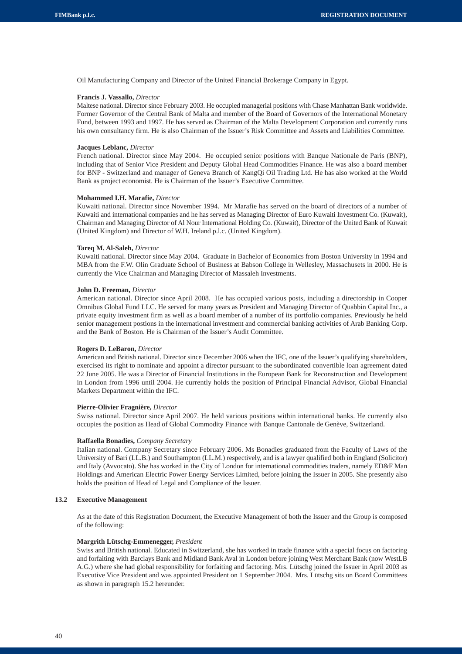Oil Manufacturing Company and Director of the United Financial Brokerage Company in Egypt.

#### **Francis J. Vassallo,** *Director*

Maltese national. Director since February 2003. He occupied managerial positions with Chase Manhattan Bank worldwide. Former Governor of the Central Bank of Malta and member of the Board of Governors of the International Monetary Fund, between 1993 and 1997. He has served as Chairman of the Malta Development Corporation and currently runs his own consultancy firm. He is also Chairman of the Issuer's Risk Committee and Assets and Liabilities Committee.

#### **Jacques Leblanc,** *Director*

French national. Director since May 2004. He occupied senior positions with Banque Nationale de Paris (BNP), including that of Senior Vice President and Deputy Global Head Commodities Finance. He was also a board member for BNP - Switzerland and manager of Geneva Branch of KangQi Oil Trading Ltd. He has also worked at the World Bank as project economist. He is Chairman of the Issuer's Executive Committee.

#### **Mohammed I.H. Marafie,** *Director*

Kuwaiti national. Director since November 1994. Mr Marafie has served on the board of directors of a number of Kuwaiti and international companies and he has served as Managing Director of Euro Kuwaiti Investment Co. (Kuwait), Chairman and Managing Director of Al Nour International Holding Co. (Kuwait), Director of the United Bank of Kuwait (United Kingdom) and Director of W.H. Ireland p.l.c. (United Kingdom).

#### **Tareq M. Al-Saleh,** *Director*

Kuwaiti national. Director since May 2004. Graduate in Bachelor of Economics from Boston University in 1994 and MBA from the F.W. Olin Graduate School of Business at Babson College in Wellesley, Massachusets in 2000. He is currently the Vice Chairman and Managing Director of Massaleh Investments.

#### **John D. Freeman,** *Director*

American national. Director since April 2008. He has occupied various posts, including a directorship in Cooper Omnibus Global Fund LLC. He served for many years as President and Managing Director of Quabbin Capital Inc., a private equity investment firm as well as a board member of a number of its portfolio companies. Previously he held senior management postions in the international investment and commercial banking activities of Arab Banking Corp. and the Bank of Boston. He is Chairman of the Issuer's Audit Committee.

#### **Rogers D. LeBaron,** *Director*

American and British national. Director since December 2006 when the IFC, one of the Issuer's qualifying shareholders, exercised its right to nominate and appoint a director pursuant to the subordinated convertible loan agreement dated 22 June 2005. He was a Director of Financial Institutions in the European Bank for Reconstruction and Development in London from 1996 until 2004. He currently holds the position of Principal Financial Advisor, Global Financial Markets Department within the IFC.

#### **Pierre-Olivier Fragnière,** *Director*

Swiss national. Director since April 2007. He held various positions within international banks. He currently also occupies the position as Head of Global Commodity Finance with Banque Cantonale de Genève, Switzerland.

#### **Raffaella Bonadies,** *Company Secretary*

Italian national. Company Secretary since February 2006. Ms Bonadies graduated from the Faculty of Laws of the University of Bari (LL.B.) and Southampton (LL.M.) respectively, and is a lawyer qualified both in England (Solicitor) and Italy (Avvocato). She has worked in the City of London for international commodities traders, namely ED&F Man Holdings and American Electric Power Energy Services Limited, before joining the Issuer in 2005. She presently also holds the position of Head of Legal and Compliance of the Issuer.

# **13.2 Executive Management**

As at the date of this Registration Document, the Executive Management of both the Issuer and the Group is composed of the following:

#### **Margrith Lütschg-Emmenegger,** *President*

Swiss and British national. Educated in Switzerland, she has worked in trade finance with a special focus on factoring and forfaiting with Barclays Bank and Midland Bank Aval in London before joining West Merchant Bank (now WestLB A.G.) where she had global responsibility for forfaiting and factoring. Mrs. Lütschg joined the Issuer in April 2003 as Executive Vice President and was appointed President on 1 September 2004. Mrs. Lütschg sits on Board Committees as shown in paragraph 15.2 hereunder.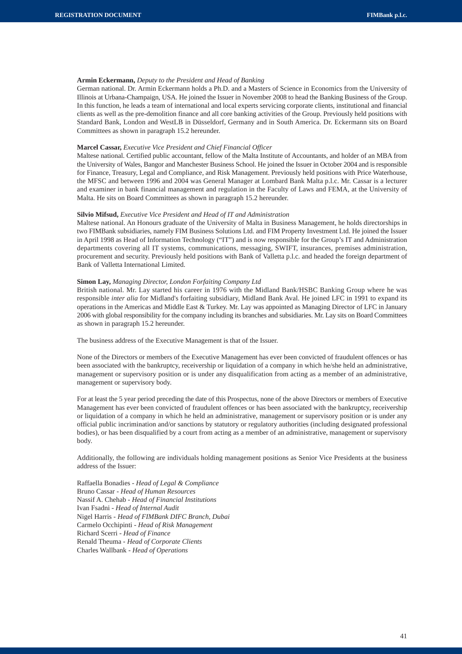# **Armin Eckermann,** *Deputy to the President and Head of Banking*

German national. Dr. Armin Eckermann holds a Ph.D. and a Masters of Science in Economics from the University of Illinois at Urbana-Champaign, USA. He joined the Issuer in November 2008 to head the Banking Business of the Group. In this function, he leads a team of international and local experts servicing corporate clients, institutional and financial clients as well as the pre-demolition finance and all core banking activities of the Group. Previously held positions with Standard Bank, London and WestLB in Düsseldorf, Germany and in South America. Dr. Eckermann sits on Board Committees as shown in paragraph 15.2 hereunder.

### **Marcel Cassar,** *Executive Vice President and Chief Financial Officer*

Maltese national. Certified public accountant, fellow of the Malta Institute of Accountants, and holder of an MBA from the University of Wales, Bangor and Manchester Business School. He joined the Issuer in October 2004 and is responsible for Finance, Treasury, Legal and Compliance, and Risk Management. Previously held positions with Price Waterhouse, the MFSC and between 1996 and 2004 was General Manager at Lombard Bank Malta p.l.c. Mr. Cassar is a lecturer and examiner in bank financial management and regulation in the Faculty of Laws and FEMA, at the University of Malta. He sits on Board Committees as shown in paragraph 15.2 hereunder.

## **Silvio Mifsud,** *Executive Vice President and Head of IT and Administration*

Maltese national. An Honours graduate of the University of Malta in Business Management, he holds directorships in two FIMBank subsidiaries, namely FIM Business Solutions Ltd. and FIM Property Investment Ltd. He joined the Issuer in April 1998 as Head of Information Technology ("IT") and is now responsible for the Group's IT and Administration departments covering all IT systems, communications, messaging, SWIFT, insurances, premises administration, procurement and security. Previously held positions with Bank of Valletta p.l.c. and headed the foreign department of Bank of Valletta International Limited.

#### **Simon Lay,** *Managing Director, London Forfaiting Company Ltd*

British national. Mr. Lay started his career in 1976 with the Midland Bank/HSBC Banking Group where he was responsible *inter alia* for Midland's forfaiting subsidiary, Midland Bank Aval. He joined LFC in 1991 to expand its operations in the Americas and Middle East & Turkey. Mr. Lay was appointed as Managing Director of LFC in January 2006 with global responsibility for the company including its branches and subsidiaries. Mr. Lay sits on Board Committees as shown in paragraph 15.2 hereunder.

The business address of the Executive Management is that of the Issuer.

None of the Directors or members of the Executive Management has ever been convicted of fraudulent offences or has been associated with the bankruptcy, receivership or liquidation of a company in which he/she held an administrative, management or supervisory position or is under any disqualification from acting as a member of an administrative, management or supervisory body.

For at least the 5 year period preceding the date of this Prospectus, none of the above Directors or members of Executive Management has ever been convicted of fraudulent offences or has been associated with the bankruptcy, receivership or liquidation of a company in which he held an administrative, management or supervisory position or is under any official public incrimination and/or sanctions by statutory or regulatory authorities (including designated professional bodies), or has been disqualified by a court from acting as a member of an administrative, management or supervisory body.

Additionally, the following are individuals holding management positions as Senior Vice Presidents at the business address of the Issuer:

Raffaella Bonadies - *Head of Legal & Compliance* Bruno Cassar - *Head of Human Resources* Nassif A. Chehab - *Head of Financial Institutions* Ivan Fsadni - *Head of Internal Audit* Nigel Harris - *Head of FIMBank DIFC Branch, Dubai* Carmelo Occhipinti - *Head of Risk Management* Richard Scerri - *Head of Finance* Renald Theuma - *Head of Corporate Clients* Charles Wallbank - *Head of Operations*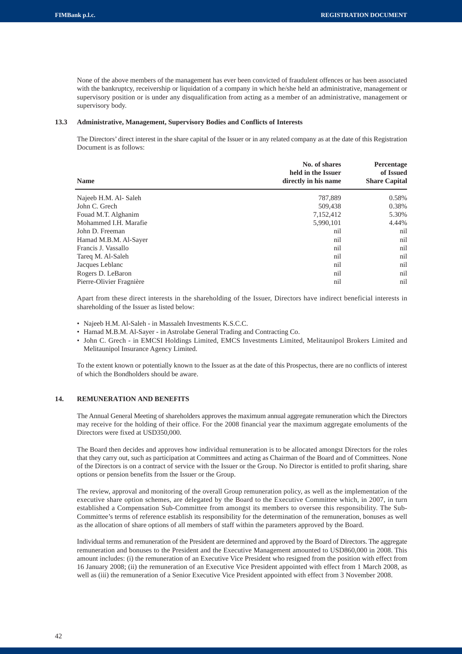None of the above members of the management has ever been convicted of fraudulent offences or has been associated with the bankruptcy, receivership or liquidation of a company in which he/she held an administrative, management or supervisory position or is under any disqualification from acting as a member of an administrative, management or supervisory body.

# **13.3 Administrative, Management, Supervisory Bodies and Conflicts of Interests**

The Directors' direct interest in the share capital of the Issuer or in any related company as at the date of this Registration Document is as follows:

| No. of shares<br>held in the Issuer | Percentage<br>of Issued |
|-------------------------------------|-------------------------|
| directly in his name                | <b>Share Capital</b>    |
| 787,889                             | 0.58%                   |
| 509.438                             | 0.38%                   |
| 7,152,412                           | 5.30%                   |
| 5,990,101                           | 4.44%                   |
| nil                                 | nil                     |
| nil                                 | nil                     |
| nil                                 | nil                     |
| nil                                 | nil                     |
| nil                                 | nil                     |
| nil                                 | nil                     |
| nil                                 | nil                     |
|                                     |                         |

Apart from these direct interests in the shareholding of the Issuer, Directors have indirect beneficial interests in shareholding of the Issuer as listed below:

- Najeeb H.M. Al-Saleh in Massaleh Investments K.S.C.C.
- Hamad M.B.M. Al-Sayer in Astrolabe General Trading and Contracting Co.
- John C. Grech in EMCSI Holdings Limited, EMCS Investments Limited, Melitaunipol Brokers Limited and Melitaunipol Insurance Agency Limited.

To the extent known or potentially known to the Issuer as at the date of this Prospectus, there are no conflicts of interest of which the Bondholders should be aware.

# **14. REMUNERATION AND BENEFITS**

The Annual General Meeting of shareholders approves the maximum annual aggregate remuneration which the Directors may receive for the holding of their office. For the 2008 financial year the maximum aggregate emoluments of the Directors were fixed at USD350,000.

The Board then decides and approves how individual remuneration is to be allocated amongst Directors for the roles that they carry out, such as participation at Committees and acting as Chairman of the Board and of Committees. None of the Directors is on a contract of service with the Issuer or the Group. No Director is entitled to profit sharing, share options or pension benefits from the Issuer or the Group.

The review, approval and monitoring of the overall Group remuneration policy, as well as the implementation of the executive share option schemes, are delegated by the Board to the Executive Committee which, in 2007, in turn established a Compensation Sub-Committee from amongst its members to oversee this responsibility. The Sub-Committee's terms of reference establish its responsibility for the determination of the remuneration, bonuses as well as the allocation of share options of all members of staff within the parameters approved by the Board.

Individual terms and remuneration of the President are determined and approved by the Board of Directors. The aggregate remuneration and bonuses to the President and the Executive Management amounted to USD860,000 in 2008. This amount includes: (i) the remuneration of an Executive Vice President who resigned from the position with effect from 16 January 2008; (ii) the remuneration of an Executive Vice President appointed with effect from 1 March 2008, as well as (iii) the remuneration of a Senior Executive Vice President appointed with effect from 3 November 2008.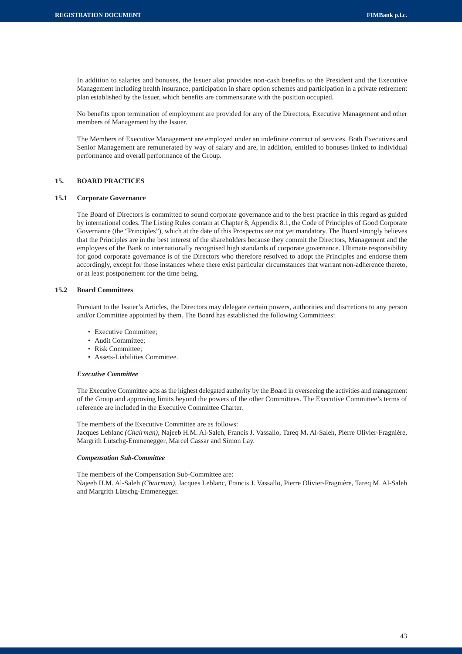In addition to salaries and bonuses, the Issuer also provides non-cash benefits to the President and the Executive Management including health insurance, participation in share option schemes and participation in a private retirement plan established by the Issuer, which benefits are commensurate with the position occupied.

No benefits upon termination of employment are provided for any of the Directors, Executive Management and other members of Management by the Issuer.

The Members of Executive Management are employed under an indefinite contract of services. Both Executives and Senior Management are remunerated by way of salary and are, in addition, entitled to bonuses linked to individual performance and overall performance of the Group.

# **15. BOARD PRACTICES**

#### **15.1 Corporate Governance**

The Board of Directors is committed to sound corporate governance and to the best practice in this regard as guided by international codes. The Listing Rules contain at Chapter 8, Appendix 8.1, the Code of Principles of Good Corporate Governance (the "Principles"), which at the date of this Prospectus are not yet mandatory. The Board strongly believes that the Principles are in the best interest of the shareholders because they commit the Directors, Management and the employees of the Bank to internationally recognised high standards of corporate governance. Ultimate responsibility for good corporate governance is of the Directors who therefore resolved to adopt the Principles and endorse them accordingly, except for those instances where there exist particular circumstances that warrant non-adherence thereto, or at least postponement for the time being.

# **15.2 Board Committees**

Pursuant to the Issuer's Articles, the Directors may delegate certain powers, authorities and discretions to any person and/or Committee appointed by them. The Board has established the following Committees:

- Executive Committee;
- Audit Committee;
- Risk Committee:
- Assets-Liabilities Committee.

# *Executive Committee*

The Executive Committee acts as the highest delegated authority by the Board in overseeing the activities and management of the Group and approving limits beyond the powers of the other Committees. The Executive Committee's terms of reference are included in the Executive Committee Charter.

The members of the Executive Committee are as follows: Jacques Leblanc *(Chairman)*, Najeeb H.M. Al-Saleh, Francis J. Vassallo, Tareq M. Al-Saleh, Pierre Olivier-Fragnière, Margrith Lütschg-Emmenegger, Marcel Cassar and Simon Lay.

## *Compensation Sub-Committee*

The members of the Compensation Sub-Committee are: Najeeb H.M. Al-Saleh *(Chairman)*, Jacques Leblanc, Francis J. Vassallo, Pierre Olivier-Fragnière, Tareq M. Al-Saleh and Margrith Lütschg-Emmenegger.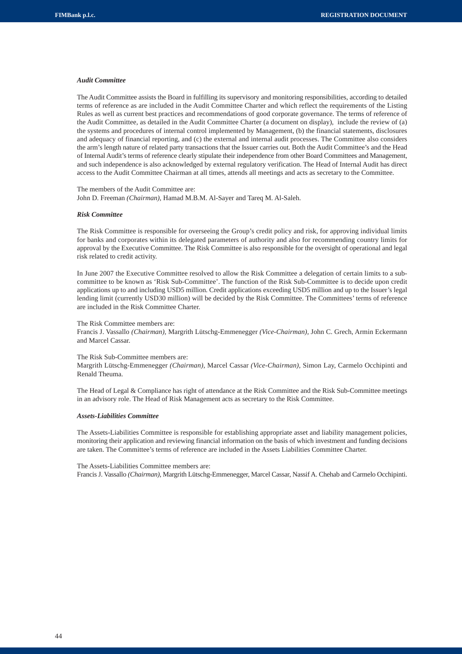#### *Audit Committee*

The Audit Committee assists the Board in fulfilling its supervisory and monitoring responsibilities, according to detailed terms of reference as are included in the Audit Committee Charter and which reflect the requirements of the Listing Rules as well as current best practices and recommendations of good corporate governance. The terms of reference of the Audit Committee, as detailed in the Audit Committee Charter (a document on display), include the review of (a) the systems and procedures of internal control implemented by Management, (b) the financial statements, disclosures and adequacy of financial reporting, and (c) the external and internal audit processes. The Committee also considers the arm's length nature of related party transactions that the Issuer carries out. Both the Audit Committee's and the Head of Internal Audit's terms of reference clearly stipulate their independence from other Board Committees and Management, and such independence is also acknowledged by external regulatory verification. The Head of Internal Audit has direct access to the Audit Committee Chairman at all times, attends all meetings and acts as secretary to the Committee.

The members of the Audit Committee are: John D. Freeman *(Chairman),* Hamad M.B.M. Al-Sayer and Tareq M. Al-Saleh.

## *Risk Committee*

The Risk Committee is responsible for overseeing the Group's credit policy and risk, for approving individual limits for banks and corporates within its delegated parameters of authority and also for recommending country limits for approval by the Executive Committee. The Risk Committee is also responsible for the oversight of operational and legal risk related to credit activity.

In June 2007 the Executive Committee resolved to allow the Risk Committee a delegation of certain limits to a subcommittee to be known as 'Risk Sub-Committee'. The function of the Risk Sub-Committee is to decide upon credit applications up to and including USD5 million. Credit applications exceeding USD5 million and up to the Issuer's legal lending limit (currently USD30 million) will be decided by the Risk Committee. The Committees' terms of reference are included in the Risk Committee Charter.

#### The Risk Committee members are:

Francis J. Vassallo *(Chairman),* Margrith Lütschg-Emmenegger *(Vice-Chairman),* John C. Grech, Armin Eckermann and Marcel Cassar.

#### The Risk Sub-Committee members are:

Margrith Lütschg-Emmenegger *(Chairman),* Marcel Cassar *(Vice-Chairman),* Simon Lay, Carmelo Occhipinti and Renald Theuma.

The Head of Legal & Compliance has right of attendance at the Risk Committee and the Risk Sub-Committee meetings in an advisory role. The Head of Risk Management acts as secretary to the Risk Committee.

#### *Assets-Liabilities Committee*

The Assets-Liabilities Committee is responsible for establishing appropriate asset and liability management policies, monitoring their application and reviewing financial information on the basis of which investment and funding decisions are taken. The Committee's terms of reference are included in the Assets Liabilities Committee Charter.

The Assets-Liabilities Committee members are:

Francis J. Vassallo *(Chairman),* Margrith Lütschg-Emmenegger, Marcel Cassar, Nassif A. Chehab and Carmelo Occhipinti.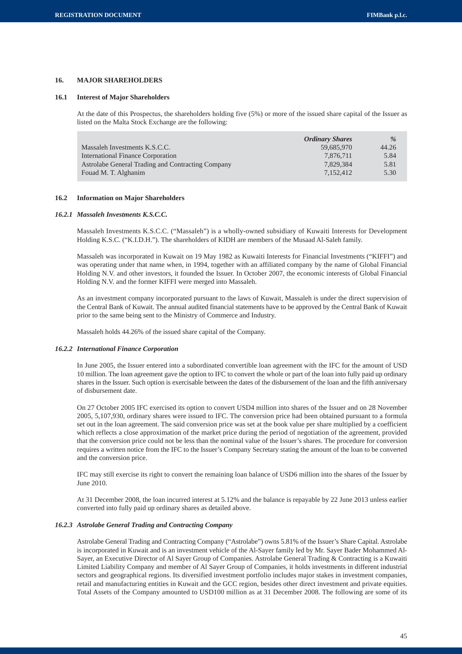# **16. MAJOR SHAREHOLDERS**

#### **16.1 Interest of Major Shareholders**

At the date of this Prospectus, the shareholders holding five (5%) or more of the issued share capital of the Issuer as listed on the Malta Stock Exchange are the following:

|                                                   | <b>Ordinary Shares</b> | $\%$  |
|---------------------------------------------------|------------------------|-------|
| Massaleh Investments K.S.C.C.                     | 59.685.970             | 44.26 |
| International Finance Corporation                 | 7.876.711              | 5.84  |
| Astrolabe General Trading and Contracting Company | 7.829.384              | 5.81  |
| Fouad M. T. Alghanim                              | 7.152.412              | 5.30  |

#### **16.2 Information on Major Shareholders**

#### *16.2.1 Massaleh Investments K.S.C.C.*

Massaleh Investments K.S.C.C. ("Massaleh") is a wholly-owned subsidiary of Kuwaiti Interests for Development Holding K.S.C. ("K.I.D.H."). The shareholders of KIDH are members of the Musaad Al-Saleh family.

Massaleh was incorporated in Kuwait on 19 May 1982 as Kuwaiti Interests for Financial Investments ("KIFFI") and was operating under that name when, in 1994, together with an affiliated company by the name of Global Financial Holding N.V. and other investors, it founded the Issuer. In October 2007, the economic interests of Global Financial Holding N.V. and the former KIFFI were merged into Massaleh.

As an investment company incorporated pursuant to the laws of Kuwait, Massaleh is under the direct supervision of the Central Bank of Kuwait. The annual audited financial statements have to be approved by the Central Bank of Kuwait prior to the same being sent to the Ministry of Commerce and Industry.

Massaleh holds 44.26% of the issued share capital of the Company.

#### *16.2.2 International Finance Corporation*

In June 2005, the Issuer entered into a subordinated convertible loan agreement with the IFC for the amount of USD 10 million. The loan agreement gave the option to IFC to convert the whole or part of the loan into fully paid up ordinary shares in the Issuer. Such option is exercisable between the dates of the disbursement of the loan and the fifth anniversary of disbursement date.

On 27 October 2005 IFC exercised its option to convert USD4 million into shares of the Issuer and on 28 November 2005, 5,107,930, ordinary shares were issued to IFC. The conversion price had been obtained pursuant to a formula set out in the loan agreement. The said conversion price was set at the book value per share multiplied by a coefficient which reflects a close approximation of the market price during the period of negotiation of the agreement, provided that the conversion price could not be less than the nominal value of the Issuer's shares. The procedure for conversion requires a written notice from the IFC to the Issuer's Company Secretary stating the amount of the loan to be converted and the conversion price.

IFC may still exercise its right to convert the remaining loan balance of USD6 million into the shares of the Issuer by  $J_{\text{II}}$ ne 2010.

At 31 December 2008, the loan incurred interest at 5.12% and the balance is repayable by 22 June 2013 unless earlier converted into fully paid up ordinary shares as detailed above.

# *16.2.3 Astrolabe General Trading and Contracting Company*

Astrolabe General Trading and Contracting Company ("Astrolabe") owns 5.81% of the Issuer's Share Capital. Astrolabe is incorporated in Kuwait and is an investment vehicle of the Al-Sayer family led by Mr. Sayer Bader Mohammed Al-Sayer, an Executive Director of Al Sayer Group of Companies. Astrolabe General Trading & Contracting is a Kuwaiti Limited Liability Company and member of Al Sayer Group of Companies, it holds investments in different industrial sectors and geographical regions. Its diversified investment portfolio includes major stakes in investment companies, retail and manufacturing entities in Kuwait and the GCC region, besides other direct investment and private equities. Total Assets of the Company amounted to USD100 million as at 31 December 2008. The following are some of its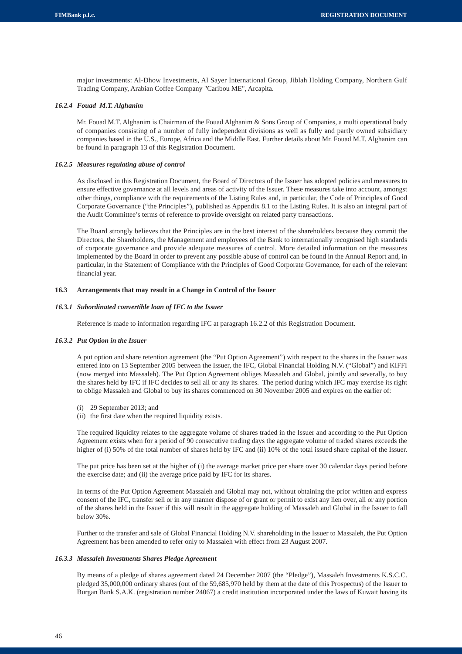major investments: Al-Dhow Investments, Al Sayer International Group, Jiblah Holding Company, Northern Gulf Trading Company, Arabian Coffee Company "Caribou ME", Arcapita.

# *16.2.4 Fouad M.T. Alghanim*

Mr. Fouad M.T. Alghanim is Chairman of the Fouad Alghanim & Sons Group of Companies, a multi operational body of companies consisting of a number of fully independent divisions as well as fully and partly owned subsidiary companies based in the U.S., Europe, Africa and the Middle East. Further details about Mr. Fouad M.T. Alghanim can be found in paragraph 13 of this Registration Document.

# *16.2.5 Measures regulating abuse of control*

As disclosed in this Registration Document, the Board of Directors of the Issuer has adopted policies and measures to ensure effective governance at all levels and areas of activity of the Issuer. These measures take into account, amongst other things, compliance with the requirements of the Listing Rules and, in particular, the Code of Principles of Good Corporate Governance ("the Principles"), published as Appendix 8.1 to the Listing Rules. It is also an integral part of the Audit Committee's terms of reference to provide oversight on related party transactions.

The Board strongly believes that the Principles are in the best interest of the shareholders because they commit the Directors, the Shareholders, the Management and employees of the Bank to internationally recognised high standards of corporate governance and provide adequate measures of control. More detailed information on the measures implemented by the Board in order to prevent any possible abuse of control can be found in the Annual Report and, in particular, in the Statement of Compliance with the Principles of Good Corporate Governance, for each of the relevant financial year.

# **16.3 Arrangements that may result in a Change in Control of the Issuer**

#### *16.3.1 Subordinated convertible loan of IFC to the Issuer*

Reference is made to information regarding IFC at paragraph 16.2.2 of this Registration Document.

#### *16.3.2 Put Option in the Issuer*

A put option and share retention agreement (the "Put Option Agreement") with respect to the shares in the Issuer was entered into on 13 September 2005 between the Issuer, the IFC, Global Financial Holding N.V. ("Global") and KIFFI (now merged into Massaleh). The Put Option Agreement obliges Massaleh and Global, jointly and severally, to buy the shares held by IFC if IFC decides to sell all or any its shares. The period during which IFC may exercise its right to oblige Massaleh and Global to buy its shares commenced on 30 November 2005 and expires on the earlier of:

- (i) 29 September 2013; and
- (ii) the first date when the required liquidity exists.

The required liquidity relates to the aggregate volume of shares traded in the Issuer and according to the Put Option Agreement exists when for a period of 90 consecutive trading days the aggregate volume of traded shares exceeds the higher of (i) 50% of the total number of shares held by IFC and (ii) 10% of the total issued share capital of the Issuer.

The put price has been set at the higher of (i) the average market price per share over 30 calendar days period before the exercise date; and (ii) the average price paid by IFC for its shares.

In terms of the Put Option Agreement Massaleh and Global may not, without obtaining the prior written and express consent of the IFC, transfer sell or in any manner dispose of or grant or permit to exist any lien over, all or any portion of the shares held in the Issuer if this will result in the aggregate holding of Massaleh and Global in the Issuer to fall below 30%.

Further to the transfer and sale of Global Financial Holding N.V. shareholding in the Issuer to Massaleh, the Put Option Agreement has been amended to refer only to Massaleh with effect from 23 August 2007.

# *16.3.3 Massaleh Investments Shares Pledge Agreement*

By means of a pledge of shares agreement dated 24 December 2007 (the "Pledge"), Massaleh Investments K.S.C.C. pledged 35,000,000 ordinary shares (out of the 59,685,970 held by them at the date of this Prospectus) of the Issuer to Burgan Bank S.A.K. (registration number 24067) a credit institution incorporated under the laws of Kuwait having its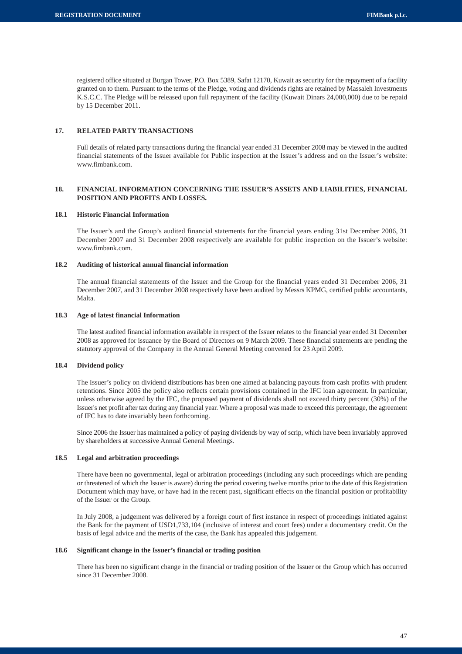registered office situated at Burgan Tower, P.O. Box 5389, Safat 12170, Kuwait as security for the repayment of a facility granted on to them. Pursuant to the terms of the Pledge, voting and dividends rights are retained by Massaleh Investments K.S.C.C. The Pledge will be released upon full repayment of the facility (Kuwait Dinars 24,000,000) due to be repaid by 15 December 2011.

# **17. RELATED PARTY TRANSACTIONS**

Full details of related party transactions during the financial year ended 31 December 2008 may be viewed in the audited financial statements of the Issuer available for Public inspection at the Issuer's address and on the Issuer's website: www.fimbank.com.

# **18. FINANCIAL INFORMATION CONCERNING THE ISSUER'S ASSETS AND LIABILITIES, FINANCIAL POSITION AND PROFITS AND LOSSES.**

# **18.1 Historic Financial Information**

The Issuer's and the Group's audited financial statements for the financial years ending 31st December 2006, 31 December 2007 and 31 December 2008 respectively are available for public inspection on the Issuer's website: www.fimbank.com.

# **18.2 Auditing of historical annual financial information**

The annual financial statements of the Issuer and the Group for the financial years ended 31 December 2006, 31 December 2007, and 31 December 2008 respectively have been audited by Messrs KPMG, certified public accountants, Malta.

# **18.3 Age of latest financial Information**

The latest audited financial information available in respect of the Issuer relates to the financial year ended 31 December 2008 as approved for issuance by the Board of Directors on 9 March 2009. These financial statements are pending the statutory approval of the Company in the Annual General Meeting convened for 23 April 2009.

#### **18.4 Dividend policy**

The Issuer's policy on dividend distributions has been one aimed at balancing payouts from cash profits with prudent retentions. Since 2005 the policy also reflects certain provisions contained in the IFC loan agreement. In particular, unless otherwise agreed by the IFC, the proposed payment of dividends shall not exceed thirty percent (30%) of the Issuer's net profit after tax during any financial year. Where a proposal was made to exceed this percentage, the agreement of IFC has to date invariably been forthcoming.

Since 2006 the Issuer has maintained a policy of paying dividends by way of scrip, which have been invariably approved by shareholders at successive Annual General Meetings.

# **18.5 Legal and arbitration proceedings**

There have been no governmental, legal or arbitration proceedings (including any such proceedings which are pending or threatened of which the Issuer is aware) during the period covering twelve months prior to the date of this Registration Document which may have, or have had in the recent past, significant effects on the financial position or profitability of the Issuer or the Group.

In July 2008, a judgement was delivered by a foreign court of first instance in respect of proceedings initiated against the Bank for the payment of USD1,733,104 (inclusive of interest and court fees) under a documentary credit. On the basis of legal advice and the merits of the case, the Bank has appealed this judgement.

# **18.6 Significant change in the Issuer's financial or trading position**

There has been no significant change in the financial or trading position of the Issuer or the Group which has occurred since 31 December 2008.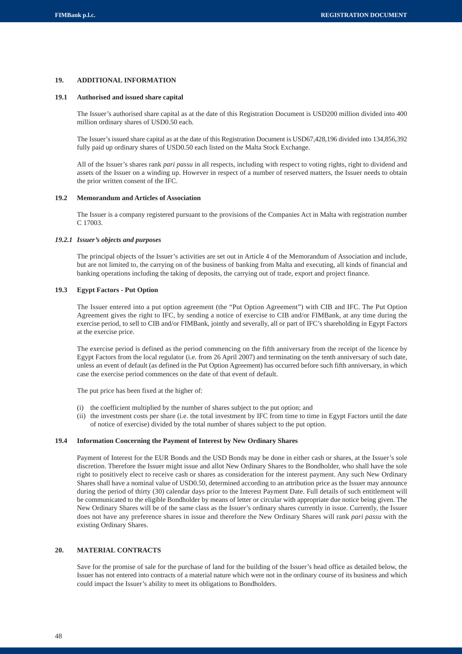# **19. ADDITIONAL INFORMATION**

# **19.1 Authorised and issued share capital**

The Issuer's authorised share capital as at the date of this Registration Document is USD200 million divided into 400 million ordinary shares of USD0.50 each.

The Issuer's issued share capital as at the date of this Registration Document is USD67,428,196 divided into 134,856,392 fully paid up ordinary shares of USD0.50 each listed on the Malta Stock Exchange.

All of the Issuer's shares rank *pari passu* in all respects, including with respect to voting rights, right to dividend and assets of the Issuer on a winding up. However in respect of a number of reserved matters, the Issuer needs to obtain the prior written consent of the IFC.

#### **19.2 Memorandum and Articles of Association**

The Issuer is a company registered pursuant to the provisions of the Companies Act in Malta with registration number C 17003.

# *19.2.1 Issuer's objects and purposes*

The principal objects of the Issuer's activities are set out in Article 4 of the Memorandum of Association and include, but are not limited to, the carrying on of the business of banking from Malta and executing, all kinds of financial and banking operations including the taking of deposits, the carrying out of trade, export and project finance.

# **19.3 Egypt Factors - Put Option**

The Issuer entered into a put option agreement (the "Put Option Agreement") with CIB and IFC. The Put Option Agreement gives the right to IFC, by sending a notice of exercise to CIB and/or FIMBank, at any time during the exercise period, to sell to CIB and/or FIMBank, jointly and severally, all or part of IFC's shareholding in Egypt Factors at the exercise price.

The exercise period is defined as the period commencing on the fifth anniversary from the receipt of the licence by Egypt Factors from the local regulator (i.e. from 26 April 2007) and terminating on the tenth anniversary of such date, unless an event of default (as defined in the Put Option Agreement) has occurred before such fifth anniversary, in which case the exercise period commences on the date of that event of default.

The put price has been fixed at the higher of:

- (i) the coefficient multiplied by the number of shares subject to the put option; and
- (ii) the investment costs per share (i.e. the total investment by IFC from time to time in Egypt Factors until the date of notice of exercise) divided by the total number of shares subject to the put option.

# **19.4 Information Concerning the Payment of Interest by New Ordinary Shares**

Payment of Interest for the EUR Bonds and the USD Bonds may be done in either cash or shares, at the Issuer's sole discretion. Therefore the Issuer might issue and allot New Ordinary Shares to the Bondholder, who shall have the sole right to positively elect to receive cash or shares as consideration for the interest payment. Any such New Ordinary Shares shall have a nominal value of USD0.50, determined according to an attribution price as the Issuer may announce during the period of thirty (30) calendar days prior to the Interest Payment Date. Full details of such entitlement will be communicated to the eligible Bondholder by means of letter or circular with appropriate due notice being given. The New Ordinary Shares will be of the same class as the Issuer's ordinary shares currently in issue. Currently, the Issuer does not have any preference shares in issue and therefore the New Ordinary Shares will rank *pari passu* with the existing Ordinary Shares.

# **20. MATERIAL CONTRACTS**

Save for the promise of sale for the purchase of land for the building of the Issuer's head office as detailed below, the Issuer has not entered into contracts of a material nature which were not in the ordinary course of its business and which could impact the Issuer's ability to meet its obligations to Bondholders.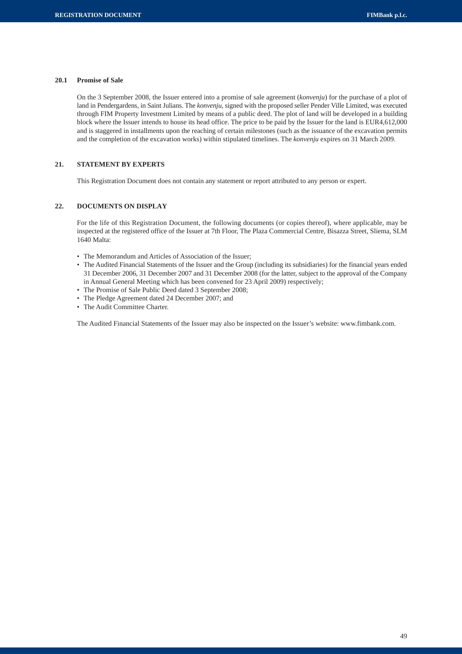# **20.1 Promise of Sale**

On the 3 September 2008, the Issuer entered into a promise of sale agreement (*konvenju*) for the purchase of a plot of land in Pendergardens, in Saint Julians. The *konvenju*, signed with the proposed seller Pender Ville Limited, was executed through FIM Property Investment Limited by means of a public deed. The plot of land will be developed in a building block where the Issuer intends to house its head office. The price to be paid by the Issuer for the land is EUR4,612,000 and is staggered in installments upon the reaching of certain milestones (such as the issuance of the excavation permits and the completion of the excavation works) within stipulated timelines. The *konvenju* expires on 31 March 2009.

# **21. STATEMENT BY EXPERTS**

This Registration Document does not contain any statement or report attributed to any person or expert.

# **22. DOCUMENTS ON DISPLAY**

For the life of this Registration Document, the following documents (or copies thereof), where applicable, may be inspected at the registered office of the Issuer at 7th Floor, The Plaza Commercial Centre, Bisazza Street, Sliema, SLM 1640 Malta:

- The Memorandum and Articles of Association of the Issuer;
- The Audited Financial Statements of the Issuer and the Group (including its subsidiaries) for the financial years ended 31 December 2006, 31 December 2007 and 31 December 2008 (for the latter, subject to the approval of the Company in Annual General Meeting which has been convened for 23 April 2009) respectively;
- The Promise of Sale Public Deed dated 3 September 2008;
- The Pledge Agreement dated 24 December 2007; and
- The Audit Committee Charter.

The Audited Financial Statements of the Issuer may also be inspected on the Issuer's website: www.fimbank.com.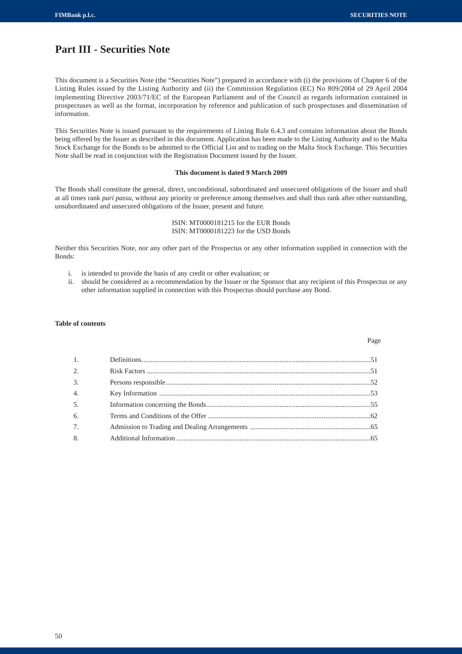# **Part III - Securities Note**

This document is a Securities Note (the "Securities Note") prepared in accordance with (i) the provisions of Chapter 6 of the Listing Rules issued by the Listing Authority and (ii) the Commission Regulation (EC) No 809/2004 of 29 April 2004 implementing Directive 2003/71/EC of the European Parliament and of the Council as regards information contained in prospectuses as well as the format, incorporation by reference and publication of such prospectuses and dissemination of information.

This Securities Note is issued pursuant to the requirements of Listing Rule 6.4.3 and contains information about the Bonds being offered by the Issuer as described in this document. Application has been made to the Listing Authority and to the Malta Stock Exchange for the Bonds to be admitted to the Official List and to trading on the Malta Stock Exchange. This Securities Note shall be read in conjunction with the Registration Document issued by the Issuer.

# **This document is dated 9 March 2009**

The Bonds shall constitute the general, direct, unconditional, subordinated and unsecured obligations of the Issuer and shall at all times rank *pari passu*, without any priority or preference among themselves and shall thus rank after other outstanding, unsubordinated and unsecured obligations of the Issuer, present and future.

# ISIN: MT0000181215 for the EUR Bonds ISIN: MT0000181223 for the USD Bonds

Neither this Securities Note, nor any other part of the Prospectus or any other information supplied in connection with the Bonds:

- i. is intended to provide the basis of any credit or other evaluation; or
- ii. should be considered as a recommendation by the Issuer or the Sponsor that any recipient of this Prospectus or any other information supplied in connection with this Prospectus should purchase any Bond.

# **Table of contents**

Page

| 1. |  |
|----|--|
| 2. |  |
| 3. |  |
| 4. |  |
| 5. |  |
| 6. |  |
| 7. |  |
| 8. |  |
|    |  |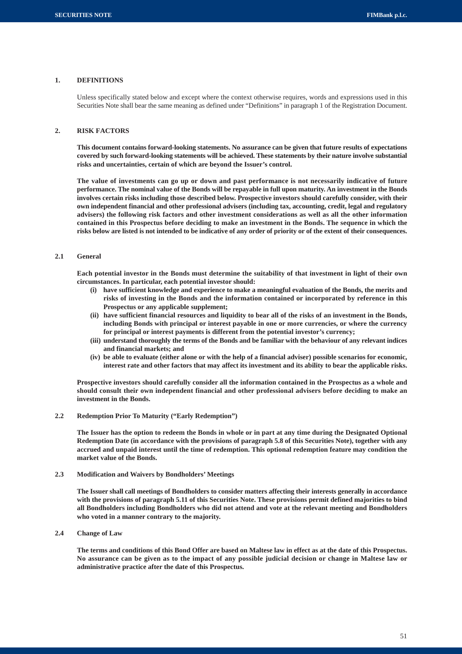# **1. DEFINITIONS**

Unless specifically stated below and except where the context otherwise requires, words and expressions used in this Securities Note shall bear the same meaning as defined under "Definitions" in paragraph 1 of the Registration Document.

# **2. RISK FACTORS**

**This document contains forward-looking statements. No assurance can be given that future results of expectations covered by such forward-looking statements will be achieved. These statements by their nature involve substantial risks and uncertainties, certain of which are beyond the Issuer's control.**

**The value of investments can go up or down and past performance is not necessarily indicative of future performance. The nominal value of the Bonds will be repayable in full upon maturity. An investment in the Bonds involves certain risks including those described below. Prospective investors should carefully consider, with their own independent financial and other professional advisers (including tax, accounting, credit, legal and regulatory advisers) the following risk factors and other investment considerations as well as all the other information contained in this Prospectus before deciding to make an investment in the Bonds. The sequence in which the risks below are listed is not intended to be indicative of any order of priority or of the extent of their consequences.**

# **2.1 General**

**Each potential investor in the Bonds must determine the suitability of that investment in light of their own circumstances. In particular, each potential investor should:**

- **(i) have sufficient knowledge and experience to make a meaningful evaluation of the Bonds, the merits and risks of investing in the Bonds and the information contained or incorporated by reference in this Prospectus or any applicable supplement;**
- **(ii) have sufficient financial resources and liquidity to bear all of the risks of an investment in the Bonds, including Bonds with principal or interest payable in one or more currencies, or where the currency for principal or interest payments is different from the potential investor's currency;**
- **(iii) understand thoroughly the terms of the Bonds and be familiar with the behaviour of any relevant indices and financial markets; and**
- **(iv) be able to evaluate (either alone or with the help of a financial adviser) possible scenarios for economic, interest rate and other factors that may affect its investment and its ability to bear the applicable risks.**

**Prospective investors should carefully consider all the information contained in the Prospectus as a whole and should consult their own independent financial and other professional advisers before deciding to make an investment in the Bonds.**

**2.2 Redemption Prior To Maturity ("Early Redemption")**

**The Issuer has the option to redeem the Bonds in whole or in part at any time during the Designated Optional Redemption Date (in accordance with the provisions of paragraph 5.8 of this Securities Note), together with any accrued and unpaid interest until the time of redemption. This optional redemption feature may condition the market value of the Bonds.**

**2.3 Modification and Waivers by Bondholders' Meetings**

**The Issuer shall call meetings of Bondholders to consider matters affecting their interests generally in accordance with the provisions of paragraph 5.11 of this Securities Note. These provisions permit defined majorities to bind all Bondholders including Bondholders who did not attend and vote at the relevant meeting and Bondholders who voted in a manner contrary to the majority.**

**2.4 Change of Law**

**The terms and conditions of this Bond Offer are based on Maltese law in effect as at the date of this Prospectus. No assurance can be given as to the impact of any possible judicial decision or change in Maltese law or administrative practice after the date of this Prospectus.**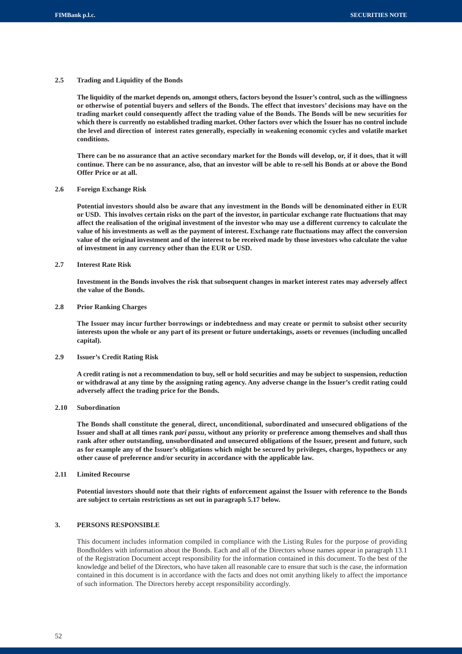# **2.5 Trading and Liquidity of the Bonds**

**The liquidity of the market depends on, amongst others, factors beyond the Issuer's control, such as the willingness or otherwise of potential buyers and sellers of the Bonds. The effect that investors' decisions may have on the trading market could consequently affect the trading value of the Bonds. The Bonds will be new securities for which there is currently no established trading market. Other factors over which the Issuer has no control include the level and direction of interest rates generally, especially in weakening economic cycles and volatile market conditions.**

**There can be no assurance that an active secondary market for the Bonds will develop, or, if it does, that it will continue. There can be no assurance, also, that an investor will be able to re-sell his Bonds at or above the Bond Offer Price or at all.**

#### **2.6 Foreign Exchange Risk**

**Potential investors should also be aware that any investment in the Bonds will be denominated either in EUR or USD. This involves certain risks on the part of the investor, in particular exchange rate fluctuations that may affect the realisation of the original investment of the investor who may use a different currency to calculate the value of his investments as well as the payment of interest. Exchange rate fluctuations may affect the conversion value of the original investment and of the interest to be received made by those investors who calculate the value of investment in any currency other than the EUR or USD.**

# **2.7 Interest Rate Risk**

**Investment in the Bonds involves the risk that subsequent changes in market interest rates may adversely affect the value of the Bonds.**

## **2.8 Prior Ranking Charges**

**The Issuer may incur further borrowings or indebtedness and may create or permit to subsist other security interests upon the whole or any part of its present or future undertakings, assets or revenues (including uncalled capital).**

#### **2.9 Issuer's Credit Rating Risk**

**A credit rating is not a recommendation to buy, sell or hold securities and may be subject to suspension, reduction or withdrawal at any time by the assigning rating agency. Any adverse change in the Issuer's credit rating could adversely affect the trading price for the Bonds.**

# **2.10 Subordination**

**The Bonds shall constitute the general, direct, unconditional, subordinated and unsecured obligations of the Issuer and shall at all times rank** *pari passu***, without any priority or preference among themselves and shall thus rank after other outstanding, unsubordinated and unsecured obligations of the Issuer, present and future, such as for example any of the Issuer's obligations which might be secured by privileges, charges, hypothecs or any other cause of preference and/or security in accordance with the applicable law.**

# **2.11 Limited Recourse**

**Potential investors should note that their rights of enforcement against the Issuer with reference to the Bonds are subject to certain restrictions as set out in paragraph 5.17 below.**

# **3. PERSONS RESPONSIBLE**

This document includes information compiled in compliance with the Listing Rules for the purpose of providing Bondholders with information about the Bonds. Each and all of the Directors whose names appear in paragraph 13.1 of the Registration Document accept responsibility for the information contained in this document. To the best of the knowledge and belief of the Directors, who have taken all reasonable care to ensure that such is the case, the information contained in this document is in accordance with the facts and does not omit anything likely to affect the importance of such information. The Directors hereby accept responsibility accordingly.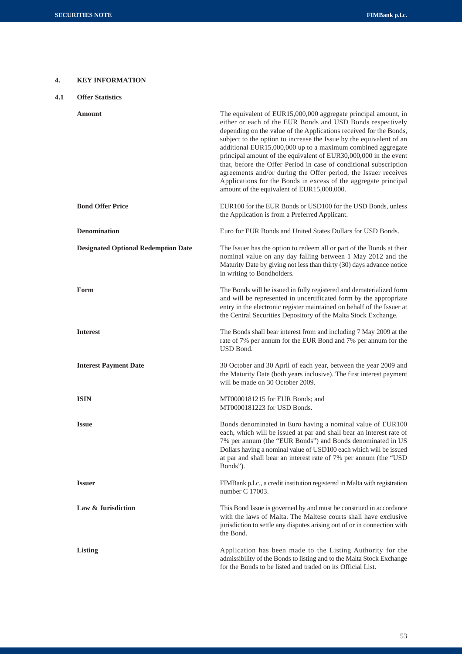# **4. KEY INFORMATION**

| 4.1 |  | <b>Offer Statistics</b> |
|-----|--|-------------------------|
|-----|--|-------------------------|

| Amount                                     | The equivalent of EUR15,000,000 aggregate principal amount, in<br>either or each of the EUR Bonds and USD Bonds respectively<br>depending on the value of the Applications received for the Bonds,<br>subject to the option to increase the Issue by the equivalent of an<br>additional EUR15,000,000 up to a maximum combined aggregate<br>principal amount of the equivalent of EUR30,000,000 in the event<br>that, before the Offer Period in case of conditional subscription<br>agreements and/or during the Offer period, the Issuer receives<br>Applications for the Bonds in excess of the aggregate principal<br>amount of the equivalent of EUR15,000,000. |
|--------------------------------------------|----------------------------------------------------------------------------------------------------------------------------------------------------------------------------------------------------------------------------------------------------------------------------------------------------------------------------------------------------------------------------------------------------------------------------------------------------------------------------------------------------------------------------------------------------------------------------------------------------------------------------------------------------------------------|
| <b>Bond Offer Price</b>                    | EUR100 for the EUR Bonds or USD100 for the USD Bonds, unless<br>the Application is from a Preferred Applicant.                                                                                                                                                                                                                                                                                                                                                                                                                                                                                                                                                       |
| <b>Denomination</b>                        | Euro for EUR Bonds and United States Dollars for USD Bonds.                                                                                                                                                                                                                                                                                                                                                                                                                                                                                                                                                                                                          |
| <b>Designated Optional Redemption Date</b> | The Issuer has the option to redeem all or part of the Bonds at their<br>nominal value on any day falling between 1 May 2012 and the<br>Maturity Date by giving not less than thirty (30) days advance notice<br>in writing to Bondholders.                                                                                                                                                                                                                                                                                                                                                                                                                          |
| Form                                       | The Bonds will be issued in fully registered and dematerialized form<br>and will be represented in uncertificated form by the appropriate<br>entry in the electronic register maintained on behalf of the Issuer at<br>the Central Securities Depository of the Malta Stock Exchange.                                                                                                                                                                                                                                                                                                                                                                                |
| <b>Interest</b>                            | The Bonds shall bear interest from and including 7 May 2009 at the<br>rate of 7% per annum for the EUR Bond and 7% per annum for the<br>USD Bond.                                                                                                                                                                                                                                                                                                                                                                                                                                                                                                                    |
| <b>Interest Payment Date</b>               | 30 October and 30 April of each year, between the year 2009 and<br>the Maturity Date (both years inclusive). The first interest payment<br>will be made on 30 October 2009.                                                                                                                                                                                                                                                                                                                                                                                                                                                                                          |
| <b>ISIN</b>                                | MT0000181215 for EUR Bonds; and<br>MT0000181223 for USD Bonds.                                                                                                                                                                                                                                                                                                                                                                                                                                                                                                                                                                                                       |
| <b>Issue</b>                               | Bonds denominated in Euro having a nominal value of EUR100<br>each, which will be issued at par and shall bear an interest rate of<br>7% per annum (the "EUR Bonds") and Bonds denominated in US<br>Dollars having a nominal value of USD100 each which will be issued<br>at par and shall bear an interest rate of 7% per annum (the "USD<br>Bonds").                                                                                                                                                                                                                                                                                                               |
| <b>Issuer</b>                              | FIMBank p.l.c., a credit institution registered in Malta with registration<br>number C 17003.                                                                                                                                                                                                                                                                                                                                                                                                                                                                                                                                                                        |
| Law & Jurisdiction                         | This Bond Issue is governed by and must be construed in accordance<br>with the laws of Malta. The Maltese courts shall have exclusive<br>jurisdiction to settle any disputes arising out of or in connection with<br>the Bond.                                                                                                                                                                                                                                                                                                                                                                                                                                       |
| <b>Listing</b>                             | Application has been made to the Listing Authority for the<br>admissibility of the Bonds to listing and to the Malta Stock Exchange<br>for the Bonds to be listed and traded on its Official List.                                                                                                                                                                                                                                                                                                                                                                                                                                                                   |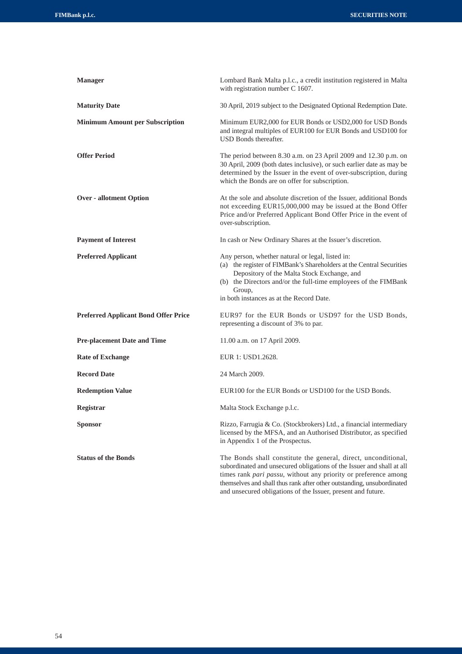| <b>Manager</b>                              | Lombard Bank Malta p.l.c., a credit institution registered in Malta<br>with registration number C 1607.                                                                                                                                                                                                                                              |
|---------------------------------------------|------------------------------------------------------------------------------------------------------------------------------------------------------------------------------------------------------------------------------------------------------------------------------------------------------------------------------------------------------|
| <b>Maturity Date</b>                        | 30 April, 2019 subject to the Designated Optional Redemption Date.                                                                                                                                                                                                                                                                                   |
| <b>Minimum Amount per Subscription</b>      | Minimum EUR2,000 for EUR Bonds or USD2,000 for USD Bonds<br>and integral multiples of EUR100 for EUR Bonds and USD100 for<br>USD Bonds thereafter.                                                                                                                                                                                                   |
| <b>Offer Period</b>                         | The period between 8.30 a.m. on 23 April 2009 and 12.30 p.m. on<br>30 April, 2009 (both dates inclusive), or such earlier date as may be<br>determined by the Issuer in the event of over-subscription, during<br>which the Bonds are on offer for subscription.                                                                                     |
| <b>Over - allotment Option</b>              | At the sole and absolute discretion of the Issuer, additional Bonds<br>not exceeding EUR15,000,000 may be issued at the Bond Offer<br>Price and/or Preferred Applicant Bond Offer Price in the event of<br>over-subscription.                                                                                                                        |
| <b>Payment of Interest</b>                  | In cash or New Ordinary Shares at the Issuer's discretion.                                                                                                                                                                                                                                                                                           |
| <b>Preferred Applicant</b>                  | Any person, whether natural or legal, listed in:<br>(a) the register of FIMBank's Shareholders at the Central Securities<br>Depository of the Malta Stock Exchange, and<br>(b) the Directors and/or the full-time employees of the FIMBank<br>Group,<br>in both instances as at the Record Date.                                                     |
| <b>Preferred Applicant Bond Offer Price</b> | EUR97 for the EUR Bonds or USD97 for the USD Bonds,<br>representing a discount of 3% to par.                                                                                                                                                                                                                                                         |
| <b>Pre-placement Date and Time</b>          | 11.00 a.m. on 17 April 2009.                                                                                                                                                                                                                                                                                                                         |
| <b>Rate of Exchange</b>                     | EUR 1: USD1.2628.                                                                                                                                                                                                                                                                                                                                    |
| <b>Record Date</b>                          | 24 March 2009.                                                                                                                                                                                                                                                                                                                                       |
| <b>Redemption Value</b>                     | EUR100 for the EUR Bonds or USD100 for the USD Bonds.                                                                                                                                                                                                                                                                                                |
| Registrar                                   | Malta Stock Exchange p.l.c.                                                                                                                                                                                                                                                                                                                          |
| Sponsor                                     | Rizzo, Farrugia & Co. (Stockbrokers) Ltd., a financial intermediary<br>licensed by the MFSA, and an Authorised Distributor, as specified<br>in Appendix 1 of the Prospectus.                                                                                                                                                                         |
| <b>Status of the Bonds</b>                  | The Bonds shall constitute the general, direct, unconditional,<br>subordinated and unsecured obligations of the Issuer and shall at all<br>times rank pari passu, without any priority or preference among<br>themselves and shall thus rank after other outstanding, unsubordinated<br>and unsecured obligations of the Issuer, present and future. |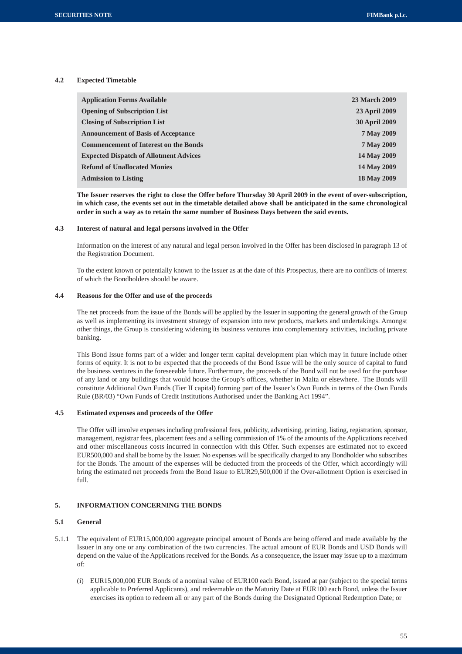# **4.2 Expected Timetable**

| <b>Application Forms Available</b>            | <b>23 March 2009</b> |
|-----------------------------------------------|----------------------|
| <b>Opening of Subscription List</b>           | 23 April 2009        |
| <b>Closing of Subscription List</b>           | <b>30 April 2009</b> |
| <b>Announcement of Basis of Acceptance</b>    | 7 May 2009           |
| <b>Commencement of Interest on the Bonds</b>  | 7 May 2009           |
| <b>Expected Dispatch of Allotment Advices</b> | 14 May 2009          |
| <b>Refund of Unallocated Monies</b>           | 14 May 2009          |
| <b>Admission to Listing</b>                   | 18 May 2009          |

**The Issuer reserves the right to close the Offer before Thursday 30 April 2009 in the event of over-subscription, in which case, the events set out in the timetable detailed above shall be anticipated in the same chronological order in such a way as to retain the same number of Business Days between the said events.**

#### **4.3 Interest of natural and legal persons involved in the Offer**

Information on the interest of any natural and legal person involved in the Offer has been disclosed in paragraph 13 of the Registration Document.

To the extent known or potentially known to the Issuer as at the date of this Prospectus, there are no conflicts of interest of which the Bondholders should be aware.

#### **4.4 Reasons for the Offer and use of the proceeds**

The net proceeds from the issue of the Bonds will be applied by the Issuer in supporting the general growth of the Group as well as implementing its investment strategy of expansion into new products, markets and undertakings. Amongst other things, the Group is considering widening its business ventures into complementary activities, including private banking.

This Bond Issue forms part of a wider and longer term capital development plan which may in future include other forms of equity. It is not to be expected that the proceeds of the Bond Issue will be the only source of capital to fund the business ventures in the foreseeable future. Furthermore, the proceeds of the Bond will not be used for the purchase of any land or any buildings that would house the Group's offices, whether in Malta or elsewhere. The Bonds will constitute Additional Own Funds (Tier II capital) forming part of the Issuer's Own Funds in terms of the Own Funds Rule (BR/03) "Own Funds of Credit Institutions Authorised under the Banking Act 1994".

# **4.5 Estimated expenses and proceeds of the Offer**

The Offer will involve expenses including professional fees, publicity, advertising, printing, listing, registration, sponsor, management, registrar fees, placement fees and a selling commission of 1% of the amounts of the Applications received and other miscellaneous costs incurred in connection with this Offer. Such expenses are estimated not to exceed EUR500,000 and shall be borne by the Issuer. No expenses will be specifically charged to any Bondholder who subscribes for the Bonds. The amount of the expenses will be deducted from the proceeds of the Offer, which accordingly will bring the estimated net proceeds from the Bond Issue to EUR29,500,000 if the Over-allotment Option is exercised in full.

# **5. INFORMATION CONCERNING THE BONDS**

# **5.1 General**

- 5.1.1 The equivalent of EUR15,000,000 aggregate principal amount of Bonds are being offered and made available by the Issuer in any one or any combination of the two currencies. The actual amount of EUR Bonds and USD Bonds will depend on the value of the Applications received for the Bonds. As a consequence, the Issuer may issue up to a maximum of:
	- (i) EUR15,000,000 EUR Bonds of a nominal value of EUR100 each Bond, issued at par (subject to the special terms applicable to Preferred Applicants), and redeemable on the Maturity Date at EUR100 each Bond, unless the Issuer exercises its option to redeem all or any part of the Bonds during the Designated Optional Redemption Date; or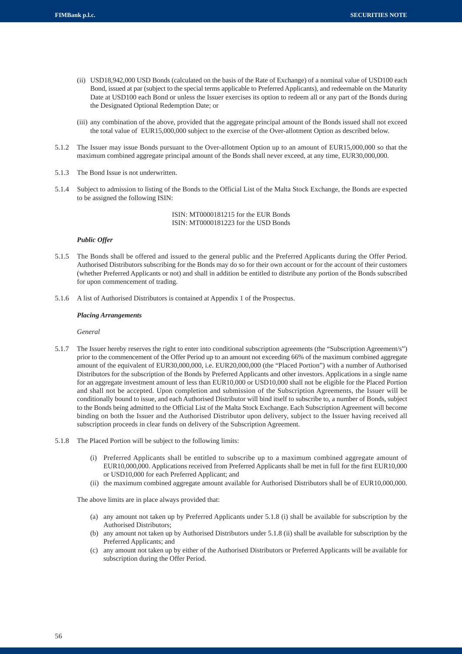- (ii) USD18,942,000 USD Bonds (calculated on the basis of the Rate of Exchange) of a nominal value of USD100 each Bond, issued at par (subject to the special terms applicable to Preferred Applicants), and redeemable on the Maturity Date at USD100 each Bond or unless the Issuer exercises its option to redeem all or any part of the Bonds during the Designated Optional Redemption Date; or
- (iii) any combination of the above, provided that the aggregate principal amount of the Bonds issued shall not exceed the total value of EUR15,000,000 subject to the exercise of the Over-allotment Option as described below.
- 5.1.2 The Issuer may issue Bonds pursuant to the Over-allotment Option up to an amount of EUR15,000,000 so that the maximum combined aggregate principal amount of the Bonds shall never exceed, at any time, EUR30,000,000.
- 5.1.3 The Bond Issue is not underwritten.
- 5.1.4 Subject to admission to listing of the Bonds to the Official List of the Malta Stock Exchange, the Bonds are expected to be assigned the following ISIN:

ISIN: MT0000181215 for the EUR Bonds ISIN: MT0000181223 for the USD Bonds

#### *Public Offer*

- 5.1.5 The Bonds shall be offered and issued to the general public and the Preferred Applicants during the Offer Period. Authorised Distributors subscribing for the Bonds may do so for their own account or for the account of their customers (whether Preferred Applicants or not) and shall in addition be entitled to distribute any portion of the Bonds subscribed for upon commencement of trading.
- 5.1.6 A list of Authorised Distributors is contained at Appendix 1 of the Prospectus.

#### *Placing Arrangements*

*General*

- 5.1.7 The Issuer hereby reserves the right to enter into conditional subscription agreements (the "Subscription Agreement/s") prior to the commencement of the Offer Period up to an amount not exceeding 66% of the maximum combined aggregate amount of the equivalent of EUR30,000,000, i.e. EUR20,000,000 (the "Placed Portion") with a number of Authorised Distributors for the subscription of the Bonds by Preferred Applicants and other investors. Applications in a single name for an aggregate investment amount of less than EUR10,000 or USD10,000 shall not be eligible for the Placed Portion and shall not be accepted. Upon completion and submission of the Subscription Agreements, the Issuer will be conditionally bound to issue, and each Authorised Distributor will bind itself to subscribe to, a number of Bonds, subject to the Bonds being admitted to the Official List of the Malta Stock Exchange. Each Subscription Agreement will become binding on both the Issuer and the Authorised Distributor upon delivery, subject to the Issuer having received all subscription proceeds in clear funds on delivery of the Subscription Agreement.
- 5.1.8 The Placed Portion will be subject to the following limits:
	- (i) Preferred Applicants shall be entitled to subscribe up to a maximum combined aggregate amount of EUR10,000,000. Applications received from Preferred Applicants shall be met in full for the first EUR10,000 or USD10,000 for each Preferred Applicant; and
	- (ii) the maximum combined aggregate amount available for Authorised Distributors shall be of EUR10,000,000.

The above limits are in place always provided that:

- (a) any amount not taken up by Preferred Applicants under 5.1.8 (i) shall be available for subscription by the Authorised Distributors;
- (b) any amount not taken up by Authorised Distributors under 5.1.8 (ii) shall be available for subscription by the Preferred Applicants; and
- (c) any amount not taken up by either of the Authorised Distributors or Preferred Applicants will be available for subscription during the Offer Period.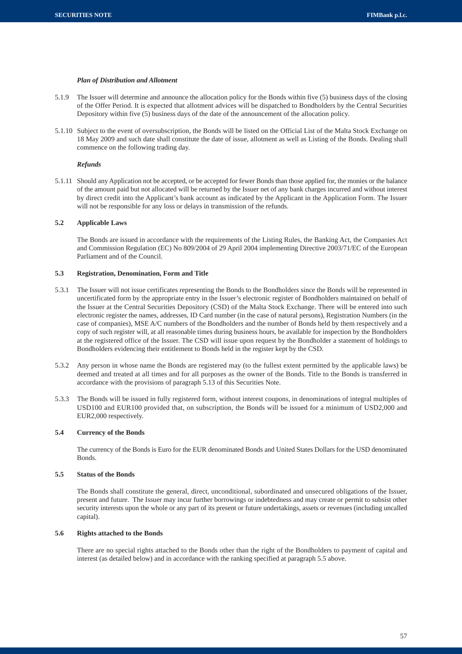# *Plan of Distribution and Allotment*

- 5.1.9 The Issuer will determine and announce the allocation policy for the Bonds within five (5) business days of the closing of the Offer Period. It is expected that allotment advices will be dispatched to Bondholders by the Central Securities Depository within five (5) business days of the date of the announcement of the allocation policy.
- 5.1.10 Subject to the event of oversubscription, the Bonds will be listed on the Official List of the Malta Stock Exchange on 18 May 2009 and such date shall constitute the date of issue, allotment as well as Listing of the Bonds. Dealing shall commence on the following trading day.

#### *Refunds*

5.1.11 Should any Application not be accepted, or be accepted for fewer Bonds than those applied for, the monies or the balance of the amount paid but not allocated will be returned by the Issuer net of any bank charges incurred and without interest by direct credit into the Applicant's bank account as indicated by the Applicant in the Application Form. The Issuer will not be responsible for any loss or delays in transmission of the refunds.

# **5.2 Applicable Laws**

The Bonds are issued in accordance with the requirements of the Listing Rules, the Banking Act, the Companies Act and Commission Regulation (EC) No 809/2004 of 29 April 2004 implementing Directive 2003/71/EC of the European Parliament and of the Council.

# **5.3 Registration, Denomination, Form and Title**

- 5.3.1 The Issuer will not issue certificates representing the Bonds to the Bondholders since the Bonds will be represented in uncertificated form by the appropriate entry in the Issuer's electronic register of Bondholders maintained on behalf of the Issuer at the Central Securities Depository (CSD) of the Malta Stock Exchange. There will be entered into such electronic register the names, addresses, ID Card number (in the case of natural persons), Registration Numbers (in the case of companies), MSE A/C numbers of the Bondholders and the number of Bonds held by them respectively and a copy of such register will, at all reasonable times during business hours, be available for inspection by the Bondholders at the registered office of the Issuer. The CSD will issue upon request by the Bondholder a statement of holdings to Bondholders evidencing their entitlement to Bonds held in the register kept by the CSD.
- 5.3.2 Any person in whose name the Bonds are registered may (to the fullest extent permitted by the applicable laws) be deemed and treated at all times and for all purposes as the owner of the Bonds. Title to the Bonds is transferred in accordance with the provisions of paragraph 5.13 of this Securities Note.
- 5.3.3 The Bonds will be issued in fully registered form, without interest coupons, in denominations of integral multiples of USD100 and EUR100 provided that, on subscription, the Bonds will be issued for a minimum of USD2,000 and EUR2,000 respectively.

# **5.4 Currency of the Bonds**

The currency of the Bonds is Euro for the EUR denominated Bonds and United States Dollars for the USD denominated Bonds.

# **5.5 Status of the Bonds**

The Bonds shall constitute the general, direct, unconditional, subordinated and unsecured obligations of the Issuer, present and future. The Issuer may incur further borrowings or indebtedness and may create or permit to subsist other security interests upon the whole or any part of its present or future undertakings, assets or revenues (including uncalled capital).

# **5.6 Rights attached to the Bonds**

There are no special rights attached to the Bonds other than the right of the Bondholders to payment of capital and interest (as detailed below) and in accordance with the ranking specified at paragraph 5.5 above.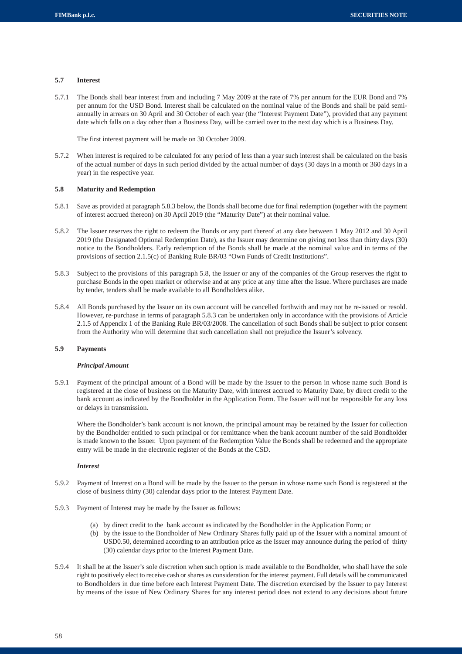#### **5.7 Interest**

5.7.1 The Bonds shall bear interest from and including 7 May 2009 at the rate of 7% per annum for the EUR Bond and 7% per annum for the USD Bond. Interest shall be calculated on the nominal value of the Bonds and shall be paid semiannually in arrears on 30 April and 30 October of each year (the "Interest Payment Date"), provided that any payment date which falls on a day other than a Business Day, will be carried over to the next day which is a Business Day.

The first interest payment will be made on 30 October 2009.

5.7.2 When interest is required to be calculated for any period of less than a year such interest shall be calculated on the basis of the actual number of days in such period divided by the actual number of days (30 days in a month or 360 days in a year) in the respective year.

#### **5.8 Maturity and Redemption**

- 5.8.1 Save as provided at paragraph 5.8.3 below, the Bonds shall become due for final redemption (together with the payment of interest accrued thereon) on 30 April 2019 (the "Maturity Date") at their nominal value.
- 5.8.2 The Issuer reserves the right to redeem the Bonds or any part thereof at any date between 1 May 2012 and 30 April 2019 (the Designated Optional Redemption Date), as the Issuer may determine on giving not less than thirty days (30) notice to the Bondholders. Early redemption of the Bonds shall be made at the nominal value and in terms of the provisions of section 2.1.5(c) of Banking Rule BR/03 "Own Funds of Credit Institutions".
- 5.8.3 Subject to the provisions of this paragraph 5.8, the Issuer or any of the companies of the Group reserves the right to purchase Bonds in the open market or otherwise and at any price at any time after the Issue. Where purchases are made by tender, tenders shall be made available to all Bondholders alike.
- 5.8.4 All Bonds purchased by the Issuer on its own account will be cancelled forthwith and may not be re-issued or resold. However, re-purchase in terms of paragraph 5.8.3 can be undertaken only in accordance with the provisions of Article 2.1.5 of Appendix 1 of the Banking Rule BR/03/2008. The cancellation of such Bonds shall be subject to prior consent from the Authority who will determine that such cancellation shall not prejudice the Issuer's solvency.

# **5.9 Payments**

#### *Principal Amount*

5.9.1 Payment of the principal amount of a Bond will be made by the Issuer to the person in whose name such Bond is registered at the close of business on the Maturity Date, with interest accrued to Maturity Date, by direct credit to the bank account as indicated by the Bondholder in the Application Form. The Issuer will not be responsible for any loss or delays in transmission.

Where the Bondholder's bank account is not known, the principal amount may be retained by the Issuer for collection by the Bondholder entitled to such principal or for remittance when the bank account number of the said Bondholder is made known to the Issuer. Upon payment of the Redemption Value the Bonds shall be redeemed and the appropriate entry will be made in the electronic register of the Bonds at the CSD.

#### *Interest*

- 5.9.2 Payment of Interest on a Bond will be made by the Issuer to the person in whose name such Bond is registered at the close of business thirty (30) calendar days prior to the Interest Payment Date.
- 5.9.3 Payment of Interest may be made by the Issuer as follows:
	- (a) by direct credit to the bank account as indicated by the Bondholder in the Application Form; or
	- (b) by the issue to the Bondholder of New Ordinary Shares fully paid up of the Issuer with a nominal amount of USD0.50, determined according to an attribution price as the Issuer may announce during the period of thirty (30) calendar days prior to the Interest Payment Date.
- 5.9.4 It shall be at the Issuer's sole discretion when such option is made available to the Bondholder, who shall have the sole right to positively elect to receive cash or shares as consideration for the interest payment. Full details will be communicated to Bondholders in due time before each Interest Payment Date. The discretion exercised by the Issuer to pay Interest by means of the issue of New Ordinary Shares for any interest period does not extend to any decisions about future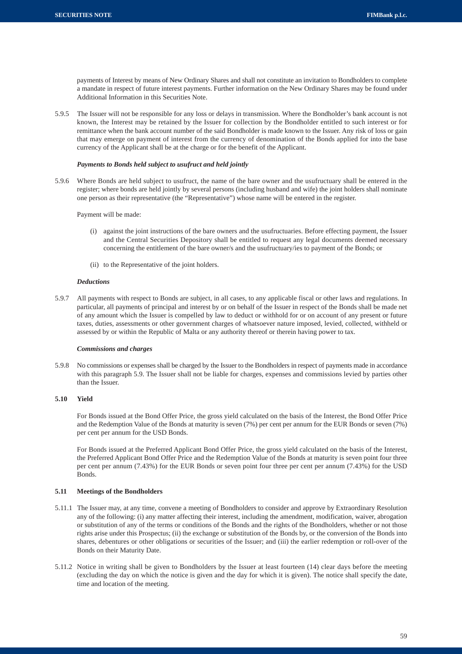payments of Interest by means of New Ordinary Shares and shall not constitute an invitation to Bondholders to complete a mandate in respect of future interest payments. Further information on the New Ordinary Shares may be found under Additional Information in this Securities Note.

5.9.5 The Issuer will not be responsible for any loss or delays in transmission. Where the Bondholder's bank account is not known, the Interest may be retained by the Issuer for collection by the Bondholder entitled to such interest or for remittance when the bank account number of the said Bondholder is made known to the Issuer. Any risk of loss or gain that may emerge on payment of interest from the currency of denomination of the Bonds applied for into the base currency of the Applicant shall be at the charge or for the benefit of the Applicant.

# *Payments to Bonds held subject to usufruct and held jointly*

5.9.6 Where Bonds are held subject to usufruct, the name of the bare owner and the usufructuary shall be entered in the register; where bonds are held jointly by several persons (including husband and wife) the joint holders shall nominate one person as their representative (the "Representative") whose name will be entered in the register.

Payment will be made:

- (i) against the joint instructions of the bare owners and the usufructuaries. Before effecting payment, the Issuer and the Central Securities Depository shall be entitled to request any legal documents deemed necessary concerning the entitlement of the bare owner/s and the usufructuary/ies to payment of the Bonds; or
- (ii) to the Representative of the joint holders.

#### *Deductions*

5.9.7 All payments with respect to Bonds are subject, in all cases, to any applicable fiscal or other laws and regulations. In particular, all payments of principal and interest by or on behalf of the Issuer in respect of the Bonds shall be made net of any amount which the Issuer is compelled by law to deduct or withhold for or on account of any present or future taxes, duties, assessments or other government charges of whatsoever nature imposed, levied, collected, withheld or assessed by or within the Republic of Malta or any authority thereof or therein having power to tax.

# *Commissions and charges*

5.9.8 No commissions or expenses shall be charged by the Issuer to the Bondholders in respect of payments made in accordance with this paragraph 5.9. The Issuer shall not be liable for charges, expenses and commissions levied by parties other than the Issuer.

# **5.10 Yield**

For Bonds issued at the Bond Offer Price, the gross yield calculated on the basis of the Interest, the Bond Offer Price and the Redemption Value of the Bonds at maturity is seven (7%) per cent per annum for the EUR Bonds or seven (7%) per cent per annum for the USD Bonds.

For Bonds issued at the Preferred Applicant Bond Offer Price, the gross yield calculated on the basis of the Interest, the Preferred Applicant Bond Offer Price and the Redemption Value of the Bonds at maturity is seven point four three per cent per annum (7.43%) for the EUR Bonds or seven point four three per cent per annum (7.43%) for the USD Bonds.

# **5.11 Meetings of the Bondholders**

- 5.11.1 The Issuer may, at any time, convene a meeting of Bondholders to consider and approve by Extraordinary Resolution any of the following: (i) any matter affecting their interest, including the amendment, modification, waiver, abrogation or substitution of any of the terms or conditions of the Bonds and the rights of the Bondholders, whether or not those rights arise under this Prospectus; (ii) the exchange or substitution of the Bonds by, or the conversion of the Bonds into shares, debentures or other obligations or securities of the Issuer; and (iii) the earlier redemption or roll-over of the Bonds on their Maturity Date.
- 5.11.2 Notice in writing shall be given to Bondholders by the Issuer at least fourteen (14) clear days before the meeting (excluding the day on which the notice is given and the day for which it is given). The notice shall specify the date, time and location of the meeting.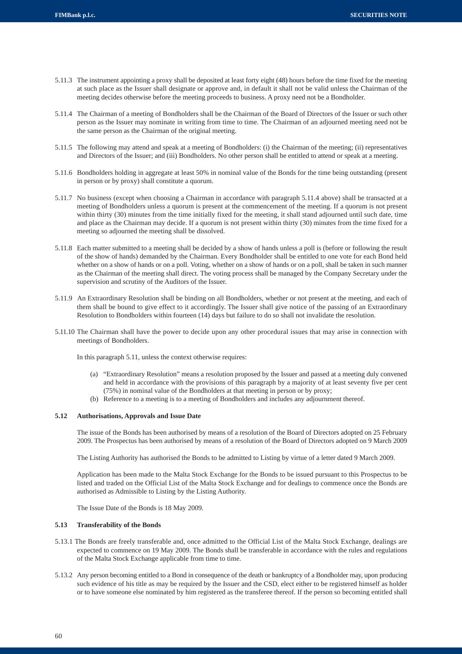- 5.11.3 The instrument appointing a proxy shall be deposited at least forty eight (48) hours before the time fixed for the meeting at such place as the Issuer shall designate or approve and, in default it shall not be valid unless the Chairman of the meeting decides otherwise before the meeting proceeds to business. A proxy need not be a Bondholder.
- 5.11.4 The Chairman of a meeting of Bondholders shall be the Chairman of the Board of Directors of the Issuer or such other person as the Issuer may nominate in writing from time to time. The Chairman of an adjourned meeting need not be the same person as the Chairman of the original meeting.
- 5.11.5 The following may attend and speak at a meeting of Bondholders: (i) the Chairman of the meeting; (ii) representatives and Directors of the Issuer; and (iii) Bondholders. No other person shall be entitled to attend or speak at a meeting.
- 5.11.6 Bondholders holding in aggregate at least 50% in nominal value of the Bonds for the time being outstanding (present in person or by proxy) shall constitute a quorum.
- 5.11.7 No business (except when choosing a Chairman in accordance with paragraph 5.11.4 above) shall be transacted at a meeting of Bondholders unless a quorum is present at the commencement of the meeting. If a quorum is not present within thirty (30) minutes from the time initially fixed for the meeting, it shall stand adjourned until such date, time and place as the Chairman may decide. If a quorum is not present within thirty (30) minutes from the time fixed for a meeting so adjourned the meeting shall be dissolved.
- 5.11.8 Each matter submitted to a meeting shall be decided by a show of hands unless a poll is (before or following the result of the show of hands) demanded by the Chairman. Every Bondholder shall be entitled to one vote for each Bond held whether on a show of hands or on a poll. Voting, whether on a show of hands or on a poll, shall be taken in such manner as the Chairman of the meeting shall direct. The voting process shall be managed by the Company Secretary under the supervision and scrutiny of the Auditors of the Issuer.
- 5.11.9 An Extraordinary Resolution shall be binding on all Bondholders, whether or not present at the meeting, and each of them shall be bound to give effect to it accordingly. The Issuer shall give notice of the passing of an Extraordinary Resolution to Bondholders within fourteen (14) days but failure to do so shall not invalidate the resolution.
- 5.11.10 The Chairman shall have the power to decide upon any other procedural issues that may arise in connection with meetings of Bondholders.

In this paragraph 5.11, unless the context otherwise requires:

- (a) "Extraordinary Resolution" means a resolution proposed by the Issuer and passed at a meeting duly convened and held in accordance with the provisions of this paragraph by a majority of at least seventy five per cent (75%) in nominal value of the Bondholders at that meeting in person or by proxy;
- (b) Reference to a meeting is to a meeting of Bondholders and includes any adjournment thereof.

#### **5.12 Authorisations, Approvals and Issue Date**

The issue of the Bonds has been authorised by means of a resolution of the Board of Directors adopted on 25 February 2009. The Prospectus has been authorised by means of a resolution of the Board of Directors adopted on 9 March 2009

The Listing Authority has authorised the Bonds to be admitted to Listing by virtue of a letter dated 9 March 2009.

Application has been made to the Malta Stock Exchange for the Bonds to be issued pursuant to this Prospectus to be listed and traded on the Official List of the Malta Stock Exchange and for dealings to commence once the Bonds are authorised as Admissible to Listing by the Listing Authority.

The Issue Date of the Bonds is 18 May 2009.

# **5.13 Transferability of the Bonds**

- 5.13.1 The Bonds are freely transferable and, once admitted to the Official List of the Malta Stock Exchange, dealings are expected to commence on 19 May 2009. The Bonds shall be transferable in accordance with the rules and regulations of the Malta Stock Exchange applicable from time to time.
- 5.13.2 Any person becoming entitled to a Bond in consequence of the death or bankruptcy of a Bondholder may, upon producing such evidence of his title as may be required by the Issuer and the CSD, elect either to be registered himself as holder or to have someone else nominated by him registered as the transferee thereof. If the person so becoming entitled shall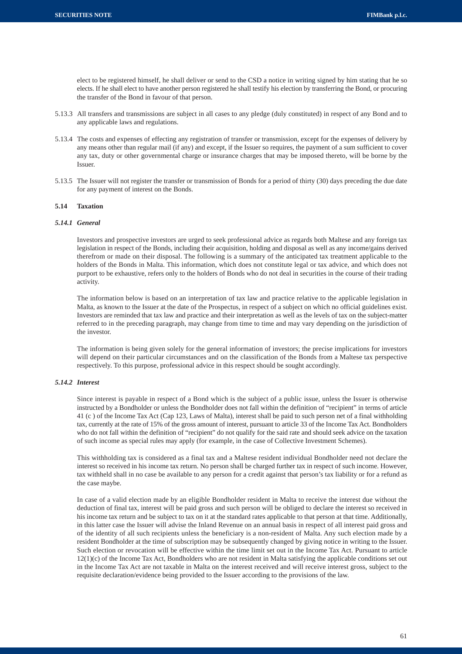elect to be registered himself, he shall deliver or send to the CSD a notice in writing signed by him stating that he so elects. If he shall elect to have another person registered he shall testify his election by transferring the Bond, or procuring the transfer of the Bond in favour of that person.

- 5.13.3 All transfers and transmissions are subject in all cases to any pledge (duly constituted) in respect of any Bond and to any applicable laws and regulations.
- 5.13.4 The costs and expenses of effecting any registration of transfer or transmission, except for the expenses of delivery by any means other than regular mail (if any) and except, if the Issuer so requires, the payment of a sum sufficient to cover any tax, duty or other governmental charge or insurance charges that may be imposed thereto, will be borne by the Issuer.
- 5.13.5 The Issuer will not register the transfer or transmission of Bonds for a period of thirty (30) days preceding the due date for any payment of interest on the Bonds.

# **5.14 Taxation**

# *5.14.1 General*

Investors and prospective investors are urged to seek professional advice as regards both Maltese and any foreign tax legislation in respect of the Bonds, including their acquisition, holding and disposal as well as any income/gains derived therefrom or made on their disposal. The following is a summary of the anticipated tax treatment applicable to the holders of the Bonds in Malta. This information, which does not constitute legal or tax advice, and which does not purport to be exhaustive, refers only to the holders of Bonds who do not deal in securities in the course of their trading activity.

The information below is based on an interpretation of tax law and practice relative to the applicable legislation in Malta, as known to the Issuer at the date of the Prospectus, in respect of a subject on which no official guidelines exist. Investors are reminded that tax law and practice and their interpretation as well as the levels of tax on the subject-matter referred to in the preceding paragraph, may change from time to time and may vary depending on the jurisdiction of the investor.

The information is being given solely for the general information of investors; the precise implications for investors will depend on their particular circumstances and on the classification of the Bonds from a Maltese tax perspective respectively. To this purpose, professional advice in this respect should be sought accordingly.

# *5.14.2 Interest*

Since interest is payable in respect of a Bond which is the subject of a public issue, unless the Issuer is otherwise instructed by a Bondholder or unless the Bondholder does not fall within the definition of "recipient" in terms of article 41 (c ) of the Income Tax Act (Cap 123, Laws of Malta), interest shall be paid to such person net of a final withholding tax, currently at the rate of 15% of the gross amount of interest, pursuant to article 33 of the Income Tax Act. Bondholders who do not fall within the definition of "recipient" do not qualify for the said rate and should seek advice on the taxation of such income as special rules may apply (for example, in the case of Collective Investment Schemes).

This withholding tax is considered as a final tax and a Maltese resident individual Bondholder need not declare the interest so received in his income tax return. No person shall be charged further tax in respect of such income. However, tax withheld shall in no case be available to any person for a credit against that person's tax liability or for a refund as the case maybe.

In case of a valid election made by an eligible Bondholder resident in Malta to receive the interest due without the deduction of final tax, interest will be paid gross and such person will be obliged to declare the interest so received in his income tax return and be subject to tax on it at the standard rates applicable to that person at that time. Additionally, in this latter case the Issuer will advise the Inland Revenue on an annual basis in respect of all interest paid gross and of the identity of all such recipients unless the beneficiary is a non-resident of Malta. Any such election made by a resident Bondholder at the time of subscription may be subsequently changed by giving notice in writing to the Issuer. Such election or revocation will be effective within the time limit set out in the Income Tax Act. Pursuant to article 12(1)(c) of the Income Tax Act, Bondholders who are not resident in Malta satisfying the applicable conditions set out in the Income Tax Act are not taxable in Malta on the interest received and will receive interest gross, subject to the requisite declaration/evidence being provided to the Issuer according to the provisions of the law.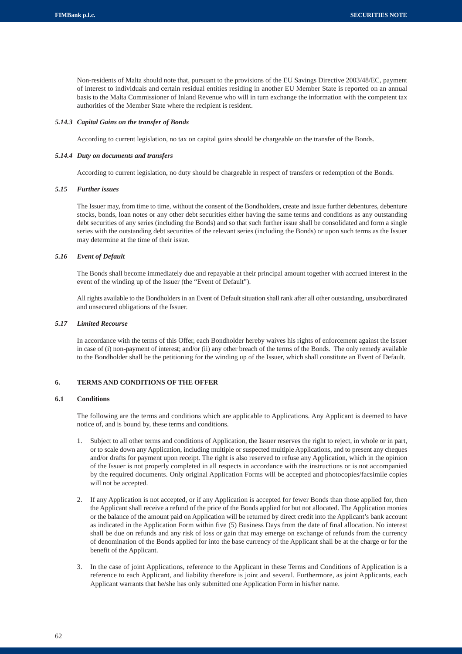Non-residents of Malta should note that, pursuant to the provisions of the EU Savings Directive 2003/48/EC, payment of interest to individuals and certain residual entities residing in another EU Member State is reported on an annual basis to the Malta Commissioner of Inland Revenue who will in turn exchange the information with the competent tax authorities of the Member State where the recipient is resident.

# *5.14.3 Capital Gains on the transfer of Bonds*

According to current legislation, no tax on capital gains should be chargeable on the transfer of the Bonds.

#### *5.14.4 Duty on documents and transfers*

According to current legislation, no duty should be chargeable in respect of transfers or redemption of the Bonds.

# *5.15 Further issues*

The Issuer may, from time to time, without the consent of the Bondholders, create and issue further debentures, debenture stocks, bonds, loan notes or any other debt securities either having the same terms and conditions as any outstanding debt securities of any series (including the Bonds) and so that such further issue shall be consolidated and form a single series with the outstanding debt securities of the relevant series (including the Bonds) or upon such terms as the Issuer may determine at the time of their issue.

# *5.16 Event of Default*

The Bonds shall become immediately due and repayable at their principal amount together with accrued interest in the event of the winding up of the Issuer (the "Event of Default").

All rights available to the Bondholders in an Event of Default situation shall rank after all other outstanding, unsubordinated and unsecured obligations of the Issuer.

#### *5.17 Limited Recourse*

In accordance with the terms of this Offer, each Bondholder hereby waives his rights of enforcement against the Issuer in case of (i) non-payment of interest; and/or (ii) any other breach of the terms of the Bonds. The only remedy available to the Bondholder shall be the petitioning for the winding up of the Issuer, which shall constitute an Event of Default.

# **6. TERMS AND CONDITIONS OF THE OFFER**

# **6.1 Conditions**

The following are the terms and conditions which are applicable to Applications. Any Applicant is deemed to have notice of, and is bound by, these terms and conditions.

- 1. Subject to all other terms and conditions of Application, the Issuer reserves the right to reject, in whole or in part, or to scale down any Application, including multiple or suspected multiple Applications, and to present any cheques and/or drafts for payment upon receipt. The right is also reserved to refuse any Application, which in the opinion of the Issuer is not properly completed in all respects in accordance with the instructions or is not accompanied by the required documents. Only original Application Forms will be accepted and photocopies/facsimile copies will not be accepted.
- 2. If any Application is not accepted, or if any Application is accepted for fewer Bonds than those applied for, then the Applicant shall receive a refund of the price of the Bonds applied for but not allocated. The Application monies or the balance of the amount paid on Application will be returned by direct credit into the Applicant's bank account as indicated in the Application Form within five (5) Business Days from the date of final allocation. No interest shall be due on refunds and any risk of loss or gain that may emerge on exchange of refunds from the currency of denomination of the Bonds applied for into the base currency of the Applicant shall be at the charge or for the benefit of the Applicant.
- 3. In the case of joint Applications, reference to the Applicant in these Terms and Conditions of Application is a reference to each Applicant, and liability therefore is joint and several. Furthermore, as joint Applicants, each Applicant warrants that he/she has only submitted one Application Form in his/her name.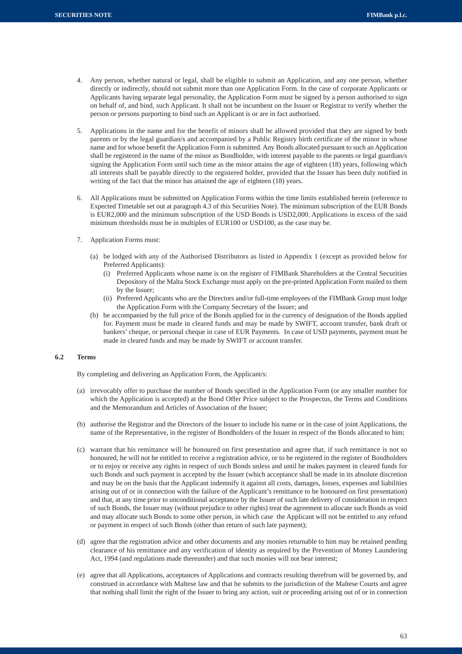- 4. Any person, whether natural or legal, shall be eligible to submit an Application, and any one person, whether directly or indirectly, should not submit more than one Application Form. In the case of corporate Applicants or Applicants having separate legal personality, the Application Form must be signed by a person authorised to sign on behalf of, and bind, such Applicant. It shall not be incumbent on the Issuer or Registrar to verify whether the person or persons purporting to bind such an Applicant is or are in fact authorised.
- 5. Applications in the name and for the benefit of minors shall be allowed provided that they are signed by both parents or by the legal guardian/s and accompanied by a Public Registry birth certificate of the minor in whose name and for whose benefit the Application Form is submitted. Any Bonds allocated pursuant to such an Application shall be registered in the name of the minor as Bondholder, with interest payable to the parents or legal guardian/s signing the Application Form until such time as the minor attains the age of eighteen (18) years, following which all interests shall be payable directly to the registered holder, provided that the Issuer has been duly notified in writing of the fact that the minor has attained the age of eighteen (18) years.
- 6. All Applications must be submitted on Application Forms within the time limits established herein (reference to Expected Timetable set out at paragraph 4.3 of this Securities Note). The minimum subscription of the EUR Bonds is EUR2,000 and the minimum subscription of the USD Bonds is USD2,000. Applications in excess of the said minimum thresholds must be in multiples of EUR100 or USD100, as the case may be.
- 7. Application Forms must:
	- (a) be lodged with any of the Authorised Distributors as listed in Appendix 1 (except as provided below for Preferred Applicants):
		- (i) Preferred Applicants whose name is on the register of FIMBank Shareholders at the Central Securities Depository of the Malta Stock Exchange must apply on the pre-printed Application Form mailed to them by the Issuer;
		- (ii) Preferred Applicants who are the Directors and/or full-time employees of the FIMBank Group must lodge the Application Form with the Company Secretary of the Issuer; and
	- (b) be accompanied by the full price of the Bonds applied for in the currency of designation of the Bonds applied for. Payment must be made in cleared funds and may be made by SWIFT, account transfer, bank draft or bankers' cheque, or personal cheque in case of EUR Payments. In case of USD payments, payment must be made in cleared funds and may be made by SWIFT or account transfer.

# **6.2 Terms**

By completing and delivering an Application Form, the Applicant/s:

- (a) irrevocably offer to purchase the number of Bonds specified in the Application Form (or any smaller number for which the Application is accepted) at the Bond Offer Price subject to the Prospectus, the Terms and Conditions and the Memorandum and Articles of Association of the Issuer;
- (b) authorise the Registrar and the Directors of the Issuer to include his name or in the case of joint Applications, the name of the Representative, in the register of Bondholders of the Issuer in respect of the Bonds allocated to him;
- (c) warrant that his remittance will be honoured on first presentation and agree that, if such remittance is not so honoured, he will not be entitled to receive a registration advice, or to be registered in the register of Bondholders or to enjoy or receive any rights in respect of such Bonds unless and until he makes payment in cleared funds for such Bonds and such payment is accepted by the Issuer (which acceptance shall be made in its absolute discretion and may be on the basis that the Applicant indemnify it against all costs, damages, losses, expenses and liabilities arising out of or in connection with the failure of the Applicant's remittance to be honoured on first presentation) and that, at any time prior to unconditional acceptance by the Issuer of such late delivery of consideration in respect of such Bonds, the Issuer may (without prejudice to other rights) treat the agreement to allocate such Bonds as void and may allocate such Bonds to some other person, in which case the Applicant will not be entitled to any refund or payment in respect of such Bonds (other than return of such late payment);
- (d) agree that the registration advice and other documents and any monies returnable to him may be retained pending clearance of his remittance and any verification of identity as required by the Prevention of Money Laundering Act, 1994 (and regulations made thereunder) and that such monies will not bear interest;
- (e) agree that all Applications, acceptances of Applications and contracts resulting therefrom will be governed by, and construed in accordance with Maltese law and that he submits to the jurisdiction of the Maltese Courts and agree that nothing shall limit the right of the Issuer to bring any action, suit or proceeding arising out of or in connection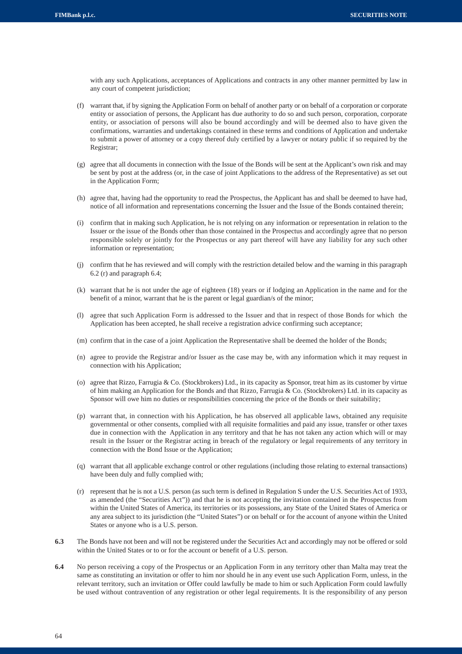with any such Applications, acceptances of Applications and contracts in any other manner permitted by law in any court of competent jurisdiction;

- (f) warrant that, if by signing the Application Form on behalf of another party or on behalf of a corporation or corporate entity or association of persons, the Applicant has due authority to do so and such person, corporation, corporate entity, or association of persons will also be bound accordingly and will be deemed also to have given the confirmations, warranties and undertakings contained in these terms and conditions of Application and undertake to submit a power of attorney or a copy thereof duly certified by a lawyer or notary public if so required by the Registrar;
- (g) agree that all documents in connection with the Issue of the Bonds will be sent at the Applicant's own risk and may be sent by post at the address (or, in the case of joint Applications to the address of the Representative) as set out in the Application Form;
- (h) agree that, having had the opportunity to read the Prospectus, the Applicant has and shall be deemed to have had, notice of all information and representations concerning the Issuer and the Issue of the Bonds contained therein;
- (i) confirm that in making such Application, he is not relying on any information or representation in relation to the Issuer or the issue of the Bonds other than those contained in the Prospectus and accordingly agree that no person responsible solely or jointly for the Prospectus or any part thereof will have any liability for any such other information or representation;
- (j) confirm that he has reviewed and will comply with the restriction detailed below and the warning in this paragraph 6.2 (r) and paragraph 6.4;
- (k) warrant that he is not under the age of eighteen (18) years or if lodging an Application in the name and for the benefit of a minor, warrant that he is the parent or legal guardian/s of the minor;
- (l) agree that such Application Form is addressed to the Issuer and that in respect of those Bonds for which the Application has been accepted, he shall receive a registration advice confirming such acceptance;
- (m) confirm that in the case of a joint Application the Representative shall be deemed the holder of the Bonds;
- (n) agree to provide the Registrar and/or Issuer as the case may be, with any information which it may request in connection with his Application;
- (o) agree that Rizzo, Farrugia & Co. (Stockbrokers) Ltd., in its capacity as Sponsor, treat him as its customer by virtue of him making an Application for the Bonds and that Rizzo, Farrugia & Co. (Stockbrokers) Ltd. in its capacity as Sponsor will owe him no duties or responsibilities concerning the price of the Bonds or their suitability;
- (p) warrant that, in connection with his Application, he has observed all applicable laws, obtained any requisite governmental or other consents, complied with all requisite formalities and paid any issue, transfer or other taxes due in connection with the Application in any territory and that he has not taken any action which will or may result in the Issuer or the Registrar acting in breach of the regulatory or legal requirements of any territory in connection with the Bond Issue or the Application;
- (q) warrant that all applicable exchange control or other regulations (including those relating to external transactions) have been duly and fully complied with;
- (r) represent that he is not a U.S. person (as such term is defined in Regulation S under the U.S. Securities Act of 1933, as amended (the "Securities Act")) and that he is not accepting the invitation contained in the Prospectus from within the United States of America, its territories or its possessions, any State of the United States of America or any area subject to its jurisdiction (the "United States") or on behalf or for the account of anyone within the United States or anyone who is a U.S. person.
- **6.3** The Bonds have not been and will not be registered under the Securities Act and accordingly may not be offered or sold within the United States or to or for the account or benefit of a U.S. person.
- **6.4** No person receiving a copy of the Prospectus or an Application Form in any territory other than Malta may treat the same as constituting an invitation or offer to him nor should he in any event use such Application Form, unless, in the relevant territory, such an invitation or Offer could lawfully be made to him or such Application Form could lawfully be used without contravention of any registration or other legal requirements. It is the responsibility of any person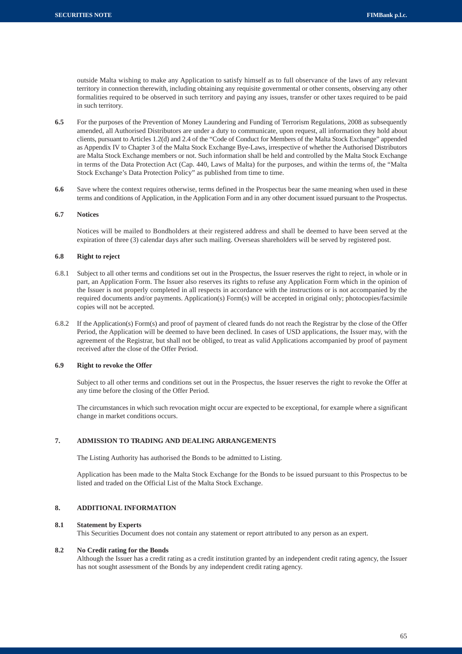outside Malta wishing to make any Application to satisfy himself as to full observance of the laws of any relevant territory in connection therewith, including obtaining any requisite governmental or other consents, observing any other formalities required to be observed in such territory and paying any issues, transfer or other taxes required to be paid in such territory.

- **6.5** For the purposes of the Prevention of Money Laundering and Funding of Terrorism Regulations, 2008 as subsequently amended, all Authorised Distributors are under a duty to communicate, upon request, all information they hold about clients, pursuant to Articles 1.2(d) and 2.4 of the "Code of Conduct for Members of the Malta Stock Exchange" appended as Appendix IV to Chapter 3 of the Malta Stock Exchange Bye-Laws, irrespective of whether the Authorised Distributors are Malta Stock Exchange members or not. Such information shall be held and controlled by the Malta Stock Exchange in terms of the Data Protection Act (Cap. 440, Laws of Malta) for the purposes, and within the terms of, the "Malta Stock Exchange's Data Protection Policy" as published from time to time.
- **6.6** Save where the context requires otherwise, terms defined in the Prospectus bear the same meaning when used in these terms and conditions of Application, in the Application Form and in any other document issued pursuant to the Prospectus.

# **6.7 Notices**

Notices will be mailed to Bondholders at their registered address and shall be deemed to have been served at the expiration of three (3) calendar days after such mailing. Overseas shareholders will be served by registered post.

# **6.8 Right to reject**

- 6.8.1 Subject to all other terms and conditions set out in the Prospectus, the Issuer reserves the right to reject, in whole or in part, an Application Form. The Issuer also reserves its rights to refuse any Application Form which in the opinion of the Issuer is not properly completed in all respects in accordance with the instructions or is not accompanied by the required documents and/or payments. Application(s) Form(s) will be accepted in original only; photocopies/facsimile copies will not be accepted.
- 6.8.2 If the Application(s) Form(s) and proof of payment of cleared funds do not reach the Registrar by the close of the Offer Period, the Application will be deemed to have been declined. In cases of USD applications, the Issuer may, with the agreement of the Registrar, but shall not be obliged, to treat as valid Applications accompanied by proof of payment received after the close of the Offer Period.

#### **6.9 Right to revoke the Offer**

Subject to all other terms and conditions set out in the Prospectus, the Issuer reserves the right to revoke the Offer at any time before the closing of the Offer Period.

The circumstances in which such revocation might occur are expected to be exceptional, for example where a significant change in market conditions occurs.

# **7. ADMISSION TO TRADING AND DEALING ARRANGEMENTS**

The Listing Authority has authorised the Bonds to be admitted to Listing.

Application has been made to the Malta Stock Exchange for the Bonds to be issued pursuant to this Prospectus to be listed and traded on the Official List of the Malta Stock Exchange.

# **8. ADDITIONAL INFORMATION**

# **8.1 Statement by Experts**

This Securities Document does not contain any statement or report attributed to any person as an expert.

# **8.2 No Credit rating for the Bonds**

Although the Issuer has a credit rating as a credit institution granted by an independent credit rating agency, the Issuer has not sought assessment of the Bonds by any independent credit rating agency.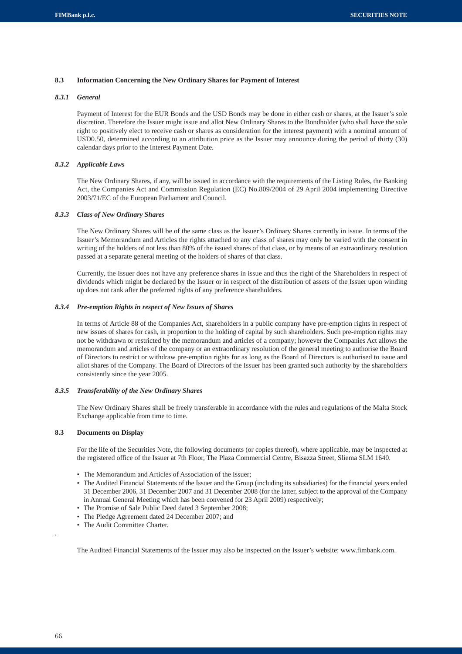# **8.3 Information Concerning the New Ordinary Shares for Payment of Interest**

# *8.3.1 General*

Payment of Interest for the EUR Bonds and the USD Bonds may be done in either cash or shares, at the Issuer's sole discretion. Therefore the Issuer might issue and allot New Ordinary Shares to the Bondholder (who shall have the sole right to positively elect to receive cash or shares as consideration for the interest payment) with a nominal amount of USD0.50, determined according to an attribution price as the Issuer may announce during the period of thirty (30) calendar days prior to the Interest Payment Date.

# *8.3.2 Applicable Laws*

The New Ordinary Shares, if any, will be issued in accordance with the requirements of the Listing Rules, the Banking Act, the Companies Act and Commission Regulation (EC) No.809/2004 of 29 April 2004 implementing Directive 2003/71/EC of the European Parliament and Council.

# *8.3.3 Class of New Ordinary Shares*

The New Ordinary Shares will be of the same class as the Issuer's Ordinary Shares currently in issue. In terms of the Issuer's Memorandum and Articles the rights attached to any class of shares may only be varied with the consent in writing of the holders of not less than 80% of the issued shares of that class, or by means of an extraordinary resolution passed at a separate general meeting of the holders of shares of that class.

Currently, the Issuer does not have any preference shares in issue and thus the right of the Shareholders in respect of dividends which might be declared by the Issuer or in respect of the distribution of assets of the Issuer upon winding up does not rank after the preferred rights of any preference shareholders.

# *8.3.4 Pre-emption Rights in respect of New Issues of Shares*

In terms of Article 88 of the Companies Act, shareholders in a public company have pre-emption rights in respect of new issues of shares for cash, in proportion to the holding of capital by such shareholders. Such pre-emption rights may not be withdrawn or restricted by the memorandum and articles of a company; however the Companies Act allows the memorandum and articles of the company or an extraordinary resolution of the general meeting to authorise the Board of Directors to restrict or withdraw pre-emption rights for as long as the Board of Directors is authorised to issue and allot shares of the Company. The Board of Directors of the Issuer has been granted such authority by the shareholders consistently since the year 2005.

# *8.3.5 Transferability of the New Ordinary Shares*

The New Ordinary Shares shall be freely transferable in accordance with the rules and regulations of the Malta Stock Exchange applicable from time to time.

# **8.3 Documents on Display**

For the life of the Securities Note, the following documents (or copies thereof), where applicable, may be inspected at the registered office of the Issuer at 7th Floor, The Plaza Commercial Centre, Bisazza Street, Sliema SLM 1640.

- The Memorandum and Articles of Association of the Issuer;
- The Audited Financial Statements of the Issuer and the Group (including its subsidiaries) for the financial years ended 31 December 2006, 31 December 2007 and 31 December 2008 (for the latter, subject to the approval of the Company in Annual General Meeting which has been convened for 23 April 2009) respectively;
- The Promise of Sale Public Deed dated 3 September 2008:
- The Pledge Agreement dated 24 December 2007; and
- The Audit Committee Charter.

The Audited Financial Statements of the Issuer may also be inspected on the Issuer's website: www.fimbank.com.

.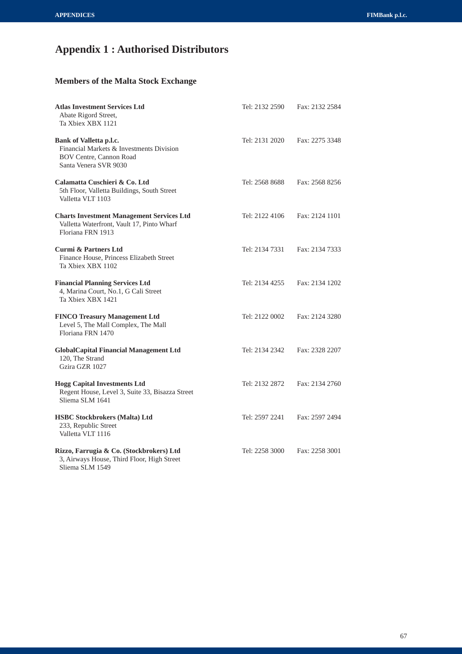# **Appendix 1 : Authorised Distributors**

# **Members of the Malta Stock Exchange**

| <b>Atlas Investment Services Ltd</b><br>Abate Rigord Street,<br>Ta Xbiex XBX 1121                                              | Tel: 2132 2590 | Fax: 2132 2584 |
|--------------------------------------------------------------------------------------------------------------------------------|----------------|----------------|
| Bank of Valletta p.l.c.<br>Financial Markets & Investments Division<br><b>BOV Centre, Cannon Road</b><br>Santa Venera SVR 9030 | Tel: 2131 2020 | Fax: 2275 3348 |
| Calamatta Cuschieri & Co. Ltd<br>5th Floor, Valletta Buildings, South Street<br>Valletta VLT 1103                              | Tel: 2568 8688 | Fax: 2568 8256 |
| <b>Charts Investment Management Services Ltd</b><br>Valletta Waterfront, Vault 17, Pinto Wharf<br>Floriana FRN 1913            | Tel: 2122 4106 | Fax: 2124 1101 |
| <b>Curmi &amp; Partners Ltd</b><br>Finance House, Princess Elizabeth Street<br>Ta Xbiex XBX 1102                               | Tel: 2134 7331 | Fax: 2134 7333 |
| <b>Financial Planning Services Ltd</b><br>4, Marina Court, No.1, G Cali Street<br>Ta Xbiex XBX 1421                            | Tel: 2134 4255 | Fax: 2134 1202 |
| <b>FINCO Treasury Management Ltd</b><br>Level 5, The Mall Complex, The Mall<br>Floriana FRN 1470                               | Tel: 2122 0002 | Fax: 2124 3280 |
| <b>GlobalCapital Financial Management Ltd</b><br>120, The Strand<br>Gzira GZR 1027                                             | Tel: 2134 2342 | Fax: 2328 2207 |
| <b>Hogg Capital Investments Ltd</b><br>Regent House, Level 3, Suite 33, Bisazza Street<br>Sliema SLM 1641                      | Tel: 2132 2872 | Fax: 2134 2760 |
| <b>HSBC Stockbrokers (Malta) Ltd</b><br>233, Republic Street<br>Valletta VLT 1116                                              | Tel: 2597 2241 | Fax: 2597 2494 |
| Rizzo, Farrugia & Co. (Stockbrokers) Ltd<br>3, Airways House, Third Floor, High Street<br>Sliema SLM 1549                      | Tel: 2258 3000 | Fax: 2258 3001 |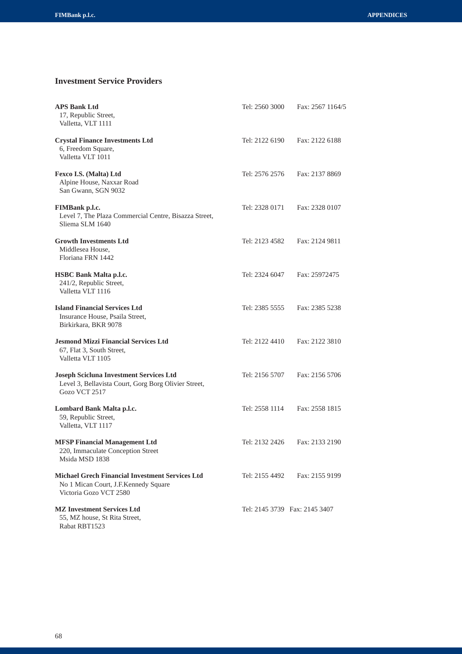# **Investment Service Providers**

| <b>APS Bank Ltd</b><br>17, Republic Street,<br>Valletta, VLT 1111                                                        | Tel: 2560 3000                | Fax: 2567 1164/5 |
|--------------------------------------------------------------------------------------------------------------------------|-------------------------------|------------------|
| <b>Crystal Finance Investments Ltd</b><br>6, Freedom Square,<br>Valletta VLT 1011                                        | Tel: 2122 6190                | Fax: 2122 6188   |
| Fexco I.S. (Malta) Ltd<br>Alpine House, Naxxar Road<br>San Gwann, SGN 9032                                               | Tel: 2576 2576                | Fax: 2137 8869   |
| <b>FIMBank p.l.c.</b><br>Level 7, The Plaza Commercial Centre, Bisazza Street,<br>Sliema SLM 1640                        | Tel: 2328 0171                | Fax: 2328 0107   |
| <b>Growth Investments Ltd</b><br>Middlesea House,<br>Floriana FRN 1442                                                   | Tel: 2123 4582                | Fax: 2124 9811   |
| <b>HSBC Bank Malta p.l.c.</b><br>241/2, Republic Street,<br>Valletta VLT 1116                                            | Tel: 2324 6047                | Fax: 25972475    |
| <b>Island Financial Services Ltd</b><br>Insurance House, Psaila Street,<br>Birkirkara, BKR 9078                          | Tel: 2385 5555                | Fax: 2385 5238   |
| <b>Jesmond Mizzi Financial Services Ltd</b><br>67, Flat 3, South Street,<br>Valletta VLT 1105                            | Tel: 2122 4410                | Fax: 2122 3810   |
| <b>Joseph Scicluna Investment Services Ltd</b><br>Level 3, Bellavista Court, Gorg Borg Olivier Street,<br>Gozo VCT 2517  | Tel: 2156 5707                | Fax: 2156 5706   |
| Lombard Bank Malta p.l.c.<br>59, Republic Street,<br>Valletta, VLT 1117                                                  | Tel: 2558 1114                | Fax: 2558 1815   |
| <b>MFSP Financial Management Ltd</b><br>220, Immaculate Conception Street<br>Msida MSD 1838                              | Tel: 2132 2426                | Fax: 2133 2190   |
| <b>Michael Grech Financial Investment Services Ltd</b><br>No 1 Mican Court, J.F.Kennedy Square<br>Victoria Gozo VCT 2580 | Tel: 2155 4492                | Fax: 2155 9199   |
| <b>MZ Investment Services Ltd</b><br>55, MZ house, St Rita Street,<br>Rabat RBT1523                                      | Tel: 2145 3739 Fax: 2145 3407 |                  |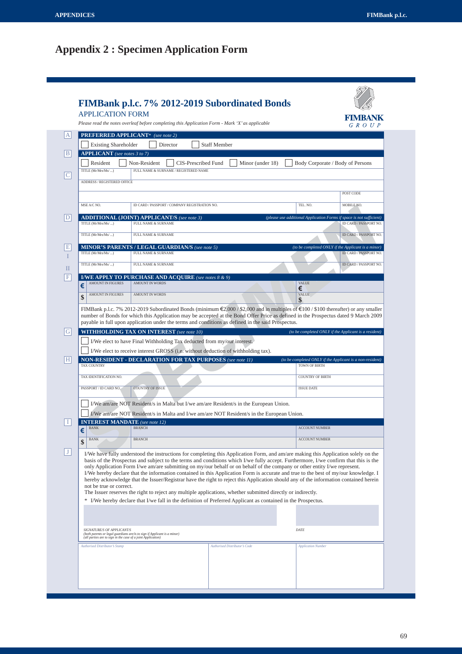# **Appendix 2 : Specimen Application Form**

| <b>APPLICATION FORM</b>                                                                    | Please read the notes overleaf before completing this Application Form - Mark 'X' as applicable                                                                                                                                                                                                                                                                                                                                                                                                                                                                                                                                                                                                                                                                                                                                                                                                                         |                                      |                           | FIMBANK<br>$G \ R \ O \ U \ P$                                               |
|--------------------------------------------------------------------------------------------|-------------------------------------------------------------------------------------------------------------------------------------------------------------------------------------------------------------------------------------------------------------------------------------------------------------------------------------------------------------------------------------------------------------------------------------------------------------------------------------------------------------------------------------------------------------------------------------------------------------------------------------------------------------------------------------------------------------------------------------------------------------------------------------------------------------------------------------------------------------------------------------------------------------------------|--------------------------------------|---------------------------|------------------------------------------------------------------------------|
|                                                                                            | <b>PREFERRED APPLICANT*</b> (see note 2)                                                                                                                                                                                                                                                                                                                                                                                                                                                                                                                                                                                                                                                                                                                                                                                                                                                                                |                                      |                           |                                                                              |
| <b>Existing Shareholder</b>                                                                | Director                                                                                                                                                                                                                                                                                                                                                                                                                                                                                                                                                                                                                                                                                                                                                                                                                                                                                                                | <b>Staff Member</b>                  |                           |                                                                              |
| <b>APPLICANT</b> (see notes 3 to 7)                                                        |                                                                                                                                                                                                                                                                                                                                                                                                                                                                                                                                                                                                                                                                                                                                                                                                                                                                                                                         |                                      |                           |                                                                              |
| Resident                                                                                   | Non-Resident<br>CIS-Prescribed Fund                                                                                                                                                                                                                                                                                                                                                                                                                                                                                                                                                                                                                                                                                                                                                                                                                                                                                     | Minor (under 18)                     |                           | Body Corporate / Body of Persons                                             |
| TITLE (Mr/Mrs/Ms/ )                                                                        | FULL NAME & SURNAME / REGISTERED NAME                                                                                                                                                                                                                                                                                                                                                                                                                                                                                                                                                                                                                                                                                                                                                                                                                                                                                   |                                      |                           |                                                                              |
| ADDRESS / REGISTERED OFFICE                                                                |                                                                                                                                                                                                                                                                                                                                                                                                                                                                                                                                                                                                                                                                                                                                                                                                                                                                                                                         |                                      |                           |                                                                              |
|                                                                                            |                                                                                                                                                                                                                                                                                                                                                                                                                                                                                                                                                                                                                                                                                                                                                                                                                                                                                                                         |                                      |                           | POST CODE                                                                    |
| MSE A/C NO.                                                                                | ID CARD / PASSPORT / COMPANY REGISTRATION NO.                                                                                                                                                                                                                                                                                                                                                                                                                                                                                                                                                                                                                                                                                                                                                                                                                                                                           |                                      | TEL. NO.                  | MOBILE NO.                                                                   |
|                                                                                            | <b>ADDITIONAL (JOINT) APPLICANT/S</b> (see note 3)                                                                                                                                                                                                                                                                                                                                                                                                                                                                                                                                                                                                                                                                                                                                                                                                                                                                      |                                      |                           | (please use additional Application Forms if space is not sufficient)         |
| TITLE (Mr/Mrs/Ms/ )                                                                        | FULL NAME & SURNAME                                                                                                                                                                                                                                                                                                                                                                                                                                                                                                                                                                                                                                                                                                                                                                                                                                                                                                     |                                      |                           | ID CARD / PASSPORT NO.                                                       |
| TITLE (Mr/Mrs/Ms/ )                                                                        | FULL NAME & SURNAME                                                                                                                                                                                                                                                                                                                                                                                                                                                                                                                                                                                                                                                                                                                                                                                                                                                                                                     |                                      |                           | <b>ID CARD/PASSPORT NO.</b>                                                  |
| TITLE (Mr/Mrs/Ms/ )                                                                        | <b>MINOR'S PARENTS / LEGAL GUARDIAN/S (see note 5)</b><br><b>FULL NAME &amp; SURNAME</b>                                                                                                                                                                                                                                                                                                                                                                                                                                                                                                                                                                                                                                                                                                                                                                                                                                |                                      |                           | (to be completed ONLY if the Applicant is a minor)<br>ID CARD / PASSPORT NO. |
| TITLE (Mr/Mrs/Ms/ )                                                                        | FULL NAME & SURNAME                                                                                                                                                                                                                                                                                                                                                                                                                                                                                                                                                                                                                                                                                                                                                                                                                                                                                                     |                                      |                           | ID CARD / PASSPORT NO.                                                       |
|                                                                                            |                                                                                                                                                                                                                                                                                                                                                                                                                                                                                                                                                                                                                                                                                                                                                                                                                                                                                                                         |                                      |                           |                                                                              |
| <b>AMOUNT IN FIGURES</b><br>€                                                              | <b>I/WE APPLY TO PURCHASE AND ACQUIRE</b> (see notes 8 & 9)<br><b>AMOUNT IN WORDS</b>                                                                                                                                                                                                                                                                                                                                                                                                                                                                                                                                                                                                                                                                                                                                                                                                                                   |                                      | <b>VALUE</b>              |                                                                              |
| <b>AMOUNT IN FIGURES</b><br>\$                                                             | <b>AMOUNT IN WORDS</b>                                                                                                                                                                                                                                                                                                                                                                                                                                                                                                                                                                                                                                                                                                                                                                                                                                                                                                  |                                      | €<br><b>VALUE</b>         |                                                                              |
|                                                                                            |                                                                                                                                                                                                                                                                                                                                                                                                                                                                                                                                                                                                                                                                                                                                                                                                                                                                                                                         |                                      |                           |                                                                              |
|                                                                                            | FIMBank p.l.c. 7% 2012-2019 Subordinated Bonds (minimum $\epsilon$ 2,000/\$2,000 and in multiples of $\epsilon$ 100/\$100 thereafter) or any smaller<br>number of Bonds for which this Application may be accepted at the Bond Offer Price as defined in the Prospectus dated 9 March 2009<br>payable in full upon application under the terms and conditions as defined in the said Prospectus.<br><b>WITHHOLDING TAX ON INTEREST</b> (see note 10)                                                                                                                                                                                                                                                                                                                                                                                                                                                                    |                                      | \$                        | (to be completed ONLY if the Applicant is a resident)                        |
|                                                                                            | I/We elect to have Final Withholding Tax deducted from my/our interest.<br>I/We elect to receive interest GROSS (i.e. without deduction of withholding tax).                                                                                                                                                                                                                                                                                                                                                                                                                                                                                                                                                                                                                                                                                                                                                            |                                      |                           | (to be completed ONLY if the Applicant is a non-resident)                    |
|                                                                                            | <b>NON-RESIDENT - DECLARATION FOR TAX PURPOSES</b> (see note 11)                                                                                                                                                                                                                                                                                                                                                                                                                                                                                                                                                                                                                                                                                                                                                                                                                                                        |                                      | TOWN OF BIRTH             |                                                                              |
|                                                                                            |                                                                                                                                                                                                                                                                                                                                                                                                                                                                                                                                                                                                                                                                                                                                                                                                                                                                                                                         |                                      | <b>COUNTRY OF BIRTH</b>   |                                                                              |
|                                                                                            | <b>COUNTRY OF ISSUE</b>                                                                                                                                                                                                                                                                                                                                                                                                                                                                                                                                                                                                                                                                                                                                                                                                                                                                                                 |                                      | <b>ISSUE DATE</b>         |                                                                              |
|                                                                                            | I/We am/are NOT Resident/s in Malta but I/we am/are Resident/s in the European Union.                                                                                                                                                                                                                                                                                                                                                                                                                                                                                                                                                                                                                                                                                                                                                                                                                                   |                                      |                           |                                                                              |
|                                                                                            | I/We am/are NOT Resident/s in Malta and I/we am/are NOT Resident/s in the European Union.                                                                                                                                                                                                                                                                                                                                                                                                                                                                                                                                                                                                                                                                                                                                                                                                                               |                                      |                           |                                                                              |
|                                                                                            | <b>INTEREST MANDATE</b> (see note 12)<br><b>BRANCH</b>                                                                                                                                                                                                                                                                                                                                                                                                                                                                                                                                                                                                                                                                                                                                                                                                                                                                  |                                      | <b>ACCOUNT NUMBER</b>     |                                                                              |
|                                                                                            |                                                                                                                                                                                                                                                                                                                                                                                                                                                                                                                                                                                                                                                                                                                                                                                                                                                                                                                         |                                      |                           |                                                                              |
| <b>BANK</b>                                                                                | <b>BRANCH</b>                                                                                                                                                                                                                                                                                                                                                                                                                                                                                                                                                                                                                                                                                                                                                                                                                                                                                                           |                                      | <b>ACCOUNT NUMBER</b>     |                                                                              |
| not be true or correct.                                                                    | I/We have fully understood the instructions for completing this Application Form, and am/are making this Application solely on the<br>basis of the Prospectus and subject to the terms and conditions which I/we fully accept. Furthermore, I/we confirm that this is the<br>only Application Form I/we am/are submitting on my/our behalf or on behalf of the company or other entity I/we represent.<br>I/We hereby declare that the information contained in this Application Form is accurate and true to the best of my/our knowledge. I<br>hereby acknowledge that the Issuer/Registrar have the right to reject this Application should any of the information contained herein<br>The Issuer reserves the right to reject any multiple applications, whether submitted directly or indirectly.<br>* I/We hereby declare that I/we fall in the definition of Preferred Applicant as contained in the Prospectus. |                                      |                           |                                                                              |
| <b>TAX COUNTRY</b><br>TAX IDENTIFICATION NO.<br>PASSPORT / ID CARD NO.<br>$\epsilon$<br>\$ |                                                                                                                                                                                                                                                                                                                                                                                                                                                                                                                                                                                                                                                                                                                                                                                                                                                                                                                         |                                      |                           |                                                                              |
| SIGNATURE/S OF APPLICANT/S<br>(all parties are to sign in the case of a joint Application) | (both parents or legal guardians are/is to sign if Applicant is a minor)                                                                                                                                                                                                                                                                                                                                                                                                                                                                                                                                                                                                                                                                                                                                                                                                                                                |                                      | DATE                      |                                                                              |
| <b>Authorised Distributor's Stamp</b>                                                      |                                                                                                                                                                                                                                                                                                                                                                                                                                                                                                                                                                                                                                                                                                                                                                                                                                                                                                                         | <b>Authorised Distributor's Code</b> | <b>Application Number</b> |                                                                              |